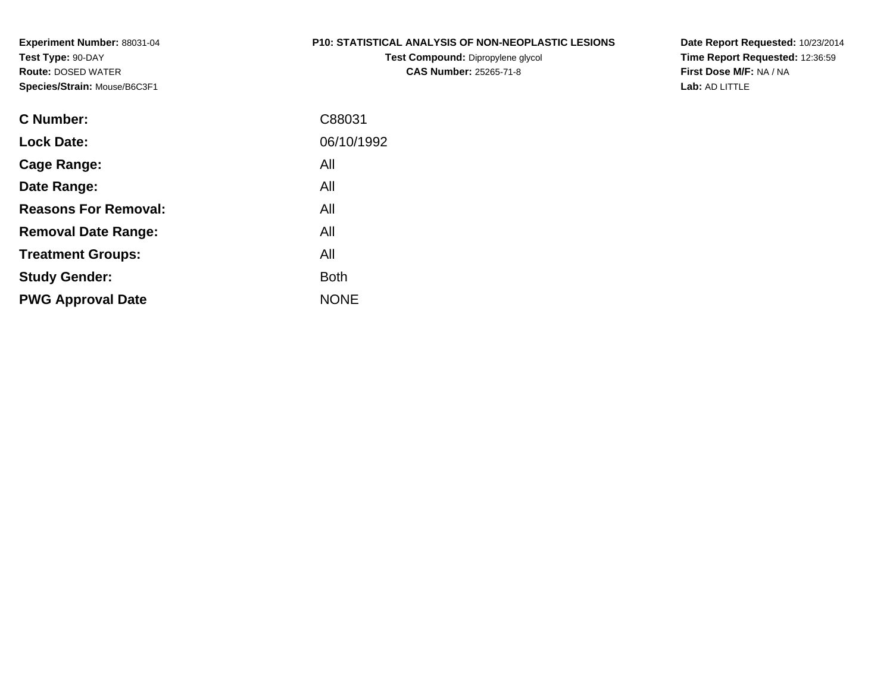**Experiment Number:** 88031-04**Test Type:** 90-DAY **Route:** DOSED WATER**Species/Strain:** Mouse/B6C3F1

#### **P10: STATISTICAL ANALYSIS OF NON-NEOPLASTIC LESIONS**

**Test Compound:** Dipropylene glycol **CAS Number:** 25265-71-8

**Date Report Requested:** 10/23/2014 **Time Report Requested:** 12:36:59**First Dose M/F:** NA / NA**Lab:** AD LITTLE

| C Number:                   | C88031      |
|-----------------------------|-------------|
| <b>Lock Date:</b>           | 06/10/1992  |
| Cage Range:                 | All         |
| Date Range:                 | All         |
| <b>Reasons For Removal:</b> | All         |
| <b>Removal Date Range:</b>  | All         |
| <b>Treatment Groups:</b>    | All         |
| <b>Study Gender:</b>        | <b>Both</b> |
| <b>PWG Approval Date</b>    | <b>NONE</b> |
|                             |             |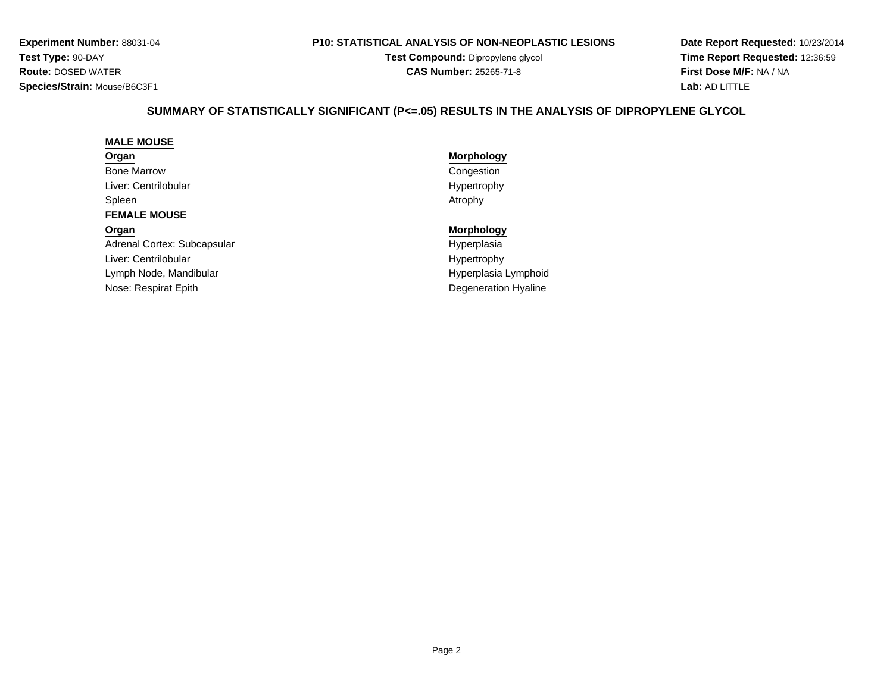**Experiment Number:** 88031-04**Test Type:** 90-DAY **Route:** DOSED WATER**Species/Strain:** Mouse/B6C3F1

#### **P10: STATISTICAL ANALYSIS OF NON-NEOPLASTIC LESIONS**

**Test Compound:** Dipropylene glycol **CAS Number:** 25265-71-8

**Date Report Requested:** 10/23/2014**Time Report Requested:** 12:36:59**First Dose M/F:** NA / NA**Lab:** AD LITTLE

# **SUMMARY OF STATISTICALLY SIGNIFICANT (P<=.05) RESULTS IN THE ANALYSIS OF DIPROPYLENE GLYCOL**

#### **MALE MOUSE**

#### **Organ**

Bone MarrowLiver: CentrilobularSpleenn and the contract of the contract of the contract of the contract of the contract of the contract of the contract of the contract of the contract of the contract of the contract of the contract of the contract of the cont

#### **FEMALE MOUSE**

# **Organ**

Adrenal Cortex: SubcapsularLiver: CentrilobularLymph Node, MandibularNose: Respirat Epith

# **Morphology** Congestion Hypertrophy

#### **Morphology**

 Hyperplasiar **Hypertrophy** r **External Structure Controller and Structure Controller Controller Controller Controller Controller Controller** h **Degeneration Hyaline**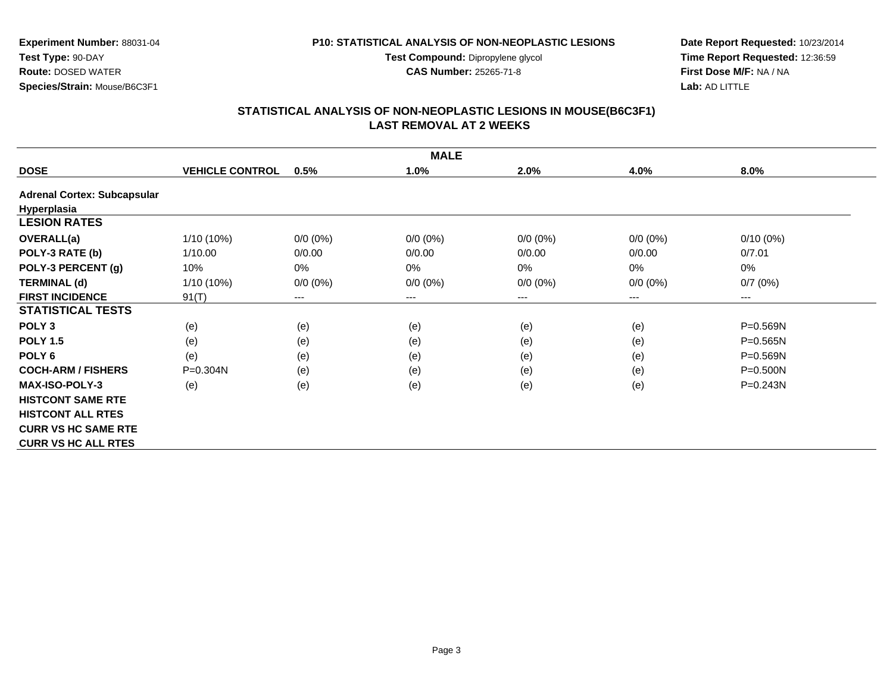**Test Compound:** Dipropylene glycol

**CAS Number:** 25265-71-8

**Date Report Requested:** 10/23/2014**Time Report Requested:** 12:36:59**First Dose M/F:** NA / NA**Lab:** AD LITTLE

#### **STATISTICAL ANALYSIS OF NON-NEOPLASTIC LESIONS IN MOUSE(B6C3F1) LAST REMOVAL AT 2 WEEKS**

|                                    |                        |             | <b>MALE</b> |             |             |              |
|------------------------------------|------------------------|-------------|-------------|-------------|-------------|--------------|
| <b>DOSE</b>                        | <b>VEHICLE CONTROL</b> | 0.5%        | 1.0%        | 2.0%        | 4.0%        | 8.0%         |
| <b>Adrenal Cortex: Subcapsular</b> |                        |             |             |             |             |              |
| Hyperplasia                        |                        |             |             |             |             |              |
| <b>LESION RATES</b>                |                        |             |             |             |             |              |
| <b>OVERALL(a)</b>                  | 1/10 (10%)             | $0/0 (0\%)$ | $0/0 (0\%)$ | $0/0 (0\%)$ | $0/0(0\%)$  | $0/10(0\%)$  |
| POLY-3 RATE (b)                    | 1/10.00                | 0/0.00      | 0/0.00      | 0/0.00      | 0/0.00      | 0/7.01       |
| POLY-3 PERCENT (g)                 | 10%                    | 0%          | 0%          | 0%          | 0%          | $0\%$        |
| <b>TERMINAL (d)</b>                | 1/10 (10%)             | $0/0 (0\%)$ | $0/0 (0\%)$ | $0/0 (0\%)$ | $0/0 (0\%)$ | 0/7(0%)      |
| <b>FIRST INCIDENCE</b>             | 91(T)                  | $---$       | $---$       | ---         | ---         | $---$        |
| <b>STATISTICAL TESTS</b>           |                        |             |             |             |             |              |
| POLY <sub>3</sub>                  | (e)                    | (e)         | (e)         | (e)         | (e)         | P=0.569N     |
| <b>POLY 1.5</b>                    | (e)                    | (e)         | (e)         | (e)         | (e)         | $P = 0.565N$ |
| POLY <sub>6</sub>                  | (e)                    | (e)         | (e)         | (e)         | (e)         | $P = 0.569N$ |
| <b>COCH-ARM / FISHERS</b>          | $P = 0.304N$           | (e)         | (e)         | (e)         | (e)         | $P = 0.500N$ |
| <b>MAX-ISO-POLY-3</b>              | (e)                    | (e)         | (e)         | (e)         | (e)         | $P = 0.243N$ |
| <b>HISTCONT SAME RTE</b>           |                        |             |             |             |             |              |
| <b>HISTCONT ALL RTES</b>           |                        |             |             |             |             |              |
| <b>CURR VS HC SAME RTE</b>         |                        |             |             |             |             |              |
| <b>CURR VS HC ALL RTES</b>         |                        |             |             |             |             |              |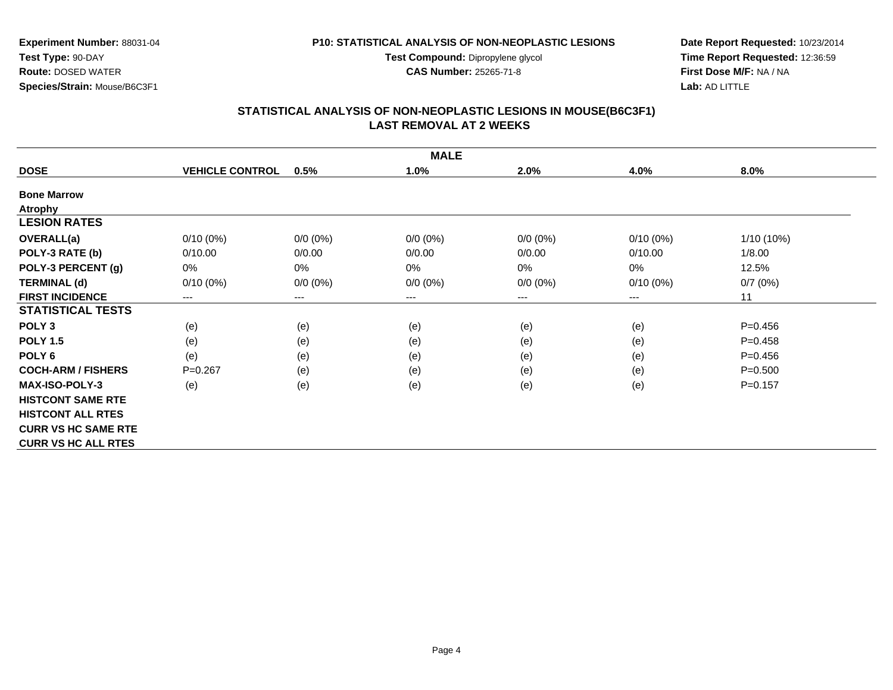**Test Compound:** Dipropylene glycol

**CAS Number:** 25265-71-8

**Date Report Requested:** 10/23/2014**Time Report Requested:** 12:36:59**First Dose M/F:** NA / NA**Lab:** AD LITTLE

## **STATISTICAL ANALYSIS OF NON-NEOPLASTIC LESIONS IN MOUSE(B6C3F1) LAST REMOVAL AT 2 WEEKS**

|                            |                        |             | <b>MALE</b>            |             |             |              |
|----------------------------|------------------------|-------------|------------------------|-------------|-------------|--------------|
| <b>DOSE</b>                | <b>VEHICLE CONTROL</b> | 0.5%        | 1.0%                   | 2.0%        | 4.0%        | 8.0%         |
| <b>Bone Marrow</b>         |                        |             |                        |             |             |              |
| <b>Atrophy</b>             |                        |             |                        |             |             |              |
| <b>LESION RATES</b>        |                        |             |                        |             |             |              |
| <b>OVERALL(a)</b>          | $0/10(0\%)$            | $0/0 (0\%)$ | $0/0 (0\%)$            | $0/0 (0\%)$ | $0/10(0\%)$ | $1/10(10\%)$ |
| POLY-3 RATE (b)            | 0/10.00                | 0/0.00      | 0/0.00                 | 0/0.00      | 0/10.00     | 1/8.00       |
| POLY-3 PERCENT (g)         | 0%                     | 0%          | 0%                     | 0%          | $0\%$       | 12.5%        |
| <b>TERMINAL (d)</b>        | $0/10(0\%)$            | $0/0 (0\%)$ | $0/0 (0\%)$            | $0/0 (0\%)$ | $0/10(0\%)$ | 0/7(0%)      |
| <b>FIRST INCIDENCE</b>     | ---                    | ---         | $\qquad \qquad \cdots$ | ---         | ---         | 11           |
| <b>STATISTICAL TESTS</b>   |                        |             |                        |             |             |              |
| POLY <sub>3</sub>          | (e)                    | (e)         | (e)                    | (e)         | (e)         | $P=0.456$    |
| <b>POLY 1.5</b>            | (e)                    | (e)         | (e)                    | (e)         | (e)         | $P=0.458$    |
| POLY <sub>6</sub>          | (e)                    | (e)         | (e)                    | (e)         | (e)         | $P=0.456$    |
| <b>COCH-ARM / FISHERS</b>  | $P=0.267$              | (e)         | (e)                    | (e)         | (e)         | $P = 0.500$  |
| <b>MAX-ISO-POLY-3</b>      | (e)                    | (e)         | (e)                    | (e)         | (e)         | $P=0.157$    |
| <b>HISTCONT SAME RTE</b>   |                        |             |                        |             |             |              |
| <b>HISTCONT ALL RTES</b>   |                        |             |                        |             |             |              |
| <b>CURR VS HC SAME RTE</b> |                        |             |                        |             |             |              |
| <b>CURR VS HC ALL RTES</b> |                        |             |                        |             |             |              |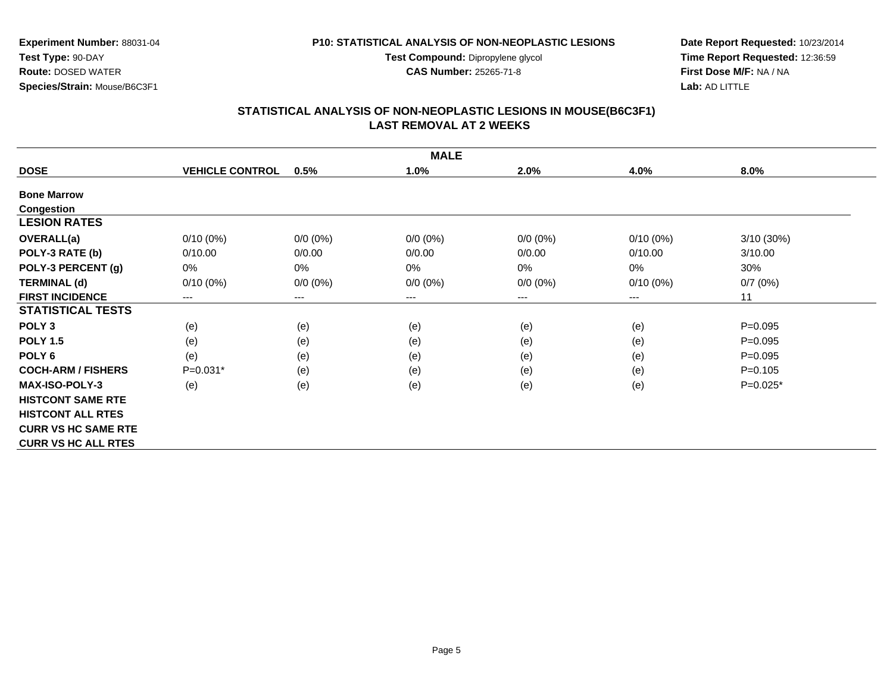**Test Compound:** Dipropylene glycol

**CAS Number:** 25265-71-8

**Date Report Requested:** 10/23/2014**Time Report Requested:** 12:36:59**First Dose M/F:** NA / NA**Lab:** AD LITTLE

#### **STATISTICAL ANALYSIS OF NON-NEOPLASTIC LESIONS IN MOUSE(B6C3F1) LAST REMOVAL AT 2 WEEKS**

|                            |                        |             | <b>MALE</b> |             |             |             |
|----------------------------|------------------------|-------------|-------------|-------------|-------------|-------------|
| <b>DOSE</b>                | <b>VEHICLE CONTROL</b> | 0.5%        | 1.0%        | 2.0%        | 4.0%        | 8.0%        |
| <b>Bone Marrow</b>         |                        |             |             |             |             |             |
| Congestion                 |                        |             |             |             |             |             |
| <b>LESION RATES</b>        |                        |             |             |             |             |             |
| <b>OVERALL(a)</b>          | $0/10(0\%)$            | $0/0 (0\%)$ | $0/0 (0\%)$ | $0/0 (0\%)$ | $0/10(0\%)$ | 3/10(30%)   |
| POLY-3 RATE (b)            | 0/10.00                | 0/0.00      | 0/0.00      | 0/0.00      | 0/10.00     | 3/10.00     |
| POLY-3 PERCENT (g)         | 0%                     | 0%          | 0%          | 0%          | $0\%$       | 30%         |
| <b>TERMINAL (d)</b>        | $0/10(0\%)$            | $0/0 (0\%)$ | $0/0 (0\%)$ | $0/0 (0\%)$ | $0/10(0\%)$ | 0/7(0%)     |
| <b>FIRST INCIDENCE</b>     | ---                    | ---         | $\cdots$    | ---         | $---$       | 11          |
| <b>STATISTICAL TESTS</b>   |                        |             |             |             |             |             |
| POLY <sub>3</sub>          | (e)                    | (e)         | (e)         | (e)         | (e)         | $P = 0.095$ |
| <b>POLY 1.5</b>            | (e)                    | (e)         | (e)         | (e)         | (e)         | $P = 0.095$ |
| POLY 6                     | (e)                    | (e)         | (e)         | (e)         | (e)         | $P = 0.095$ |
| <b>COCH-ARM / FISHERS</b>  | $P=0.031*$             | (e)         | (e)         | (e)         | (e)         | $P = 0.105$ |
| <b>MAX-ISO-POLY-3</b>      | (e)                    | (e)         | (e)         | (e)         | (e)         | $P=0.025*$  |
| <b>HISTCONT SAME RTE</b>   |                        |             |             |             |             |             |
| <b>HISTCONT ALL RTES</b>   |                        |             |             |             |             |             |
| <b>CURR VS HC SAME RTE</b> |                        |             |             |             |             |             |
| <b>CURR VS HC ALL RTES</b> |                        |             |             |             |             |             |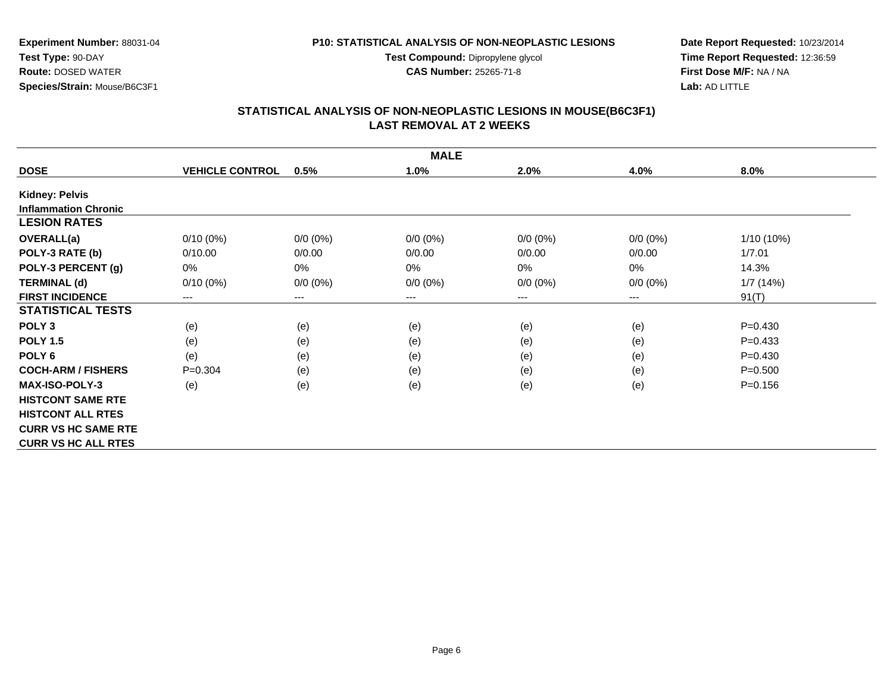**Test Compound:** Dipropylene glycol

**CAS Number:** 25265-71-8

**Date Report Requested:** 10/23/2014**Time Report Requested:** 12:36:59**First Dose M/F:** NA / NA**Lab:** AD LITTLE

#### **STATISTICAL ANALYSIS OF NON-NEOPLASTIC LESIONS IN MOUSE(B6C3F1) LAST REMOVAL AT 2 WEEKS**

|                             |                        |             | <b>MALE</b>            |             |             |              |
|-----------------------------|------------------------|-------------|------------------------|-------------|-------------|--------------|
| <b>DOSE</b>                 | <b>VEHICLE CONTROL</b> | 0.5%        | 1.0%                   | 2.0%        | 4.0%        | $8.0\%$      |
| <b>Kidney: Pelvis</b>       |                        |             |                        |             |             |              |
| <b>Inflammation Chronic</b> |                        |             |                        |             |             |              |
| <b>LESION RATES</b>         |                        |             |                        |             |             |              |
| <b>OVERALL(a)</b>           | $0/10(0\%)$            | $0/0 (0\%)$ | $0/0 (0\%)$            | $0/0 (0\%)$ | $0/0 (0\%)$ | $1/10(10\%)$ |
| POLY-3 RATE (b)             | 0/10.00                | 0/0.00      | 0/0.00                 | 0/0.00      | 0/0.00      | 1/7.01       |
| POLY-3 PERCENT (g)          | 0%                     | 0%          | 0%                     | 0%          | 0%          | 14.3%        |
| <b>TERMINAL (d)</b>         | $0/10(0\%)$            | $0/0 (0\%)$ | $0/0 (0\%)$            | $0/0 (0\%)$ | $0/0 (0\%)$ | 1/7(14%)     |
| <b>FIRST INCIDENCE</b>      | ---                    | ---         | $\qquad \qquad \cdots$ | ---         | ---         | 91(T)        |
| <b>STATISTICAL TESTS</b>    |                        |             |                        |             |             |              |
| POLY <sub>3</sub>           | (e)                    | (e)         | (e)                    | (e)         | (e)         | $P=0.430$    |
| <b>POLY 1.5</b>             | (e)                    | (e)         | (e)                    | (e)         | (e)         | $P=0.433$    |
| POLY <sub>6</sub>           | (e)                    | (e)         | (e)                    | (e)         | (e)         | $P=0.430$    |
| <b>COCH-ARM / FISHERS</b>   | $P=0.304$              | (e)         | (e)                    | (e)         | (e)         | $P = 0.500$  |
| <b>MAX-ISO-POLY-3</b>       | (e)                    | (e)         | (e)                    | (e)         | (e)         | $P = 0.156$  |
| <b>HISTCONT SAME RTE</b>    |                        |             |                        |             |             |              |
| <b>HISTCONT ALL RTES</b>    |                        |             |                        |             |             |              |
| <b>CURR VS HC SAME RTE</b>  |                        |             |                        |             |             |              |
| <b>CURR VS HC ALL RTES</b>  |                        |             |                        |             |             |              |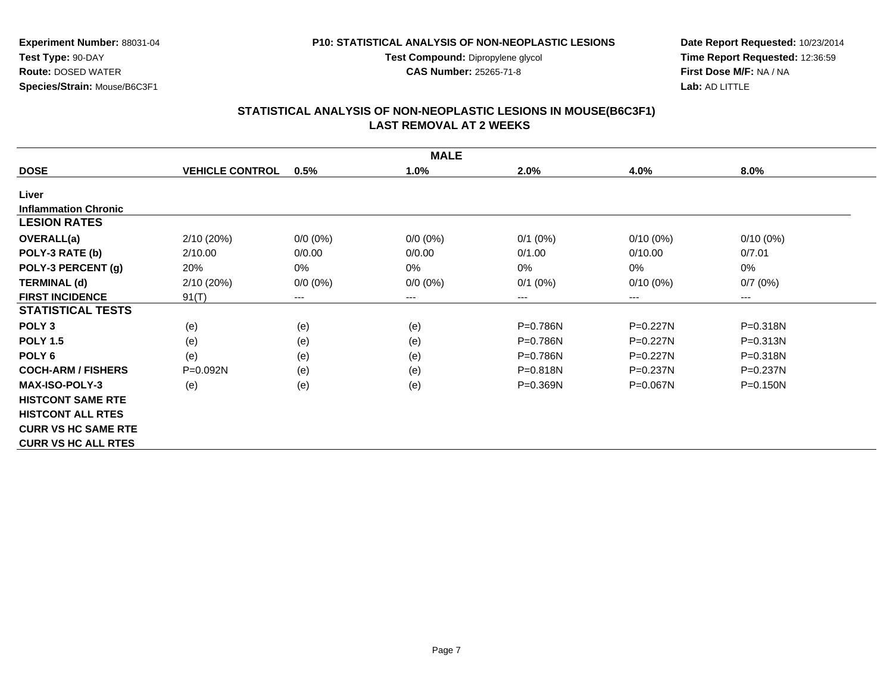**Test Compound:** Dipropylene glycol

**CAS Number:** 25265-71-8

**Date Report Requested:** 10/23/2014**Time Report Requested:** 12:36:59**First Dose M/F:** NA / NA**Lab:** AD LITTLE

#### **STATISTICAL ANALYSIS OF NON-NEOPLASTIC LESIONS IN MOUSE(B6C3F1) LAST REMOVAL AT 2 WEEKS**

|                             |                        |                        | <b>MALE</b> |              |              |                        |
|-----------------------------|------------------------|------------------------|-------------|--------------|--------------|------------------------|
| <b>DOSE</b>                 | <b>VEHICLE CONTROL</b> | 0.5%                   | 1.0%        | 2.0%         | 4.0%         | 8.0%                   |
| Liver                       |                        |                        |             |              |              |                        |
| <b>Inflammation Chronic</b> |                        |                        |             |              |              |                        |
| <b>LESION RATES</b>         |                        |                        |             |              |              |                        |
| OVERALL(a)                  | 2/10(20%)              | $0/0 (0\%)$            | $0/0 (0\%)$ | $0/1$ (0%)   | $0/10(0\%)$  | $0/10(0\%)$            |
| POLY-3 RATE (b)             | 2/10.00                | 0/0.00                 | 0/0.00      | 0/1.00       | 0/10.00      | 0/7.01                 |
| POLY-3 PERCENT (g)          | 20%                    | $0\%$                  | $0\%$       | 0%           | 0%           | 0%                     |
| <b>TERMINAL (d)</b>         | 2/10(20%)              | $0/0 (0\%)$            | $0/0 (0\%)$ | $0/1$ (0%)   | $0/10(0\%)$  | 0/7(0%)                |
| <b>FIRST INCIDENCE</b>      | 91(T)                  | $\qquad \qquad \cdots$ | $--$        | ---          | ---          | $\qquad \qquad \cdots$ |
| <b>STATISTICAL TESTS</b>    |                        |                        |             |              |              |                        |
| POLY <sub>3</sub>           | (e)                    | (e)                    | (e)         | P=0.786N     | $P=0.227N$   | P=0.318N               |
| <b>POLY 1.5</b>             | (e)                    | (e)                    | (e)         | P=0.786N     | $P=0.227N$   | $P = 0.313N$           |
| POLY <sub>6</sub>           | (e)                    | (e)                    | (e)         | P=0.786N     | $P=0.227N$   | $P = 0.318N$           |
| <b>COCH-ARM / FISHERS</b>   | $P = 0.092N$           | (e)                    | (e)         | $P = 0.818N$ | $P = 0.237N$ | $P = 0.237N$           |
| <b>MAX-ISO-POLY-3</b>       | (e)                    | (e)                    | (e)         | $P = 0.369N$ | $P = 0.067N$ | $P = 0.150N$           |
| <b>HISTCONT SAME RTE</b>    |                        |                        |             |              |              |                        |
| <b>HISTCONT ALL RTES</b>    |                        |                        |             |              |              |                        |
| <b>CURR VS HC SAME RTE</b>  |                        |                        |             |              |              |                        |
| <b>CURR VS HC ALL RTES</b>  |                        |                        |             |              |              |                        |

**Experiment Number:** 88031-04**Test Type:** 90-DAY**Route:** DOSED WATER

**Species/Strain:** Mouse/B6C3F1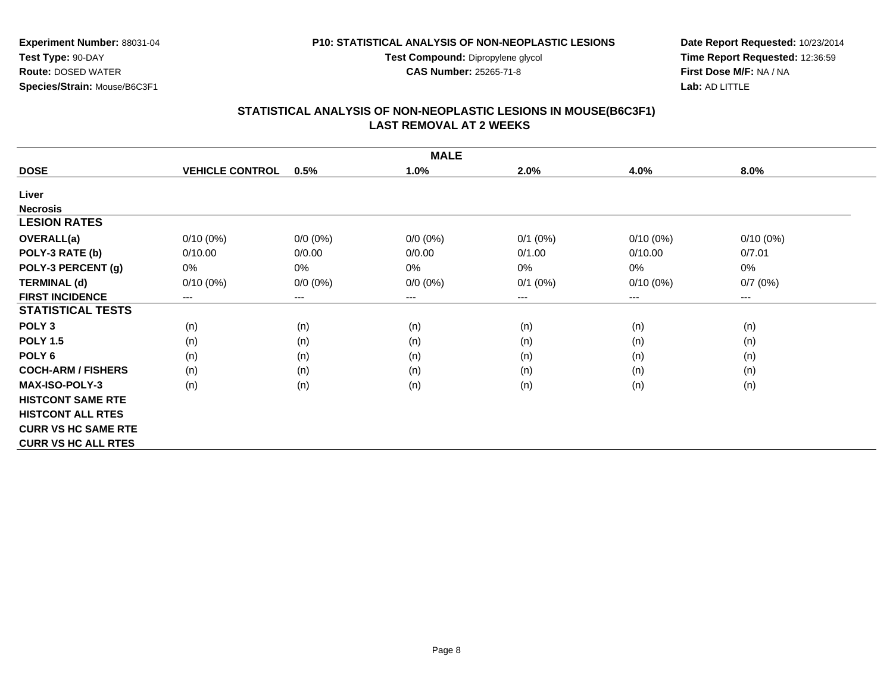**Test Compound:** Dipropylene glycol

**CAS Number:** 25265-71-8

**Date Report Requested:** 10/23/2014**Time Report Requested:** 12:36:59**First Dose M/F:** NA / NA**Lab:** AD LITTLE

#### **STATISTICAL ANALYSIS OF NON-NEOPLASTIC LESIONS IN MOUSE(B6C3F1) LAST REMOVAL AT 2 WEEKS**

|                            |                        |             | <b>MALE</b> |              |             |             |
|----------------------------|------------------------|-------------|-------------|--------------|-------------|-------------|
| <b>DOSE</b>                | <b>VEHICLE CONTROL</b> | 0.5%        | 1.0%        | 2.0%         | 4.0%        | 8.0%        |
| Liver                      |                        |             |             |              |             |             |
| <b>Necrosis</b>            |                        |             |             |              |             |             |
| <b>LESION RATES</b>        |                        |             |             |              |             |             |
| OVERALL(a)                 | $0/10(0\%)$            | $0/0 (0\%)$ | $0/0 (0\%)$ | $0/1$ $(0%)$ | $0/10(0\%)$ | $0/10(0\%)$ |
| POLY-3 RATE (b)            | 0/10.00                | 0/0.00      | 0/0.00      | 0/1.00       | 0/10.00     | 0/7.01      |
| POLY-3 PERCENT (g)         | 0%                     | 0%          | 0%          | 0%           | 0%          | 0%          |
| <b>TERMINAL (d)</b>        | $0/10(0\%)$            | $0/0 (0\%)$ | $0/0 (0\%)$ | $0/1$ $(0%)$ | $0/10(0\%)$ | 0/7(0%)     |
| <b>FIRST INCIDENCE</b>     | ---                    | ---         | $\cdots$    | ---          | $---$       | $---$       |
| <b>STATISTICAL TESTS</b>   |                        |             |             |              |             |             |
| POLY <sub>3</sub>          | (n)                    | (n)         | (n)         | (n)          | (n)         | (n)         |
| <b>POLY 1.5</b>            | (n)                    | (n)         | (n)         | (n)          | (n)         | (n)         |
| POLY 6                     | (n)                    | (n)         | (n)         | (n)          | (n)         | (n)         |
| <b>COCH-ARM / FISHERS</b>  | (n)                    | (n)         | (n)         | (n)          | (n)         | (n)         |
| <b>MAX-ISO-POLY-3</b>      | (n)                    | (n)         | (n)         | (n)          | (n)         | (n)         |
| <b>HISTCONT SAME RTE</b>   |                        |             |             |              |             |             |
| <b>HISTCONT ALL RTES</b>   |                        |             |             |              |             |             |
| <b>CURR VS HC SAME RTE</b> |                        |             |             |              |             |             |
| <b>CURR VS HC ALL RTES</b> |                        |             |             |              |             |             |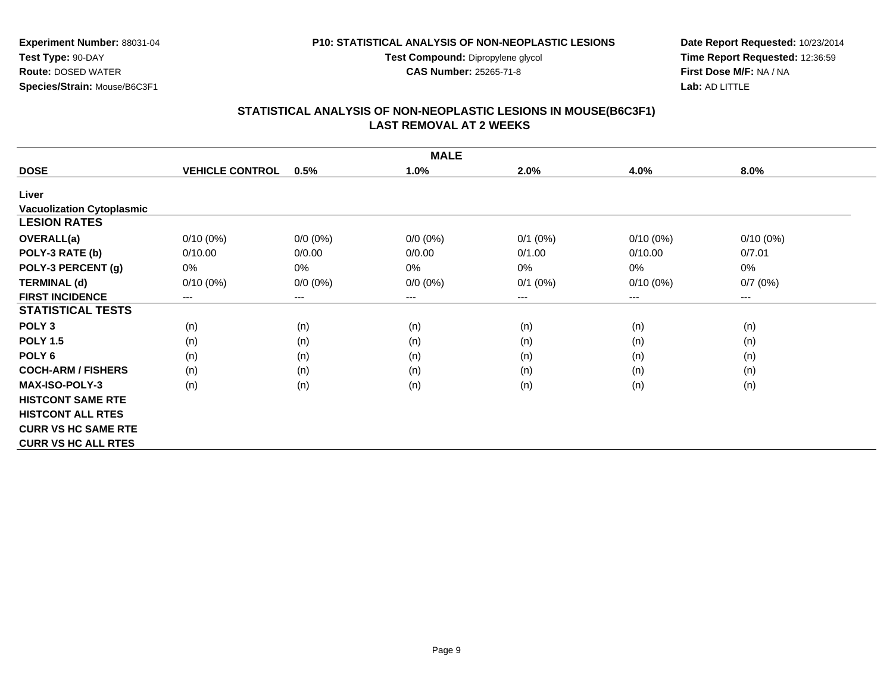**Test Compound:** Dipropylene glycol

**CAS Number:** 25265-71-8

**Date Report Requested:** 10/23/2014**Time Report Requested:** 12:36:59**First Dose M/F:** NA / NA**Lab:** AD LITTLE

# **STATISTICAL ANALYSIS OF NON-NEOPLASTIC LESIONS IN MOUSE(B6C3F1) LAST REMOVAL AT 2 WEEKS**

|                                  |                        |                        | <b>MALE</b> |              |             |                        |
|----------------------------------|------------------------|------------------------|-------------|--------------|-------------|------------------------|
| <b>DOSE</b>                      | <b>VEHICLE CONTROL</b> | 0.5%                   | 1.0%        | 2.0%         | 4.0%        | 8.0%                   |
| Liver                            |                        |                        |             |              |             |                        |
| <b>Vacuolization Cytoplasmic</b> |                        |                        |             |              |             |                        |
| <b>LESION RATES</b>              |                        |                        |             |              |             |                        |
| OVERALL(a)                       | $0/10(0\%)$            | $0/0 (0\%)$            | $0/0 (0\%)$ | $0/1$ (0%)   | $0/10(0\%)$ | $0/10(0\%)$            |
| POLY-3 RATE (b)                  | 0/10.00                | 0/0.00                 | 0/0.00      | 0/1.00       | 0/10.00     | 0/7.01                 |
| POLY-3 PERCENT (g)               | 0%                     | 0%                     | 0%          | 0%           | 0%          | 0%                     |
| <b>TERMINAL (d)</b>              | $0/10(0\%)$            | $0/0 (0\%)$            | $0/0 (0\%)$ | $0/1$ $(0%)$ | $0/10(0\%)$ | 0/7(0%)                |
| <b>FIRST INCIDENCE</b>           | ---                    | $\qquad \qquad \cdots$ | $--$        | ---          | ---         | $\qquad \qquad \cdots$ |
| <b>STATISTICAL TESTS</b>         |                        |                        |             |              |             |                        |
| POLY <sub>3</sub>                | (n)                    | (n)                    | (n)         | (n)          | (n)         | (n)                    |
| <b>POLY 1.5</b>                  | (n)                    | (n)                    | (n)         | (n)          | (n)         | (n)                    |
| POLY 6                           | (n)                    | (n)                    | (n)         | (n)          | (n)         | (n)                    |
| <b>COCH-ARM / FISHERS</b>        | (n)                    | (n)                    | (n)         | (n)          | (n)         | (n)                    |
| <b>MAX-ISO-POLY-3</b>            | (n)                    | (n)                    | (n)         | (n)          | (n)         | (n)                    |
| <b>HISTCONT SAME RTE</b>         |                        |                        |             |              |             |                        |
| <b>HISTCONT ALL RTES</b>         |                        |                        |             |              |             |                        |
| <b>CURR VS HC SAME RTE</b>       |                        |                        |             |              |             |                        |
| <b>CURR VS HC ALL RTES</b>       |                        |                        |             |              |             |                        |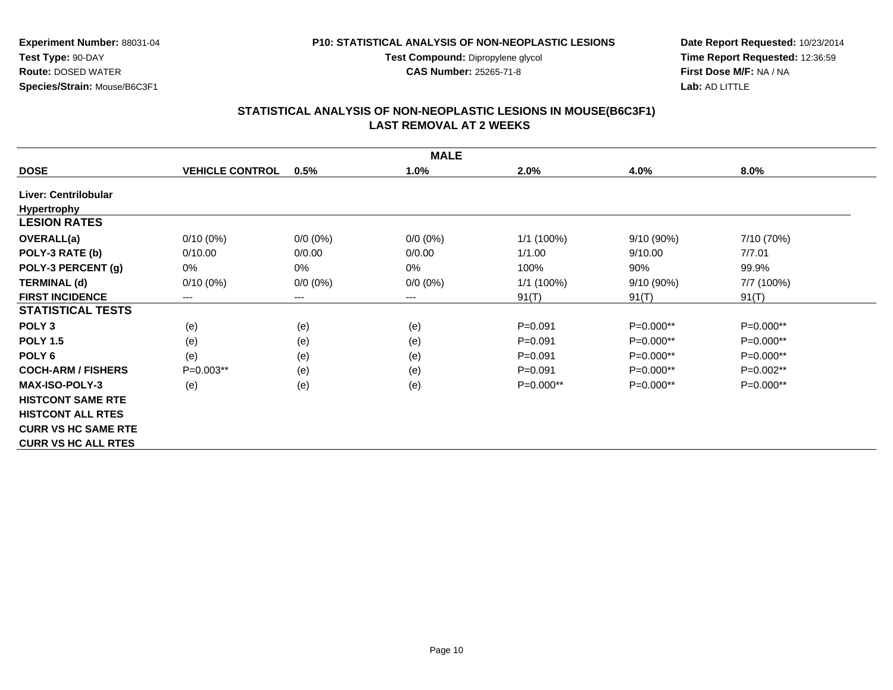**Test Compound:** Dipropylene glycol

**CAS Number:** 25265-71-8

**Date Report Requested:** 10/23/2014**Time Report Requested:** 12:36:59**First Dose M/F:** NA / NA**Lab:** AD LITTLE

#### **STATISTICAL ANALYSIS OF NON-NEOPLASTIC LESIONS IN MOUSE(B6C3F1) LAST REMOVAL AT 2 WEEKS**

|                            | <b>MALE</b>            |             |             |             |              |             |  |  |
|----------------------------|------------------------|-------------|-------------|-------------|--------------|-------------|--|--|
| <b>DOSE</b>                | <b>VEHICLE CONTROL</b> | 0.5%        | 1.0%        | 2.0%        | 4.0%         | 8.0%        |  |  |
| Liver: Centrilobular       |                        |             |             |             |              |             |  |  |
| <b>Hypertrophy</b>         |                        |             |             |             |              |             |  |  |
| <b>LESION RATES</b>        |                        |             |             |             |              |             |  |  |
| OVERALL(a)                 | $0/10(0\%)$            | $0/0 (0\%)$ | $0/0 (0\%)$ | 1/1 (100%)  | $9/10(90\%)$ | 7/10 (70%)  |  |  |
| POLY-3 RATE (b)            | 0/10.00                | 0/0.00      | 0/0.00      | 1/1.00      | 9/10.00      | 7/7.01      |  |  |
| POLY-3 PERCENT (g)         | 0%                     | 0%          | $0\%$       | 100%        | 90%          | 99.9%       |  |  |
| <b>TERMINAL (d)</b>        | $0/10(0\%)$            | $0/0 (0\%)$ | $0/0 (0\%)$ | 1/1 (100%)  | 9/10(90%)    | 7/7 (100%)  |  |  |
| <b>FIRST INCIDENCE</b>     | ---                    | ---         | ---         | 91(T)       | 91(T)        | 91(T)       |  |  |
| <b>STATISTICAL TESTS</b>   |                        |             |             |             |              |             |  |  |
| POLY <sub>3</sub>          | (e)                    | (e)         | (e)         | $P = 0.091$ | P=0.000**    | $P=0.000**$ |  |  |
| <b>POLY 1.5</b>            | (e)                    | (e)         | (e)         | $P = 0.091$ | P=0.000**    | $P=0.000**$ |  |  |
| POLY 6                     | (e)                    | (e)         | (e)         | $P = 0.091$ | P=0.000**    | $P=0.000**$ |  |  |
| <b>COCH-ARM / FISHERS</b>  | $P=0.003**$            | (e)         | (e)         | $P = 0.091$ | $P=0.000**$  | $P=0.002**$ |  |  |
| <b>MAX-ISO-POLY-3</b>      | (e)                    | (e)         | (e)         | $P=0.000**$ | P=0.000**    | $P=0.000**$ |  |  |
| <b>HISTCONT SAME RTE</b>   |                        |             |             |             |              |             |  |  |
| <b>HISTCONT ALL RTES</b>   |                        |             |             |             |              |             |  |  |
| <b>CURR VS HC SAME RTE</b> |                        |             |             |             |              |             |  |  |
| <b>CURR VS HC ALL RTES</b> |                        |             |             |             |              |             |  |  |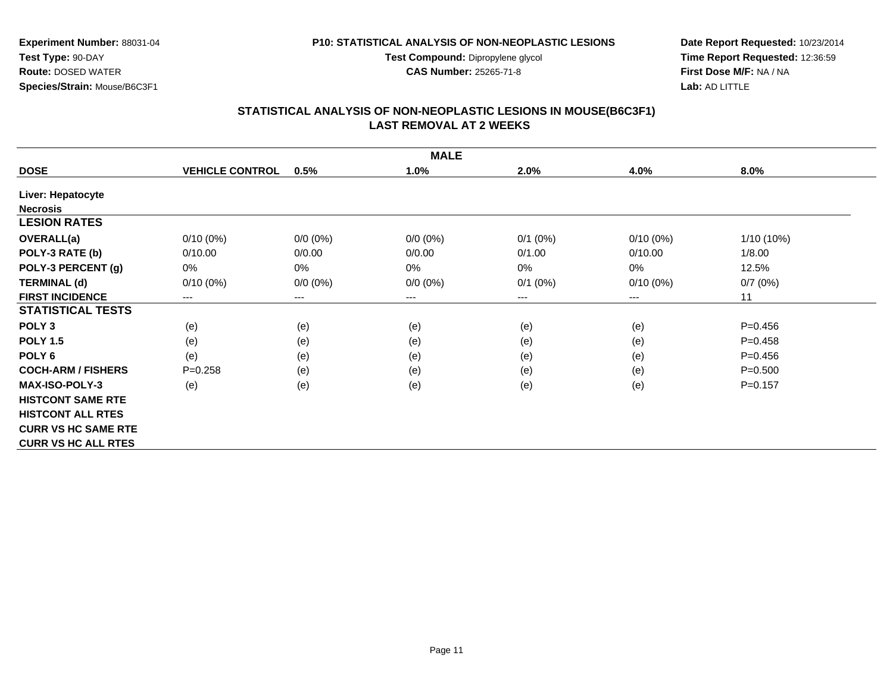**Test Compound:** Dipropylene glycol

**CAS Number:** 25265-71-8

**Date Report Requested:** 10/23/2014**Time Report Requested:** 12:36:59**First Dose M/F:** NA / NA**Lab:** AD LITTLE

#### **STATISTICAL ANALYSIS OF NON-NEOPLASTIC LESIONS IN MOUSE(B6C3F1) LAST REMOVAL AT 2 WEEKS**

|                            |                        |             | <b>MALE</b> |              |             |              |
|----------------------------|------------------------|-------------|-------------|--------------|-------------|--------------|
| <b>DOSE</b>                | <b>VEHICLE CONTROL</b> | 0.5%        | 1.0%        | 2.0%         | 4.0%        | 8.0%         |
| Liver: Hepatocyte          |                        |             |             |              |             |              |
| <b>Necrosis</b>            |                        |             |             |              |             |              |
| <b>LESION RATES</b>        |                        |             |             |              |             |              |
| <b>OVERALL(a)</b>          | $0/10(0\%)$            | $0/0 (0\%)$ | $0/0 (0\%)$ | $0/1$ $(0%)$ | $0/10(0\%)$ | $1/10(10\%)$ |
| POLY-3 RATE (b)            | 0/10.00                | 0/0.00      | 0/0.00      | 0/1.00       | 0/10.00     | 1/8.00       |
| POLY-3 PERCENT (g)         | 0%                     | 0%          | 0%          | 0%           | $0\%$       | 12.5%        |
| <b>TERMINAL (d)</b>        | $0/10(0\%)$            | $0/0 (0\%)$ | $0/0 (0\%)$ | $0/1$ $(0%)$ | $0/10(0\%)$ | 0/7(0%)      |
| <b>FIRST INCIDENCE</b>     | ---                    | ---         | $\cdots$    | ---          | $---$       | 11           |
| <b>STATISTICAL TESTS</b>   |                        |             |             |              |             |              |
| POLY <sub>3</sub>          | (e)                    | (e)         | (e)         | (e)          | (e)         | $P=0.456$    |
| <b>POLY 1.5</b>            | (e)                    | (e)         | (e)         | (e)          | (e)         | $P=0.458$    |
| POLY 6                     | (e)                    | (e)         | (e)         | (e)          | (e)         | $P=0.456$    |
| <b>COCH-ARM / FISHERS</b>  | $P = 0.258$            | (e)         | (e)         | (e)          | (e)         | $P = 0.500$  |
| <b>MAX-ISO-POLY-3</b>      | (e)                    | (e)         | (e)         | (e)          | (e)         | $P=0.157$    |
| <b>HISTCONT SAME RTE</b>   |                        |             |             |              |             |              |
| <b>HISTCONT ALL RTES</b>   |                        |             |             |              |             |              |
| <b>CURR VS HC SAME RTE</b> |                        |             |             |              |             |              |
| <b>CURR VS HC ALL RTES</b> |                        |             |             |              |             |              |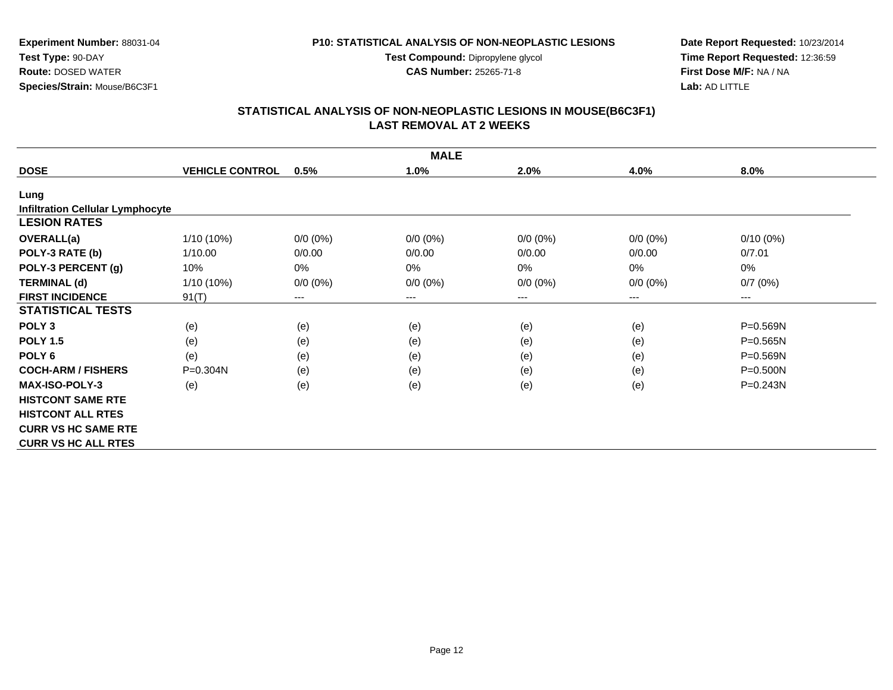**Test Compound:** Dipropylene glycol

**CAS Number:** 25265-71-8

**Date Report Requested:** 10/23/2014**Time Report Requested:** 12:36:59**First Dose M/F:** NA / NA**Lab:** AD LITTLE

## **STATISTICAL ANALYSIS OF NON-NEOPLASTIC LESIONS IN MOUSE(B6C3F1) LAST REMOVAL AT 2 WEEKS**

|                                         | <b>MALE</b>            |             |             |             |             |              |  |  |
|-----------------------------------------|------------------------|-------------|-------------|-------------|-------------|--------------|--|--|
| <b>DOSE</b>                             | <b>VEHICLE CONTROL</b> | 0.5%        | 1.0%        | 2.0%        | 4.0%        | 8.0%         |  |  |
| Lung                                    |                        |             |             |             |             |              |  |  |
| <b>Infiltration Cellular Lymphocyte</b> |                        |             |             |             |             |              |  |  |
| <b>LESION RATES</b>                     |                        |             |             |             |             |              |  |  |
| OVERALL(a)                              | 1/10 (10%)             | $0/0 (0\%)$ | $0/0 (0\%)$ | $0/0 (0\%)$ | $0/0 (0\%)$ | $0/10(0\%)$  |  |  |
| POLY-3 RATE (b)                         | 1/10.00                | 0/0.00      | 0/0.00      | 0/0.00      | 0/0.00      | 0/7.01       |  |  |
| POLY-3 PERCENT (g)                      | 10%                    | 0%          | 0%          | 0%          | 0%          | 0%           |  |  |
| <b>TERMINAL (d)</b>                     | 1/10 (10%)             | $0/0 (0\%)$ | $0/0 (0\%)$ | $0/0 (0\%)$ | $0/0 (0\%)$ | 0/7(0%)      |  |  |
| <b>FIRST INCIDENCE</b>                  | 91(T)                  | $---$       | ---         | ---         | $---$       | ---          |  |  |
| <b>STATISTICAL TESTS</b>                |                        |             |             |             |             |              |  |  |
| POLY <sub>3</sub>                       | (e)                    | (e)         | (e)         | (e)         | (e)         | $P = 0.569N$ |  |  |
| <b>POLY 1.5</b>                         | (e)                    | (e)         | (e)         | (e)         | (e)         | $P = 0.565N$ |  |  |
| POLY <sub>6</sub>                       | (e)                    | (e)         | (e)         | (e)         | (e)         | P=0.569N     |  |  |
| <b>COCH-ARM / FISHERS</b>               | $P = 0.304N$           | (e)         | (e)         | (e)         | (e)         | $P = 0.500N$ |  |  |
| <b>MAX-ISO-POLY-3</b>                   | (e)                    | (e)         | (e)         | (e)         | (e)         | $P = 0.243N$ |  |  |
| <b>HISTCONT SAME RTE</b>                |                        |             |             |             |             |              |  |  |
| <b>HISTCONT ALL RTES</b>                |                        |             |             |             |             |              |  |  |
| <b>CURR VS HC SAME RTE</b>              |                        |             |             |             |             |              |  |  |
| <b>CURR VS HC ALL RTES</b>              |                        |             |             |             |             |              |  |  |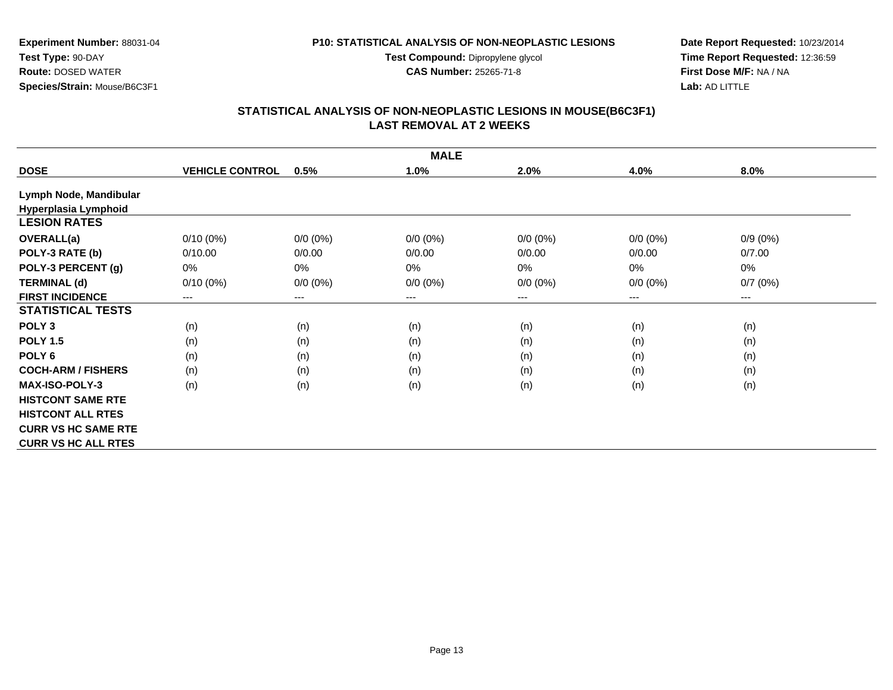**Test Compound:** Dipropylene glycol

**CAS Number:** 25265-71-8

**Date Report Requested:** 10/23/2014**Time Report Requested:** 12:36:59**First Dose M/F:** NA / NA**Lab:** AD LITTLE

#### **STATISTICAL ANALYSIS OF NON-NEOPLASTIC LESIONS IN MOUSE(B6C3F1) LAST REMOVAL AT 2 WEEKS**

|                            |                        |             | <b>MALE</b> |             |             |                                          |
|----------------------------|------------------------|-------------|-------------|-------------|-------------|------------------------------------------|
| <b>DOSE</b>                | <b>VEHICLE CONTROL</b> | 0.5%        | 1.0%        | 2.0%        | 4.0%        | 8.0%                                     |
| Lymph Node, Mandibular     |                        |             |             |             |             |                                          |
| Hyperplasia Lymphoid       |                        |             |             |             |             |                                          |
| <b>LESION RATES</b>        |                        |             |             |             |             |                                          |
| <b>OVERALL(a)</b>          | $0/10(0\%)$            | $0/0 (0\%)$ | $0/0 (0\%)$ | $0/0 (0\%)$ | $0/0(0\%)$  | $0/9(0\%)$                               |
| POLY-3 RATE (b)            | 0/10.00                | 0/0.00      | 0/0.00      | 0/0.00      | 0/0.00      | 0/7.00                                   |
| POLY-3 PERCENT (g)         | 0%                     | 0%          | 0%          | 0%          | $0\%$       | 0%                                       |
| <b>TERMINAL (d)</b>        | $0/10(0\%)$            | $0/0 (0\%)$ | $0/0 (0\%)$ | $0/0 (0\%)$ | $0/0 (0\%)$ | 0/7(0%)                                  |
| <b>FIRST INCIDENCE</b>     | $---$                  | ---         | $---$       | ---         | ---         | $\hspace{0.05cm} \ldots \hspace{0.05cm}$ |
| <b>STATISTICAL TESTS</b>   |                        |             |             |             |             |                                          |
| POLY <sub>3</sub>          | (n)                    | (n)         | (n)         | (n)         | (n)         | (n)                                      |
| <b>POLY 1.5</b>            | (n)                    | (n)         | (n)         | (n)         | (n)         | (n)                                      |
| POLY <sub>6</sub>          | (n)                    | (n)         | (n)         | (n)         | (n)         | (n)                                      |
| <b>COCH-ARM / FISHERS</b>  | (n)                    | (n)         | (n)         | (n)         | (n)         | (n)                                      |
| <b>MAX-ISO-POLY-3</b>      | (n)                    | (n)         | (n)         | (n)         | (n)         | (n)                                      |
| <b>HISTCONT SAME RTE</b>   |                        |             |             |             |             |                                          |
| <b>HISTCONT ALL RTES</b>   |                        |             |             |             |             |                                          |
| <b>CURR VS HC SAME RTE</b> |                        |             |             |             |             |                                          |
| <b>CURR VS HC ALL RTES</b> |                        |             |             |             |             |                                          |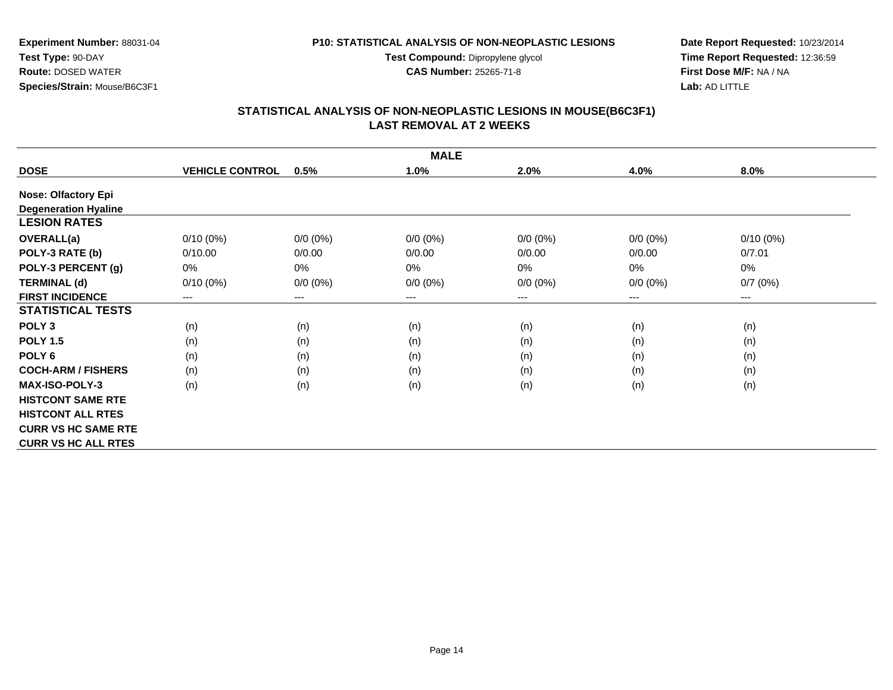**Test Compound:** Dipropylene glycol

**CAS Number:** 25265-71-8

**Date Report Requested:** 10/23/2014**Time Report Requested:** 12:36:59**First Dose M/F:** NA / NA**Lab:** AD LITTLE

# **STATISTICAL ANALYSIS OF NON-NEOPLASTIC LESIONS IN MOUSE(B6C3F1) LAST REMOVAL AT 2 WEEKS**

|                             | <b>MALE</b>            |             |             |             |             |             |  |  |  |
|-----------------------------|------------------------|-------------|-------------|-------------|-------------|-------------|--|--|--|
| <b>DOSE</b>                 | <b>VEHICLE CONTROL</b> | 0.5%        | 1.0%        | 2.0%        | 4.0%        | 8.0%        |  |  |  |
| <b>Nose: Olfactory Epi</b>  |                        |             |             |             |             |             |  |  |  |
| <b>Degeneration Hyaline</b> |                        |             |             |             |             |             |  |  |  |
| <b>LESION RATES</b>         |                        |             |             |             |             |             |  |  |  |
| <b>OVERALL(a)</b>           | $0/10(0\%)$            | $0/0 (0\%)$ | $0/0 (0\%)$ | $0/0 (0\%)$ | $0/0 (0\%)$ | $0/10(0\%)$ |  |  |  |
| POLY-3 RATE (b)             | 0/10.00                | 0/0.00      | 0/0.00      | 0/0.00      | 0/0.00      | 0/7.01      |  |  |  |
| POLY-3 PERCENT (g)          | 0%                     | 0%          | 0%          | 0%          | 0%          | 0%          |  |  |  |
| <b>TERMINAL (d)</b>         | $0/10(0\%)$            | $0/0 (0\%)$ | $0/0 (0\%)$ | $0/0 (0\%)$ | $0/0 (0\%)$ | 0/7(0%)     |  |  |  |
| <b>FIRST INCIDENCE</b>      | $\qquad \qquad \cdots$ | ---         | $---$       | ---         | ---         | $--$        |  |  |  |
| <b>STATISTICAL TESTS</b>    |                        |             |             |             |             |             |  |  |  |
| POLY <sub>3</sub>           | (n)                    | (n)         | (n)         | (n)         | (n)         | (n)         |  |  |  |
| <b>POLY 1.5</b>             | (n)                    | (n)         | (n)         | (n)         | (n)         | (n)         |  |  |  |
| POLY <sub>6</sub>           | (n)                    | (n)         | (n)         | (n)         | (n)         | (n)         |  |  |  |
| <b>COCH-ARM / FISHERS</b>   | (n)                    | (n)         | (n)         | (n)         | (n)         | (n)         |  |  |  |
| <b>MAX-ISO-POLY-3</b>       | (n)                    | (n)         | (n)         | (n)         | (n)         | (n)         |  |  |  |
| <b>HISTCONT SAME RTE</b>    |                        |             |             |             |             |             |  |  |  |
| <b>HISTCONT ALL RTES</b>    |                        |             |             |             |             |             |  |  |  |
| <b>CURR VS HC SAME RTE</b>  |                        |             |             |             |             |             |  |  |  |
| <b>CURR VS HC ALL RTES</b>  |                        |             |             |             |             |             |  |  |  |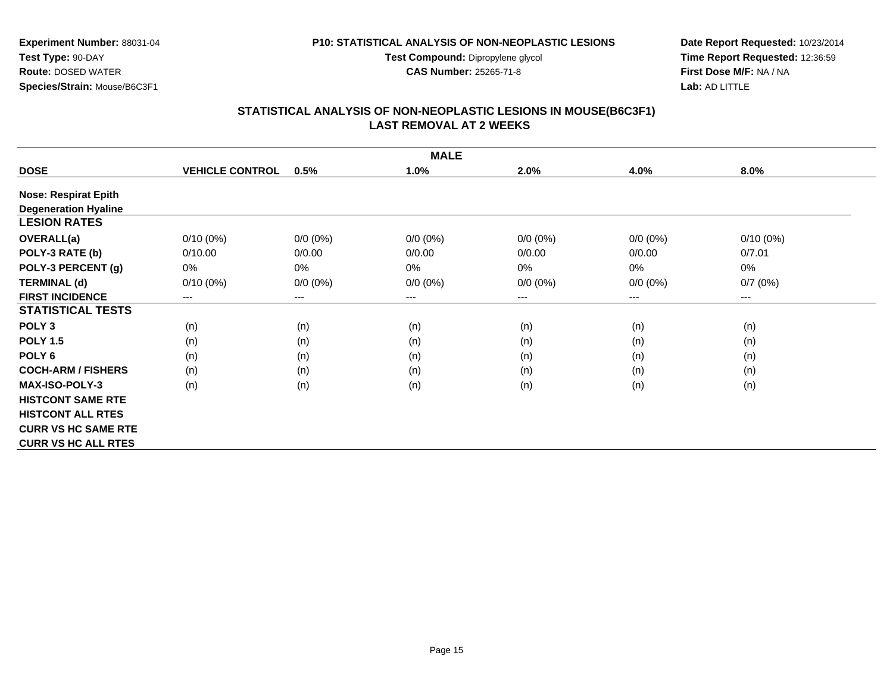**Test Compound:** Dipropylene glycol

**CAS Number:** 25265-71-8

**Date Report Requested:** 10/23/2014**Time Report Requested:** 12:36:59**First Dose M/F:** NA / NA**Lab:** AD LITTLE

#### **STATISTICAL ANALYSIS OF NON-NEOPLASTIC LESIONS IN MOUSE(B6C3F1) LAST REMOVAL AT 2 WEEKS**

|                             | <b>MALE</b>            |             |             |             |             |             |  |  |  |
|-----------------------------|------------------------|-------------|-------------|-------------|-------------|-------------|--|--|--|
| <b>DOSE</b>                 | <b>VEHICLE CONTROL</b> | 0.5%        | 1.0%        | 2.0%        | 4.0%        | 8.0%        |  |  |  |
| <b>Nose: Respirat Epith</b> |                        |             |             |             |             |             |  |  |  |
| <b>Degeneration Hyaline</b> |                        |             |             |             |             |             |  |  |  |
| <b>LESION RATES</b>         |                        |             |             |             |             |             |  |  |  |
| <b>OVERALL(a)</b>           | $0/10(0\%)$            | $0/0 (0\%)$ | $0/0 (0\%)$ | $0/0 (0\%)$ | $0/0(0\%)$  | $0/10(0\%)$ |  |  |  |
| POLY-3 RATE (b)             | 0/10.00                | 0/0.00      | 0/0.00      | 0/0.00      | 0/0.00      | 0/7.01      |  |  |  |
| POLY-3 PERCENT (g)          | $0\%$                  | 0%          | 0%          | 0%          | 0%          | 0%          |  |  |  |
| <b>TERMINAL (d)</b>         | $0/10(0\%)$            | $0/0 (0\%)$ | $0/0 (0\%)$ | $0/0 (0\%)$ | $0/0 (0\%)$ | 0/7(0%)     |  |  |  |
| <b>FIRST INCIDENCE</b>      | ---                    | ---         | $---$       | ---         | ---         | $--$        |  |  |  |
| <b>STATISTICAL TESTS</b>    |                        |             |             |             |             |             |  |  |  |
| POLY <sub>3</sub>           | (n)                    | (n)         | (n)         | (n)         | (n)         | (n)         |  |  |  |
| <b>POLY 1.5</b>             | (n)                    | (n)         | (n)         | (n)         | (n)         | (n)         |  |  |  |
| POLY <sub>6</sub>           | (n)                    | (n)         | (n)         | (n)         | (n)         | (n)         |  |  |  |
| <b>COCH-ARM / FISHERS</b>   | (n)                    | (n)         | (n)         | (n)         | (n)         | (n)         |  |  |  |
| <b>MAX-ISO-POLY-3</b>       | (n)                    | (n)         | (n)         | (n)         | (n)         | (n)         |  |  |  |
| <b>HISTCONT SAME RTE</b>    |                        |             |             |             |             |             |  |  |  |
| <b>HISTCONT ALL RTES</b>    |                        |             |             |             |             |             |  |  |  |
| <b>CURR VS HC SAME RTE</b>  |                        |             |             |             |             |             |  |  |  |
| <b>CURR VS HC ALL RTES</b>  |                        |             |             |             |             |             |  |  |  |

 **Route:** DOSED WATER**Species/Strain:** Mouse/B6C3F1

**Test Type:** 90-DAY

**Experiment Number:** 88031-04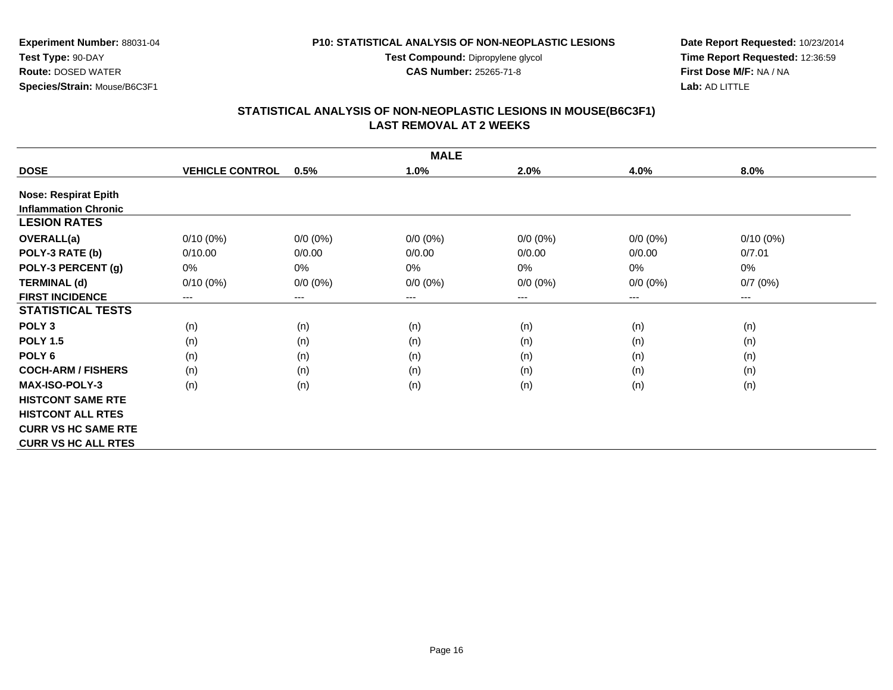**Test Compound:** Dipropylene glycol

**CAS Number:** 25265-71-8

**Date Report Requested:** 10/23/2014**Time Report Requested:** 12:36:59**First Dose M/F:** NA / NA**Lab:** AD LITTLE

#### **STATISTICAL ANALYSIS OF NON-NEOPLASTIC LESIONS IN MOUSE(B6C3F1) LAST REMOVAL AT 2 WEEKS**

|                             | <b>MALE</b>            |             |             |             |             |                                          |  |  |  |
|-----------------------------|------------------------|-------------|-------------|-------------|-------------|------------------------------------------|--|--|--|
| <b>DOSE</b>                 | <b>VEHICLE CONTROL</b> | 0.5%        | 1.0%        | 2.0%        | 4.0%        | 8.0%                                     |  |  |  |
| <b>Nose: Respirat Epith</b> |                        |             |             |             |             |                                          |  |  |  |
| <b>Inflammation Chronic</b> |                        |             |             |             |             |                                          |  |  |  |
| <b>LESION RATES</b>         |                        |             |             |             |             |                                          |  |  |  |
| OVERALL(a)                  | $0/10(0\%)$            | $0/0 (0\%)$ | $0/0 (0\%)$ | $0/0 (0\%)$ | $0/0(0\%)$  | $0/10(0\%)$                              |  |  |  |
| POLY-3 RATE (b)             | 0/10.00                | 0/0.00      | 0/0.00      | 0/0.00      | 0/0.00      | 0/7.01                                   |  |  |  |
| POLY-3 PERCENT (g)          | 0%                     | 0%          | 0%          | 0%          | 0%          | 0%                                       |  |  |  |
| <b>TERMINAL (d)</b>         | $0/10(0\%)$            | $0/0 (0\%)$ | $0/0 (0\%)$ | $0/0 (0\%)$ | $0/0 (0\%)$ | 0/7(0%)                                  |  |  |  |
| <b>FIRST INCIDENCE</b>      | ---                    | $---$       | $---$       | ---         | ---         | $\hspace{0.05cm} \ldots \hspace{0.05cm}$ |  |  |  |
| <b>STATISTICAL TESTS</b>    |                        |             |             |             |             |                                          |  |  |  |
| POLY <sub>3</sub>           | (n)                    | (n)         | (n)         | (n)         | (n)         | (n)                                      |  |  |  |
| <b>POLY 1.5</b>             | (n)                    | (n)         | (n)         | (n)         | (n)         | (n)                                      |  |  |  |
| POLY 6                      | (n)                    | (n)         | (n)         | (n)         | (n)         | (n)                                      |  |  |  |
| <b>COCH-ARM / FISHERS</b>   | (n)                    | (n)         | (n)         | (n)         | (n)         | (n)                                      |  |  |  |
| <b>MAX-ISO-POLY-3</b>       | (n)                    | (n)         | (n)         | (n)         | (n)         | (n)                                      |  |  |  |
| <b>HISTCONT SAME RTE</b>    |                        |             |             |             |             |                                          |  |  |  |
| <b>HISTCONT ALL RTES</b>    |                        |             |             |             |             |                                          |  |  |  |
| <b>CURR VS HC SAME RTE</b>  |                        |             |             |             |             |                                          |  |  |  |
| <b>CURR VS HC ALL RTES</b>  |                        |             |             |             |             |                                          |  |  |  |

# **Experiment Number:** 88031-04

**Test Type:** 90-DAY **Route:** DOSED WATER**Species/Strain:** Mouse/B6C3F1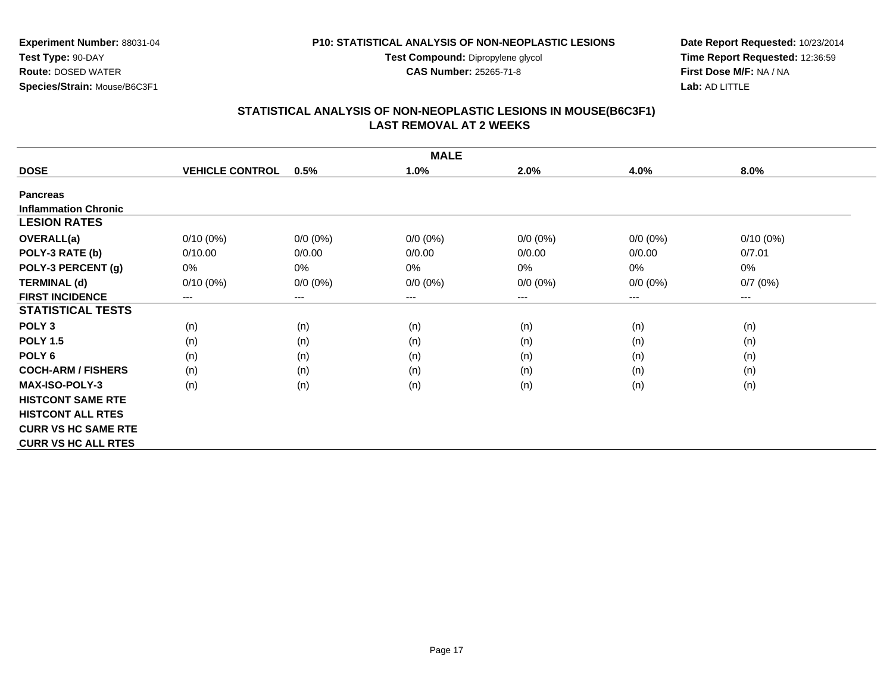**Test Compound:** Dipropylene glycol

**CAS Number:** 25265-71-8

**Experiment Number:** 88031-04**Species/Strain:** Mouse/B6C3F1

**Test Type:** 90-DAY**Route:** DOSED WATER

**Date Report Requested:** 10/23/2014**Time Report Requested:** 12:36:59**First Dose M/F:** NA / NA**Lab:** AD LITTLE

#### **STATISTICAL ANALYSIS OF NON-NEOPLASTIC LESIONS IN MOUSE(B6C3F1) LAST REMOVAL AT 2 WEEKS**

|                             | <b>MALE</b>            |             |                        |             |             |             |  |  |  |
|-----------------------------|------------------------|-------------|------------------------|-------------|-------------|-------------|--|--|--|
| <b>DOSE</b>                 | <b>VEHICLE CONTROL</b> | 0.5%        | 1.0%                   | 2.0%        | 4.0%        | 8.0%        |  |  |  |
| <b>Pancreas</b>             |                        |             |                        |             |             |             |  |  |  |
| <b>Inflammation Chronic</b> |                        |             |                        |             |             |             |  |  |  |
| <b>LESION RATES</b>         |                        |             |                        |             |             |             |  |  |  |
| <b>OVERALL(a)</b>           | $0/10(0\%)$            | $0/0 (0\%)$ | $0/0 (0\%)$            | $0/0 (0\%)$ | $0/0 (0\%)$ | $0/10(0\%)$ |  |  |  |
| POLY-3 RATE (b)             | 0/10.00                | 0/0.00      | 0/0.00                 | 0/0.00      | 0/0.00      | 0/7.01      |  |  |  |
| POLY-3 PERCENT (g)          | 0%                     | 0%          | 0%                     | 0%          | 0%          | 0%          |  |  |  |
| <b>TERMINAL (d)</b>         | $0/10(0\%)$            | $0/0 (0\%)$ | $0/0 (0\%)$            | $0/0 (0\%)$ | $0/0 (0\%)$ | 0/7(0%)     |  |  |  |
| <b>FIRST INCIDENCE</b>      | ---                    | ---         | $\qquad \qquad \cdots$ | ---         | $---$       | $--$        |  |  |  |
| <b>STATISTICAL TESTS</b>    |                        |             |                        |             |             |             |  |  |  |
| POLY <sub>3</sub>           | (n)                    | (n)         | (n)                    | (n)         | (n)         | (n)         |  |  |  |
| <b>POLY 1.5</b>             | (n)                    | (n)         | (n)                    | (n)         | (n)         | (n)         |  |  |  |
| POLY <sub>6</sub>           | (n)                    | (n)         | (n)                    | (n)         | (n)         | (n)         |  |  |  |
| <b>COCH-ARM / FISHERS</b>   | (n)                    | (n)         | (n)                    | (n)         | (n)         | (n)         |  |  |  |
| <b>MAX-ISO-POLY-3</b>       | (n)                    | (n)         | (n)                    | (n)         | (n)         | (n)         |  |  |  |
| <b>HISTCONT SAME RTE</b>    |                        |             |                        |             |             |             |  |  |  |
| <b>HISTCONT ALL RTES</b>    |                        |             |                        |             |             |             |  |  |  |
| <b>CURR VS HC SAME RTE</b>  |                        |             |                        |             |             |             |  |  |  |
| <b>CURR VS HC ALL RTES</b>  |                        |             |                        |             |             |             |  |  |  |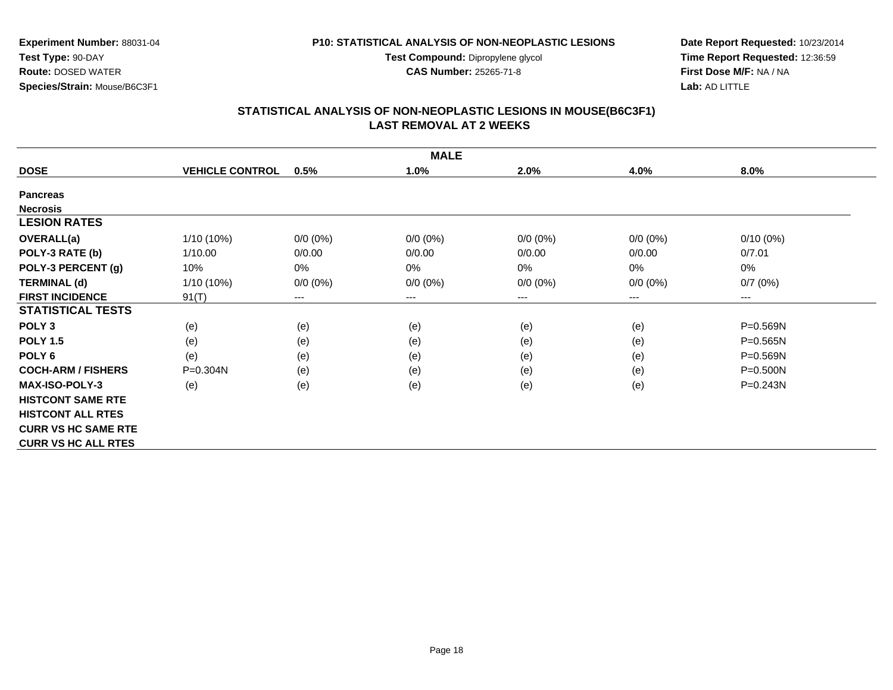**Test Compound:** Dipropylene glycol

**CAS Number:** 25265-71-8

**Date Report Requested:** 10/23/2014**Time Report Requested:** 12:36:59**First Dose M/F:** NA / NA**Lab:** AD LITTLE

#### **STATISTICAL ANALYSIS OF NON-NEOPLASTIC LESIONS IN MOUSE(B6C3F1) LAST REMOVAL AT 2 WEEKS**

|                            | <b>MALE</b>            |                            |             |             |                            |              |  |  |  |
|----------------------------|------------------------|----------------------------|-------------|-------------|----------------------------|--------------|--|--|--|
| <b>DOSE</b>                | <b>VEHICLE CONTROL</b> | 0.5%                       | 1.0%        | 2.0%        | 4.0%                       | 8.0%         |  |  |  |
| <b>Pancreas</b>            |                        |                            |             |             |                            |              |  |  |  |
| <b>Necrosis</b>            |                        |                            |             |             |                            |              |  |  |  |
| <b>LESION RATES</b>        |                        |                            |             |             |                            |              |  |  |  |
| <b>OVERALL(a)</b>          | $1/10(10\%)$           | $0/0 (0\%)$                | $0/0 (0\%)$ | $0/0 (0\%)$ | $0/0(0\%)$                 | $0/10(0\%)$  |  |  |  |
| POLY-3 RATE (b)            | 1/10.00                | 0/0.00                     | 0/0.00      | 0/0.00      | 0/0.00                     | 0/7.01       |  |  |  |
| POLY-3 PERCENT (g)         | 10%                    | $0\%$                      | 0%          | 0%          | 0%                         | 0%           |  |  |  |
| <b>TERMINAL (d)</b>        | $1/10(10\%)$           | $0/0 (0\%)$                | $0/0 (0\%)$ | $0/0 (0\%)$ | $0/0 (0\%)$                | 0/7(0%)      |  |  |  |
| <b>FIRST INCIDENCE</b>     | 91(T)                  | $\qquad \qquad - \qquad -$ | $---$       | ---         | $\qquad \qquad - \qquad -$ | $---$        |  |  |  |
| <b>STATISTICAL TESTS</b>   |                        |                            |             |             |                            |              |  |  |  |
| POLY <sub>3</sub>          | (e)                    | (e)                        | (e)         | (e)         | (e)                        | $P = 0.569N$ |  |  |  |
| <b>POLY 1.5</b>            | (e)                    | (e)                        | (e)         | (e)         | (e)                        | $P = 0.565N$ |  |  |  |
| POLY <sub>6</sub>          | (e)                    | (e)                        | (e)         | (e)         | (e)                        | $P = 0.569N$ |  |  |  |
| <b>COCH-ARM / FISHERS</b>  | P=0.304N               | (e)                        | (e)         | (e)         | (e)                        | $P = 0.500N$ |  |  |  |
| <b>MAX-ISO-POLY-3</b>      | (e)                    | (e)                        | (e)         | (e)         | (e)                        | $P = 0.243N$ |  |  |  |
| <b>HISTCONT SAME RTE</b>   |                        |                            |             |             |                            |              |  |  |  |
| <b>HISTCONT ALL RTES</b>   |                        |                            |             |             |                            |              |  |  |  |
| <b>CURR VS HC SAME RTE</b> |                        |                            |             |             |                            |              |  |  |  |
| <b>CURR VS HC ALL RTES</b> |                        |                            |             |             |                            |              |  |  |  |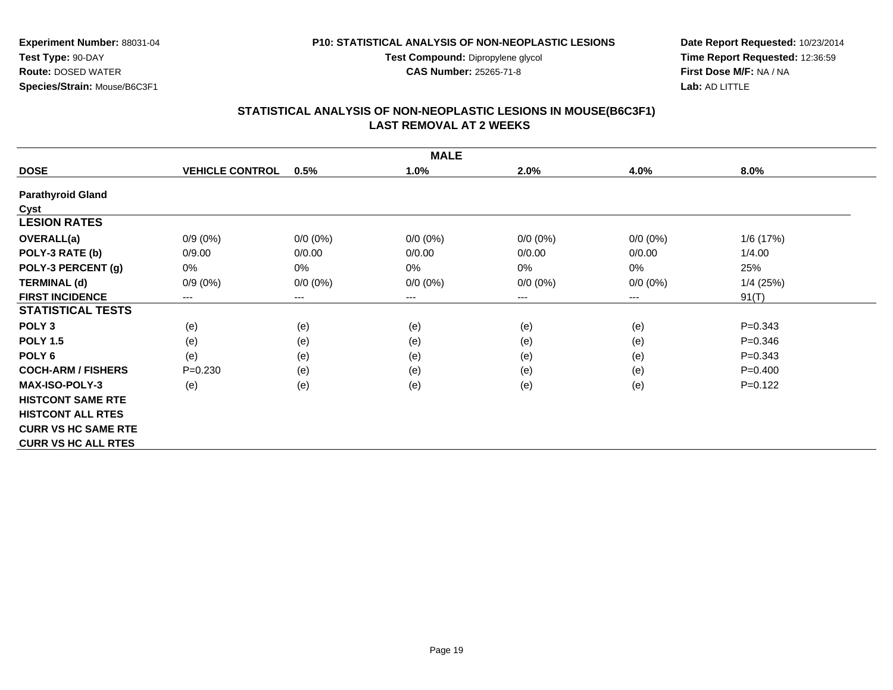**Test Compound:** Dipropylene glycol

**CAS Number:** 25265-71-8

**Date Report Requested:** 10/23/2014**Time Report Requested:** 12:36:59**First Dose M/F:** NA / NA**Lab:** AD LITTLE

## **STATISTICAL ANALYSIS OF NON-NEOPLASTIC LESIONS IN MOUSE(B6C3F1) LAST REMOVAL AT 2 WEEKS**

|                            | <b>MALE</b>            |             |             |             |             |             |  |  |  |
|----------------------------|------------------------|-------------|-------------|-------------|-------------|-------------|--|--|--|
| <b>DOSE</b>                | <b>VEHICLE CONTROL</b> | 0.5%        | 1.0%        | 2.0%        | 4.0%        | 8.0%        |  |  |  |
| <b>Parathyroid Gland</b>   |                        |             |             |             |             |             |  |  |  |
| Cyst                       |                        |             |             |             |             |             |  |  |  |
| <b>LESION RATES</b>        |                        |             |             |             |             |             |  |  |  |
| <b>OVERALL(a)</b>          | $0/9(0\%)$             | $0/0 (0\%)$ | $0/0 (0\%)$ | $0/0 (0\%)$ | $0/0 (0\%)$ | 1/6 (17%)   |  |  |  |
| POLY-3 RATE (b)            | 0/9.00                 | 0/0.00      | 0/0.00      | 0/0.00      | 0/0.00      | 1/4.00      |  |  |  |
| POLY-3 PERCENT (g)         | 0%                     | 0%          | 0%          | 0%          | 0%          | 25%         |  |  |  |
| <b>TERMINAL (d)</b>        | $0/9(0\%)$             | $0/0 (0\%)$ | $0/0 (0\%)$ | $0/0 (0\%)$ | $0/0 (0\%)$ | $1/4$ (25%) |  |  |  |
| <b>FIRST INCIDENCE</b>     | ---                    | ---         | $---$       | ---         | ---         | 91(T)       |  |  |  |
| <b>STATISTICAL TESTS</b>   |                        |             |             |             |             |             |  |  |  |
| POLY <sub>3</sub>          | (e)                    | (e)         | (e)         | (e)         | (e)         | $P = 0.343$ |  |  |  |
| <b>POLY 1.5</b>            | (e)                    | (e)         | (e)         | (e)         | (e)         | $P = 0.346$ |  |  |  |
| POLY <sub>6</sub>          | (e)                    | (e)         | (e)         | (e)         | (e)         | $P = 0.343$ |  |  |  |
| <b>COCH-ARM / FISHERS</b>  | $P=0.230$              | (e)         | (e)         | (e)         | (e)         | $P=0.400$   |  |  |  |
| <b>MAX-ISO-POLY-3</b>      | (e)                    | (e)         | (e)         | (e)         | (e)         | $P=0.122$   |  |  |  |
| <b>HISTCONT SAME RTE</b>   |                        |             |             |             |             |             |  |  |  |
| <b>HISTCONT ALL RTES</b>   |                        |             |             |             |             |             |  |  |  |
| <b>CURR VS HC SAME RTE</b> |                        |             |             |             |             |             |  |  |  |
| <b>CURR VS HC ALL RTES</b> |                        |             |             |             |             |             |  |  |  |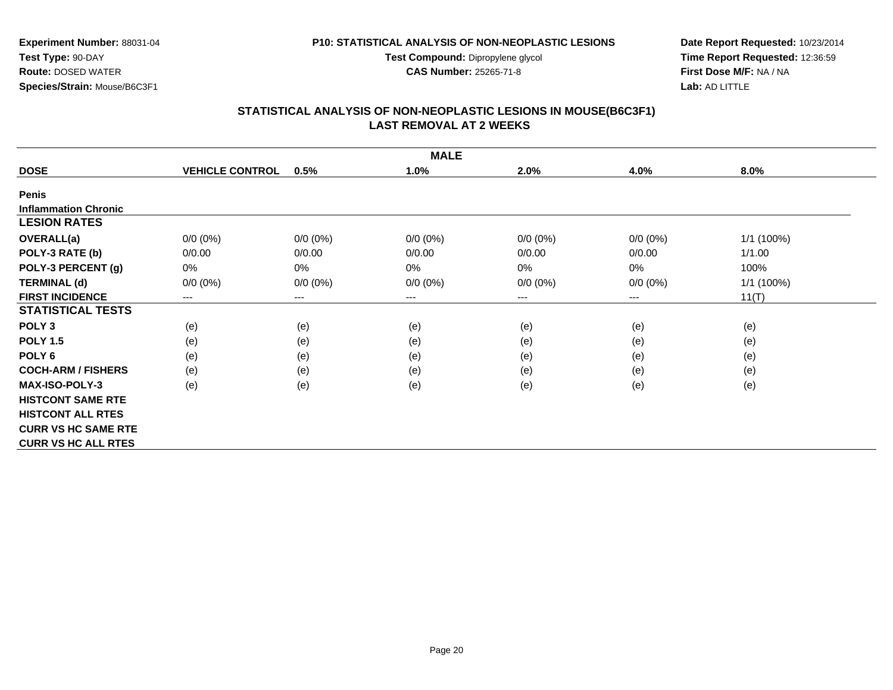**Test Compound:** Dipropylene glycol

**CAS Number:** 25265-71-8

**Date Report Requested:** 10/23/2014**Time Report Requested:** 12:36:59**First Dose M/F:** NA / NA**Lab:** AD LITTLE

# **STATISTICAL ANALYSIS OF NON-NEOPLASTIC LESIONS IN MOUSE(B6C3F1) LAST REMOVAL AT 2 WEEKS**

|                             | <b>MALE</b>            |                        |                     |             |                        |            |  |  |  |
|-----------------------------|------------------------|------------------------|---------------------|-------------|------------------------|------------|--|--|--|
| <b>DOSE</b>                 | <b>VEHICLE CONTROL</b> | 0.5%                   | 1.0%                | 2.0%        | 4.0%                   | 8.0%       |  |  |  |
| <b>Penis</b>                |                        |                        |                     |             |                        |            |  |  |  |
| <b>Inflammation Chronic</b> |                        |                        |                     |             |                        |            |  |  |  |
| <b>LESION RATES</b>         |                        |                        |                     |             |                        |            |  |  |  |
| <b>OVERALL(a)</b>           | $0/0 (0\%)$            | $0/0 (0\%)$            | $0/0 (0\%)$         | $0/0 (0\%)$ | $0/0 (0\%)$            | 1/1 (100%) |  |  |  |
| POLY-3 RATE (b)             | 0/0.00                 | 0/0.00                 | 0/0.00              | 0/0.00      | 0/0.00                 | 1/1.00     |  |  |  |
| POLY-3 PERCENT (g)          | $0\%$                  | $0\%$                  | 0%                  | 0%          | 0%                     | 100%       |  |  |  |
| <b>TERMINAL (d)</b>         | $0/0 (0\%)$            | $0/0 (0\%)$            | $0/0 (0\%)$         | $0/0 (0\%)$ | $0/0 (0\%)$            | 1/1 (100%) |  |  |  |
| <b>FIRST INCIDENCE</b>      | ---                    | $\qquad \qquad \cdots$ | $\qquad \qquad - -$ | ---         | $\qquad \qquad \cdots$ | 11(T)      |  |  |  |
| <b>STATISTICAL TESTS</b>    |                        |                        |                     |             |                        |            |  |  |  |
| POLY <sub>3</sub>           | (e)                    | (e)                    | (e)                 | (e)         | (e)                    | (e)        |  |  |  |
| <b>POLY 1.5</b>             | (e)                    | (e)                    | (e)                 | (e)         | (e)                    | (e)        |  |  |  |
| POLY <sub>6</sub>           | (e)                    | (e)                    | (e)                 | (e)         | (e)                    | (e)        |  |  |  |
| <b>COCH-ARM / FISHERS</b>   | (e)                    | (e)                    | (e)                 | (e)         | (e)                    | (e)        |  |  |  |
| <b>MAX-ISO-POLY-3</b>       | (e)                    | (e)                    | (e)                 | (e)         | (e)                    | (e)        |  |  |  |
| <b>HISTCONT SAME RTE</b>    |                        |                        |                     |             |                        |            |  |  |  |
| <b>HISTCONT ALL RTES</b>    |                        |                        |                     |             |                        |            |  |  |  |
| <b>CURR VS HC SAME RTE</b>  |                        |                        |                     |             |                        |            |  |  |  |
| <b>CURR VS HC ALL RTES</b>  |                        |                        |                     |             |                        |            |  |  |  |

**Experiment Number:** 88031-04**Test Type:** 90-DAY**Route:** DOSED WATER

**Species/Strain:** Mouse/B6C3F1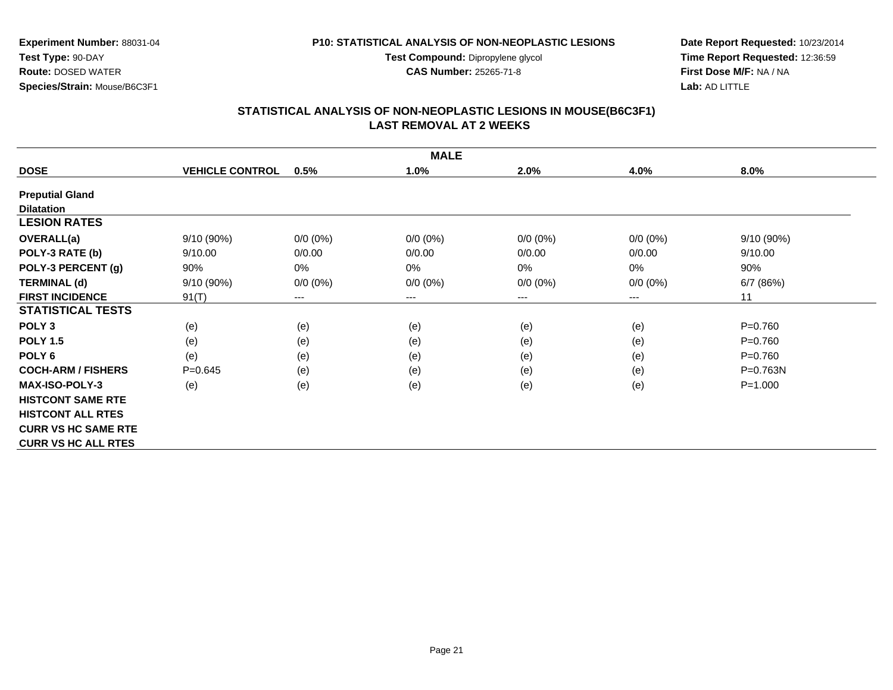**Test Compound:** Dipropylene glycol

**CAS Number:** 25265-71-8

**Experiment Number:** 88031-04**Test Type:** 90-DAY **Route:** DOSED WATER**Species/Strain:** Mouse/B6C3F1

**Date Report Requested:** 10/23/2014**Time Report Requested:** 12:36:59**First Dose M/F:** NA / NA**Lab:** AD LITTLE

#### **STATISTICAL ANALYSIS OF NON-NEOPLASTIC LESIONS IN MOUSE(B6C3F1) LAST REMOVAL AT 2 WEEKS**

|                            | <b>MALE</b>            |             |             |             |             |              |  |  |  |
|----------------------------|------------------------|-------------|-------------|-------------|-------------|--------------|--|--|--|
| <b>DOSE</b>                | <b>VEHICLE CONTROL</b> | 0.5%        | 1.0%        | 2.0%        | 4.0%        | 8.0%         |  |  |  |
| <b>Preputial Gland</b>     |                        |             |             |             |             |              |  |  |  |
| <b>Dilatation</b>          |                        |             |             |             |             |              |  |  |  |
| <b>LESION RATES</b>        |                        |             |             |             |             |              |  |  |  |
| <b>OVERALL(a)</b>          | $9/10(90\%)$           | $0/0 (0\%)$ | $0/0 (0\%)$ | $0/0 (0\%)$ | $0/0 (0\%)$ | 9/10(90%)    |  |  |  |
| POLY-3 RATE (b)            | 9/10.00                | 0/0.00      | 0/0.00      | 0/0.00      | 0/0.00      | 9/10.00      |  |  |  |
| POLY-3 PERCENT (g)         | 90%                    | 0%          | 0%          | 0%          | 0%          | 90%          |  |  |  |
| <b>TERMINAL (d)</b>        | 9/10 (90%)             | $0/0 (0\%)$ | $0/0 (0\%)$ | $0/0 (0\%)$ | $0/0 (0\%)$ | 6/7(86%)     |  |  |  |
| <b>FIRST INCIDENCE</b>     | 91(T)                  | ---         | $---$       | ---         | $---$       | 11           |  |  |  |
| <b>STATISTICAL TESTS</b>   |                        |             |             |             |             |              |  |  |  |
| POLY <sub>3</sub>          | (e)                    | (e)         | (e)         | (e)         | (e)         | $P = 0.760$  |  |  |  |
| <b>POLY 1.5</b>            | (e)                    | (e)         | (e)         | (e)         | (e)         | $P = 0.760$  |  |  |  |
| POLY <sub>6</sub>          | (e)                    | (e)         | (e)         | (e)         | (e)         | $P = 0.760$  |  |  |  |
| <b>COCH-ARM / FISHERS</b>  | $P=0.645$              | (e)         | (e)         | (e)         | (e)         | $P = 0.763N$ |  |  |  |
| <b>MAX-ISO-POLY-3</b>      | (e)                    | (e)         | (e)         | (e)         | (e)         | $P = 1.000$  |  |  |  |
| <b>HISTCONT SAME RTE</b>   |                        |             |             |             |             |              |  |  |  |
| <b>HISTCONT ALL RTES</b>   |                        |             |             |             |             |              |  |  |  |
| <b>CURR VS HC SAME RTE</b> |                        |             |             |             |             |              |  |  |  |
| <b>CURR VS HC ALL RTES</b> |                        |             |             |             |             |              |  |  |  |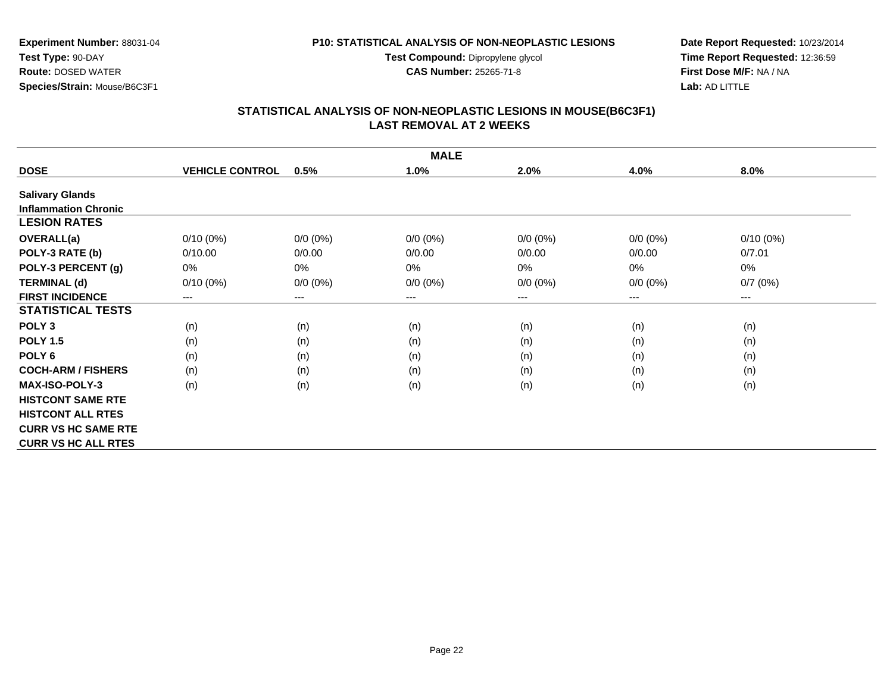**Test Compound:** Dipropylene glycol

**CAS Number:** 25265-71-8

**Date Report Requested:** 10/23/2014**Time Report Requested:** 12:36:59**First Dose M/F:** NA / NA**Lab:** AD LITTLE

# **STATISTICAL ANALYSIS OF NON-NEOPLASTIC LESIONS IN MOUSE(B6C3F1) LAST REMOVAL AT 2 WEEKS**

| <b>MALE</b>                 |                        |             |                        |             |             |                                          |  |  |
|-----------------------------|------------------------|-------------|------------------------|-------------|-------------|------------------------------------------|--|--|
| <b>DOSE</b>                 | <b>VEHICLE CONTROL</b> | 0.5%        | 1.0%                   | 2.0%        | 4.0%        | 8.0%                                     |  |  |
| <b>Salivary Glands</b>      |                        |             |                        |             |             |                                          |  |  |
| <b>Inflammation Chronic</b> |                        |             |                        |             |             |                                          |  |  |
| <b>LESION RATES</b>         |                        |             |                        |             |             |                                          |  |  |
| <b>OVERALL(a)</b>           | $0/10(0\%)$            | $0/0 (0\%)$ | $0/0 (0\%)$            | $0/0 (0\%)$ | $0/0 (0\%)$ | $0/10(0\%)$                              |  |  |
| POLY-3 RATE (b)             | 0/10.00                | 0/0.00      | 0/0.00                 | 0/0.00      | 0/0.00      | 0/7.01                                   |  |  |
| POLY-3 PERCENT (g)          | 0%                     | 0%          | $0\%$                  | 0%          | $0\%$       | 0%                                       |  |  |
| <b>TERMINAL (d)</b>         | $0/10(0\%)$            | $0/0 (0\%)$ | $0/0 (0\%)$            | $0/0 (0\%)$ | $0/0 (0\%)$ | 0/7(0%)                                  |  |  |
| <b>FIRST INCIDENCE</b>      | ---                    | $---$       | $\qquad \qquad \cdots$ | ---         | ---         | $\hspace{0.05cm} \ldots \hspace{0.05cm}$ |  |  |
| <b>STATISTICAL TESTS</b>    |                        |             |                        |             |             |                                          |  |  |
| POLY <sub>3</sub>           | (n)                    | (n)         | (n)                    | (n)         | (n)         | (n)                                      |  |  |
| <b>POLY 1.5</b>             | (n)                    | (n)         | (n)                    | (n)         | (n)         | (n)                                      |  |  |
| POLY <sub>6</sub>           | (n)                    | (n)         | (n)                    | (n)         | (n)         | (n)                                      |  |  |
| <b>COCH-ARM / FISHERS</b>   | (n)                    | (n)         | (n)                    | (n)         | (n)         | (n)                                      |  |  |
| <b>MAX-ISO-POLY-3</b>       | (n)                    | (n)         | (n)                    | (n)         | (n)         | (n)                                      |  |  |
| <b>HISTCONT SAME RTE</b>    |                        |             |                        |             |             |                                          |  |  |
| <b>HISTCONT ALL RTES</b>    |                        |             |                        |             |             |                                          |  |  |
| <b>CURR VS HC SAME RTE</b>  |                        |             |                        |             |             |                                          |  |  |
| <b>CURR VS HC ALL RTES</b>  |                        |             |                        |             |             |                                          |  |  |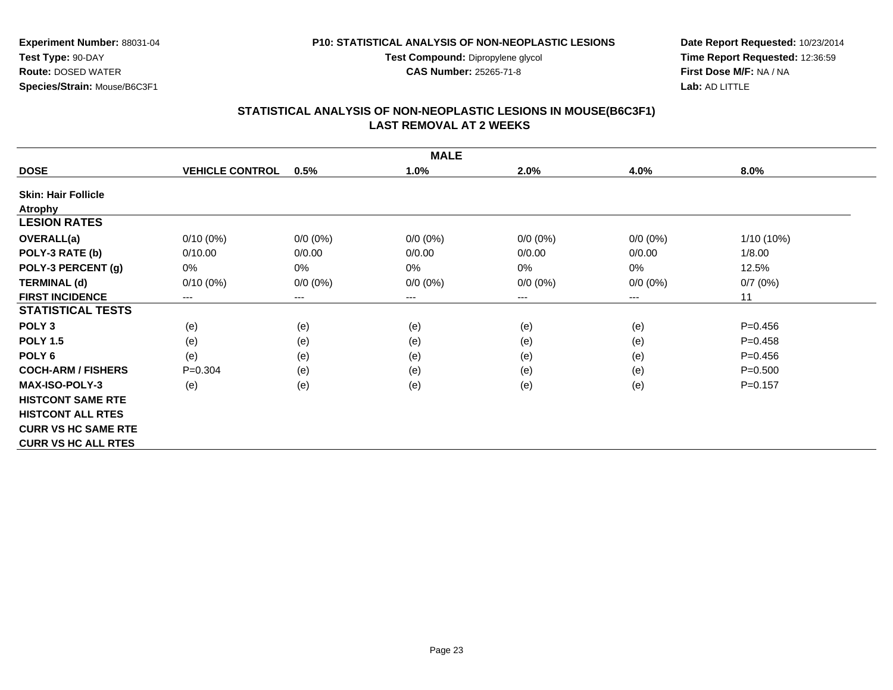**Test Compound:** Dipropylene glycol

**CAS Number:** 25265-71-8

**Date Report Requested:** 10/23/2014**Time Report Requested:** 12:36:59**First Dose M/F:** NA / NA**Lab:** AD LITTLE

#### **STATISTICAL ANALYSIS OF NON-NEOPLASTIC LESIONS IN MOUSE(B6C3F1) LAST REMOVAL AT 2 WEEKS**

| <b>MALE</b>                |                        |             |                        |             |             |              |  |  |
|----------------------------|------------------------|-------------|------------------------|-------------|-------------|--------------|--|--|
| <b>DOSE</b>                | <b>VEHICLE CONTROL</b> | 0.5%        | 1.0%                   | 2.0%        | 4.0%        | 8.0%         |  |  |
| <b>Skin: Hair Follicle</b> |                        |             |                        |             |             |              |  |  |
| <b>Atrophy</b>             |                        |             |                        |             |             |              |  |  |
| <b>LESION RATES</b>        |                        |             |                        |             |             |              |  |  |
| <b>OVERALL(a)</b>          | $0/10(0\%)$            | $0/0 (0\%)$ | $0/0 (0\%)$            | $0/0 (0\%)$ | $0/0 (0\%)$ | $1/10(10\%)$ |  |  |
| POLY-3 RATE (b)            | 0/10.00                | 0/0.00      | 0/0.00                 | 0/0.00      | 0/0.00      | 1/8.00       |  |  |
| POLY-3 PERCENT (g)         | 0%                     | 0%          | 0%                     | 0%          | 0%          | 12.5%        |  |  |
| <b>TERMINAL (d)</b>        | $0/10(0\%)$            | $0/0 (0\%)$ | $0/0 (0\%)$            | $0/0 (0\%)$ | $0/0 (0\%)$ | 0/7(0%)      |  |  |
| <b>FIRST INCIDENCE</b>     | ---                    | ---         | $\qquad \qquad \cdots$ | ---         | ---         | 11           |  |  |
| <b>STATISTICAL TESTS</b>   |                        |             |                        |             |             |              |  |  |
| POLY <sub>3</sub>          | (e)                    | (e)         | (e)                    | (e)         | (e)         | $P=0.456$    |  |  |
| <b>POLY 1.5</b>            | (e)                    | (e)         | (e)                    | (e)         | (e)         | $P=0.458$    |  |  |
| POLY <sub>6</sub>          | (e)                    | (e)         | (e)                    | (e)         | (e)         | $P=0.456$    |  |  |
| <b>COCH-ARM / FISHERS</b>  | $P = 0.304$            | (e)         | (e)                    | (e)         | (e)         | $P = 0.500$  |  |  |
| <b>MAX-ISO-POLY-3</b>      | (e)                    | (e)         | (e)                    | (e)         | (e)         | $P=0.157$    |  |  |
| <b>HISTCONT SAME RTE</b>   |                        |             |                        |             |             |              |  |  |
| <b>HISTCONT ALL RTES</b>   |                        |             |                        |             |             |              |  |  |
| <b>CURR VS HC SAME RTE</b> |                        |             |                        |             |             |              |  |  |
| <b>CURR VS HC ALL RTES</b> |                        |             |                        |             |             |              |  |  |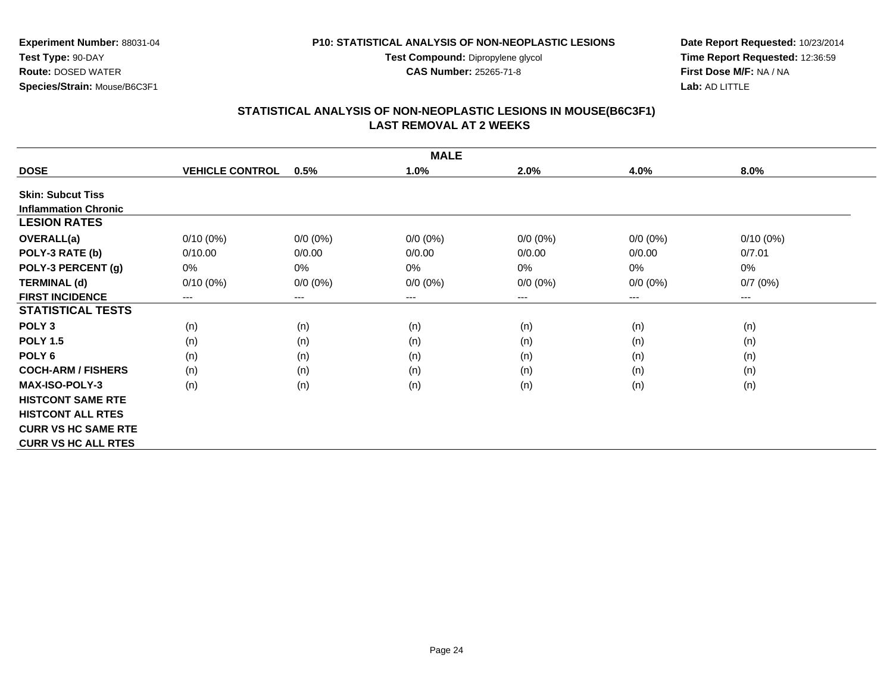**Test Compound:** Dipropylene glycol

**CAS Number:** 25265-71-8

**Date Report Requested:** 10/23/2014**Time Report Requested:** 12:36:59**First Dose M/F:** NA / NA**Lab:** AD LITTLE

#### **STATISTICAL ANALYSIS OF NON-NEOPLASTIC LESIONS IN MOUSE(B6C3F1) LAST REMOVAL AT 2 WEEKS**

|                             | <b>MALE</b>            |             |             |             |             |             |  |  |  |
|-----------------------------|------------------------|-------------|-------------|-------------|-------------|-------------|--|--|--|
| <b>DOSE</b>                 | <b>VEHICLE CONTROL</b> | 0.5%        | 1.0%        | 2.0%        | 4.0%        | 8.0%        |  |  |  |
| <b>Skin: Subcut Tiss</b>    |                        |             |             |             |             |             |  |  |  |
| <b>Inflammation Chronic</b> |                        |             |             |             |             |             |  |  |  |
| <b>LESION RATES</b>         |                        |             |             |             |             |             |  |  |  |
| <b>OVERALL(a)</b>           | $0/10(0\%)$            | $0/0 (0\%)$ | $0/0 (0\%)$ | $0/0 (0\%)$ | $0/0 (0\%)$ | $0/10(0\%)$ |  |  |  |
| POLY-3 RATE (b)             | 0/10.00                | 0/0.00      | 0/0.00      | 0/0.00      | 0/0.00      | 0/7.01      |  |  |  |
| POLY-3 PERCENT (g)          | 0%                     | 0%          | 0%          | 0%          | 0%          | $0\%$       |  |  |  |
| <b>TERMINAL (d)</b>         | $0/10(0\%)$            | $0/0 (0\%)$ | $0/0 (0\%)$ | $0/0 (0\%)$ | $0/0 (0\%)$ | 0/7(0%)     |  |  |  |
| <b>FIRST INCIDENCE</b>      | ---                    | ---         | $---$       | ---         | ---         | $--$        |  |  |  |
| <b>STATISTICAL TESTS</b>    |                        |             |             |             |             |             |  |  |  |
| POLY <sub>3</sub>           | (n)                    | (n)         | (n)         | (n)         | (n)         | (n)         |  |  |  |
| <b>POLY 1.5</b>             | (n)                    | (n)         | (n)         | (n)         | (n)         | (n)         |  |  |  |
| POLY <sub>6</sub>           | (n)                    | (n)         | (n)         | (n)         | (n)         | (n)         |  |  |  |
| <b>COCH-ARM / FISHERS</b>   | (n)                    | (n)         | (n)         | (n)         | (n)         | (n)         |  |  |  |
| <b>MAX-ISO-POLY-3</b>       | (n)                    | (n)         | (n)         | (n)         | (n)         | (n)         |  |  |  |
| <b>HISTCONT SAME RTE</b>    |                        |             |             |             |             |             |  |  |  |
| <b>HISTCONT ALL RTES</b>    |                        |             |             |             |             |             |  |  |  |
| <b>CURR VS HC SAME RTE</b>  |                        |             |             |             |             |             |  |  |  |
| <b>CURR VS HC ALL RTES</b>  |                        |             |             |             |             |             |  |  |  |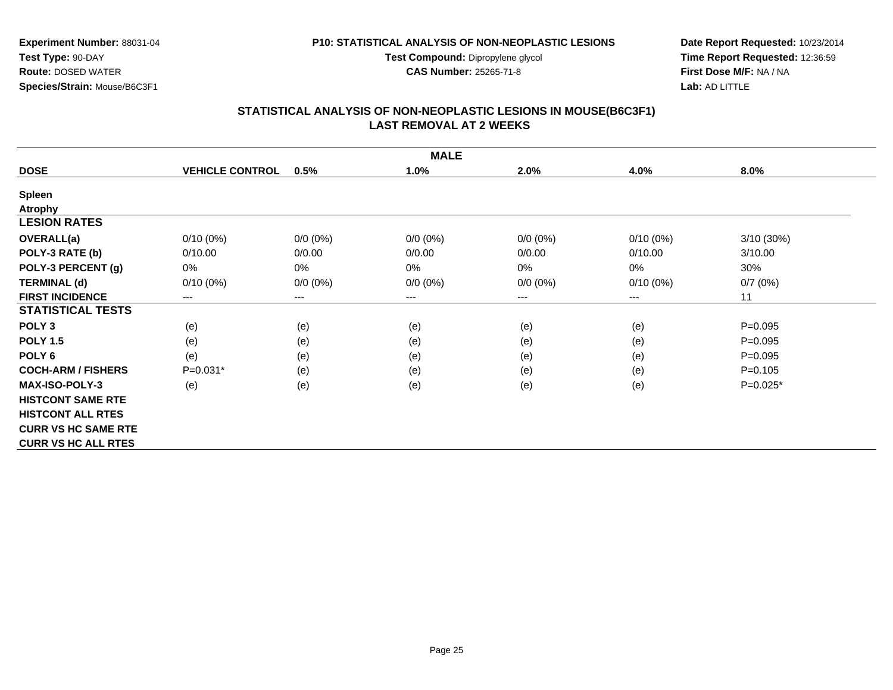**Test Compound:** Dipropylene glycol

**CAS Number:** 25265-71-8

**Date Report Requested:** 10/23/2014**Time Report Requested:** 12:36:59**First Dose M/F:** NA / NA**Lab:** AD LITTLE

# **STATISTICAL ANALYSIS OF NON-NEOPLASTIC LESIONS IN MOUSE(B6C3F1) LAST REMOVAL AT 2 WEEKS**

|                            | <b>MALE</b>            |                        |             |             |             |             |  |  |  |
|----------------------------|------------------------|------------------------|-------------|-------------|-------------|-------------|--|--|--|
| <b>DOSE</b>                | <b>VEHICLE CONTROL</b> | 0.5%                   | 1.0%        | 2.0%        | 4.0%        | 8.0%        |  |  |  |
| <b>Spleen</b>              |                        |                        |             |             |             |             |  |  |  |
| <b>Atrophy</b>             |                        |                        |             |             |             |             |  |  |  |
| <b>LESION RATES</b>        |                        |                        |             |             |             |             |  |  |  |
| <b>OVERALL(a)</b>          | $0/10(0\%)$            | $0/0 (0\%)$            | $0/0 (0\%)$ | $0/0 (0\%)$ | $0/10(0\%)$ | 3/10(30%)   |  |  |  |
| POLY-3 RATE (b)            | 0/10.00                | 0/0.00                 | 0/0.00      | 0/0.00      | 0/10.00     | 3/10.00     |  |  |  |
| POLY-3 PERCENT (g)         | 0%                     | $0\%$                  | $0\%$       | 0%          | 0%          | 30%         |  |  |  |
| <b>TERMINAL (d)</b>        | $0/10(0\%)$            | $0/0 (0\%)$            | $0/0 (0\%)$ | $0/0 (0\%)$ | $0/10(0\%)$ | 0/7(0%)     |  |  |  |
| <b>FIRST INCIDENCE</b>     | ---                    | $\qquad \qquad \cdots$ | $---$       | ---         | ---         | 11          |  |  |  |
| <b>STATISTICAL TESTS</b>   |                        |                        |             |             |             |             |  |  |  |
| POLY <sub>3</sub>          | (e)                    | (e)                    | (e)         | (e)         | (e)         | $P = 0.095$ |  |  |  |
| <b>POLY 1.5</b>            | (e)                    | (e)                    | (e)         | (e)         | (e)         | $P=0.095$   |  |  |  |
| POLY <sub>6</sub>          | (e)                    | (e)                    | (e)         | (e)         | (e)         | $P = 0.095$ |  |  |  |
| <b>COCH-ARM / FISHERS</b>  | $P=0.031*$             | (e)                    | (e)         | (e)         | (e)         | $P = 0.105$ |  |  |  |
| <b>MAX-ISO-POLY-3</b>      | (e)                    | (e)                    | (e)         | (e)         | (e)         | $P=0.025*$  |  |  |  |
| <b>HISTCONT SAME RTE</b>   |                        |                        |             |             |             |             |  |  |  |
| <b>HISTCONT ALL RTES</b>   |                        |                        |             |             |             |             |  |  |  |
| <b>CURR VS HC SAME RTE</b> |                        |                        |             |             |             |             |  |  |  |
| <b>CURR VS HC ALL RTES</b> |                        |                        |             |             |             |             |  |  |  |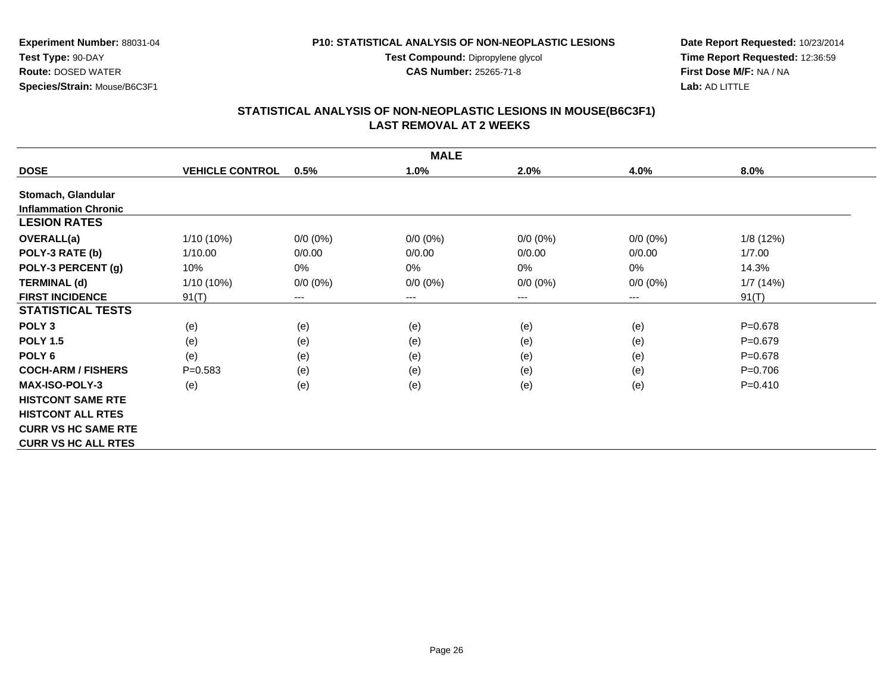**Test Compound:** Dipropylene glycol

**CAS Number:** 25265-71-8

**Date Report Requested:** 10/23/2014**Time Report Requested:** 12:36:59**First Dose M/F:** NA / NA**Lab:** AD LITTLE

#### **STATISTICAL ANALYSIS OF NON-NEOPLASTIC LESIONS IN MOUSE(B6C3F1) LAST REMOVAL AT 2 WEEKS**

|                             |                        |             | <b>MALE</b> |             |             |             |
|-----------------------------|------------------------|-------------|-------------|-------------|-------------|-------------|
| <b>DOSE</b>                 | <b>VEHICLE CONTROL</b> | 0.5%        | 1.0%        | 2.0%        | 4.0%        | 8.0%        |
| Stomach, Glandular          |                        |             |             |             |             |             |
| <b>Inflammation Chronic</b> |                        |             |             |             |             |             |
| <b>LESION RATES</b>         |                        |             |             |             |             |             |
| <b>OVERALL(a)</b>           | 1/10 (10%)             | $0/0 (0\%)$ | $0/0 (0\%)$ | $0/0 (0\%)$ | $0/0 (0\%)$ | 1/8(12%)    |
| POLY-3 RATE (b)             | 1/10.00                | 0/0.00      | 0/0.00      | 0/0.00      | 0/0.00      | 1/7.00      |
| POLY-3 PERCENT (g)          | 10%                    | 0%          | 0%          | 0%          | $0\%$       | 14.3%       |
| <b>TERMINAL (d)</b>         | $1/10(10\%)$           | $0/0 (0\%)$ | $0/0 (0\%)$ | $0/0 (0\%)$ | $0/0 (0\%)$ | 1/7(14%)    |
| <b>FIRST INCIDENCE</b>      | 91(T)                  | ---         | $---$       | ---         | ---         | 91(T)       |
| <b>STATISTICAL TESTS</b>    |                        |             |             |             |             |             |
| POLY <sub>3</sub>           | (e)                    | (e)         | (e)         | (e)         | (e)         | $P = 0.678$ |
| <b>POLY 1.5</b>             | (e)                    | (e)         | (e)         | (e)         | (e)         | $P = 0.679$ |
| POLY <sub>6</sub>           | (e)                    | (e)         | (e)         | (e)         | (e)         | $P = 0.678$ |
| <b>COCH-ARM / FISHERS</b>   | $P = 0.583$            | (e)         | (e)         | (e)         | (e)         | $P=0.706$   |
| <b>MAX-ISO-POLY-3</b>       | (e)                    | (e)         | (e)         | (e)         | (e)         | $P=0.410$   |
| <b>HISTCONT SAME RTE</b>    |                        |             |             |             |             |             |
| <b>HISTCONT ALL RTES</b>    |                        |             |             |             |             |             |
| <b>CURR VS HC SAME RTE</b>  |                        |             |             |             |             |             |
| <b>CURR VS HC ALL RTES</b>  |                        |             |             |             |             |             |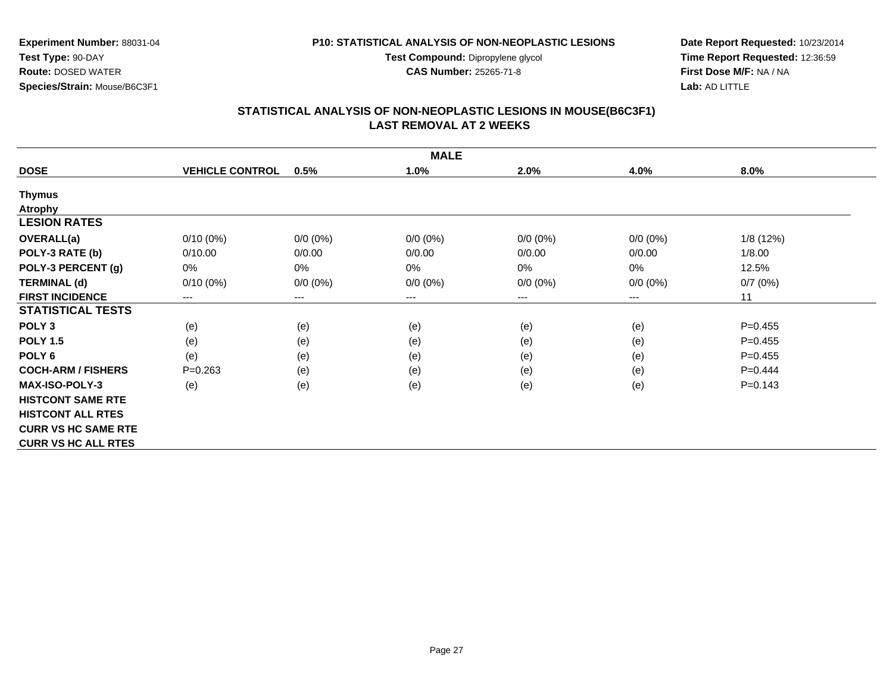**Test Compound:** Dipropylene glycol

**CAS Number:** 25265-71-8

**Date Report Requested:** 10/23/2014**Time Report Requested:** 12:36:59**First Dose M/F:** NA / NA**Lab:** AD LITTLE

#### **STATISTICAL ANALYSIS OF NON-NEOPLASTIC LESIONS IN MOUSE(B6C3F1) LAST REMOVAL AT 2 WEEKS**

|                            |                        |                        | <b>MALE</b> |             |             |             |
|----------------------------|------------------------|------------------------|-------------|-------------|-------------|-------------|
| <b>DOSE</b>                | <b>VEHICLE CONTROL</b> | 0.5%                   | 1.0%        | 2.0%        | 4.0%        | 8.0%        |
| <b>Thymus</b>              |                        |                        |             |             |             |             |
| <b>Atrophy</b>             |                        |                        |             |             |             |             |
| <b>LESION RATES</b>        |                        |                        |             |             |             |             |
| <b>OVERALL(a)</b>          | $0/10(0\%)$            | $0/0 (0\%)$            | $0/0 (0\%)$ | $0/0 (0\%)$ | $0/0 (0\%)$ | 1/8 (12%)   |
| POLY-3 RATE (b)            | 0/10.00                | 0/0.00                 | 0/0.00      | 0/0.00      | 0/0.00      | 1/8.00      |
| POLY-3 PERCENT (g)         | 0%                     | 0%                     | $0\%$       | 0%          | 0%          | 12.5%       |
| <b>TERMINAL (d)</b>        | $0/10(0\%)$            | $0/0 (0\%)$            | $0/0 (0\%)$ | $0/0 (0\%)$ | $0/0 (0\%)$ | 0/7(0%)     |
| <b>FIRST INCIDENCE</b>     | $---$                  | $\qquad \qquad \cdots$ | ---         | ---         | ---         | 11          |
| <b>STATISTICAL TESTS</b>   |                        |                        |             |             |             |             |
| POLY <sub>3</sub>          | (e)                    | (e)                    | (e)         | (e)         | (e)         | $P = 0.455$ |
| <b>POLY 1.5</b>            | (e)                    | (e)                    | (e)         | (e)         | (e)         | $P=0.455$   |
| POLY <sub>6</sub>          | (e)                    | (e)                    | (e)         | (e)         | (e)         | $P=0.455$   |
| <b>COCH-ARM / FISHERS</b>  | $P=0.263$              | (e)                    | (e)         | (e)         | (e)         | $P=0.444$   |
| <b>MAX-ISO-POLY-3</b>      | (e)                    | (e)                    | (e)         | (e)         | (e)         | $P = 0.143$ |
| <b>HISTCONT SAME RTE</b>   |                        |                        |             |             |             |             |
| <b>HISTCONT ALL RTES</b>   |                        |                        |             |             |             |             |
| <b>CURR VS HC SAME RTE</b> |                        |                        |             |             |             |             |
| <b>CURR VS HC ALL RTES</b> |                        |                        |             |             |             |             |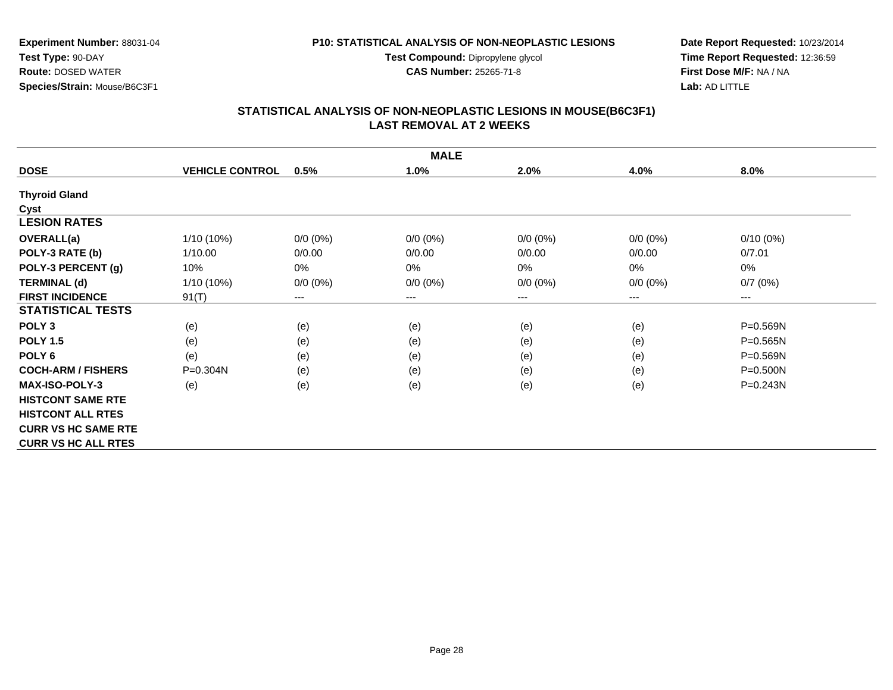**Test Compound:** Dipropylene glycol

**CAS Number:** 25265-71-8

**Date Report Requested:** 10/23/2014**Time Report Requested:** 12:36:59**First Dose M/F:** NA / NA**Lab:** AD LITTLE

## **STATISTICAL ANALYSIS OF NON-NEOPLASTIC LESIONS IN MOUSE(B6C3F1) LAST REMOVAL AT 2 WEEKS**

|                            | <b>MALE</b>            |             |                        |             |             |              |  |  |  |
|----------------------------|------------------------|-------------|------------------------|-------------|-------------|--------------|--|--|--|
| <b>DOSE</b>                | <b>VEHICLE CONTROL</b> | 0.5%        | 1.0%                   | 2.0%        | 4.0%        | 8.0%         |  |  |  |
| <b>Thyroid Gland</b>       |                        |             |                        |             |             |              |  |  |  |
| Cyst                       |                        |             |                        |             |             |              |  |  |  |
| <b>LESION RATES</b>        |                        |             |                        |             |             |              |  |  |  |
| <b>OVERALL(a)</b>          | 1/10 (10%)             | $0/0 (0\%)$ | $0/0 (0\%)$            | $0/0 (0\%)$ | $0/0 (0\%)$ | $0/10(0\%)$  |  |  |  |
| POLY-3 RATE (b)            | 1/10.00                | 0/0.00      | 0/0.00                 | 0/0.00      | 0/0.00      | 0/7.01       |  |  |  |
| POLY-3 PERCENT (g)         | 10%                    | 0%          | 0%                     | 0%          | 0%          | 0%           |  |  |  |
| <b>TERMINAL (d)</b>        | $1/10(10\%)$           | $0/0 (0\%)$ | $0/0 (0\%)$            | $0/0 (0\%)$ | $0/0 (0\%)$ | 0/7(0%)      |  |  |  |
| <b>FIRST INCIDENCE</b>     | 91(T)                  | ---         | $\qquad \qquad \cdots$ | ---         | ---         | $---$        |  |  |  |
| <b>STATISTICAL TESTS</b>   |                        |             |                        |             |             |              |  |  |  |
| POLY <sub>3</sub>          | (e)                    | (e)         | (e)                    | (e)         | (e)         | P=0.569N     |  |  |  |
| <b>POLY 1.5</b>            | (e)                    | (e)         | (e)                    | (e)         | (e)         | $P = 0.565N$ |  |  |  |
| POLY <sub>6</sub>          | (e)                    | (e)         | (e)                    | (e)         | (e)         | P=0.569N     |  |  |  |
| <b>COCH-ARM / FISHERS</b>  | $P = 0.304N$           | (e)         | (e)                    | (e)         | (e)         | $P = 0.500N$ |  |  |  |
| <b>MAX-ISO-POLY-3</b>      | (e)                    | (e)         | (e)                    | (e)         | (e)         | $P = 0.243N$ |  |  |  |
| <b>HISTCONT SAME RTE</b>   |                        |             |                        |             |             |              |  |  |  |
| <b>HISTCONT ALL RTES</b>   |                        |             |                        |             |             |              |  |  |  |
| <b>CURR VS HC SAME RTE</b> |                        |             |                        |             |             |              |  |  |  |
| <b>CURR VS HC ALL RTES</b> |                        |             |                        |             |             |              |  |  |  |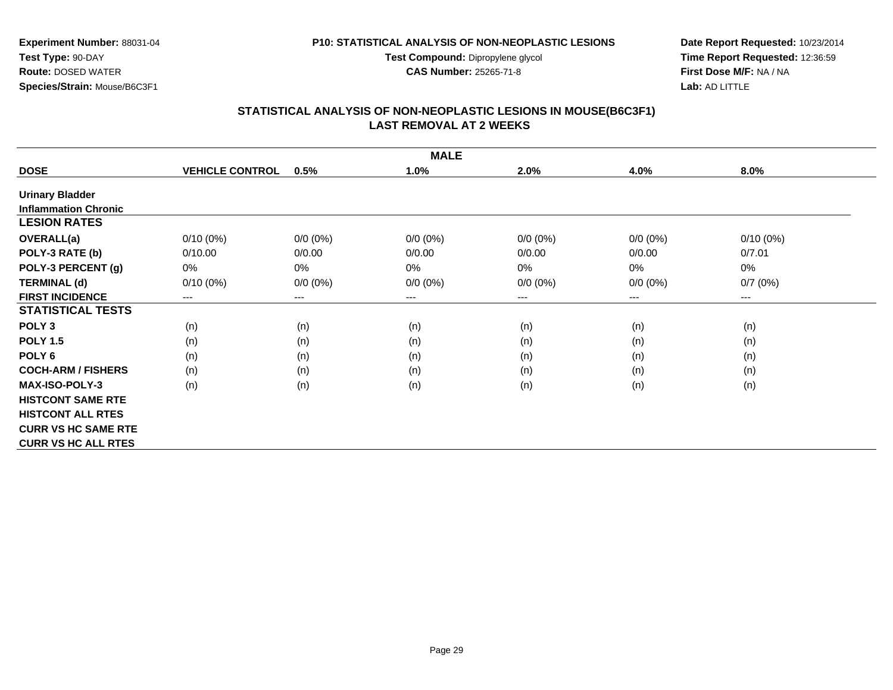**Test Compound:** Dipropylene glycol

**CAS Number:** 25265-71-8

**Date Report Requested:** 10/23/2014**Time Report Requested:** 12:36:59**First Dose M/F:** NA / NA**Lab:** AD LITTLE

## **STATISTICAL ANALYSIS OF NON-NEOPLASTIC LESIONS IN MOUSE(B6C3F1) LAST REMOVAL AT 2 WEEKS**

|                             | <b>MALE</b>            |                        |                     |             |                        |             |  |  |  |
|-----------------------------|------------------------|------------------------|---------------------|-------------|------------------------|-------------|--|--|--|
| <b>DOSE</b>                 | <b>VEHICLE CONTROL</b> | 0.5%                   | 1.0%                | 2.0%        | 4.0%                   | 8.0%        |  |  |  |
| <b>Urinary Bladder</b>      |                        |                        |                     |             |                        |             |  |  |  |
| <b>Inflammation Chronic</b> |                        |                        |                     |             |                        |             |  |  |  |
| <b>LESION RATES</b>         |                        |                        |                     |             |                        |             |  |  |  |
| <b>OVERALL(a)</b>           | $0/10(0\%)$            | $0/0 (0\%)$            | $0/0 (0\%)$         | $0/0 (0\%)$ | $0/0 (0\%)$            | $0/10(0\%)$ |  |  |  |
| POLY-3 RATE (b)             | 0/10.00                | 0/0.00                 | 0/0.00              | 0/0.00      | 0/0.00                 | 0/7.01      |  |  |  |
| POLY-3 PERCENT (g)          | 0%                     | 0%                     | 0%                  | 0%          | 0%                     | 0%          |  |  |  |
| <b>TERMINAL (d)</b>         | $0/10(0\%)$            | $0/0 (0\%)$            | $0/0 (0\%)$         | $0/0 (0\%)$ | $0/0 (0\%)$            | 0/7(0%)     |  |  |  |
| <b>FIRST INCIDENCE</b>      | ---                    | $\qquad \qquad \cdots$ | $\qquad \qquad - -$ | ---         | $\qquad \qquad \cdots$ | $---$       |  |  |  |
| <b>STATISTICAL TESTS</b>    |                        |                        |                     |             |                        |             |  |  |  |
| POLY <sub>3</sub>           | (n)                    | (n)                    | (n)                 | (n)         | (n)                    | (n)         |  |  |  |
| <b>POLY 1.5</b>             | (n)                    | (n)                    | (n)                 | (n)         | (n)                    | (n)         |  |  |  |
| POLY 6                      | (n)                    | (n)                    | (n)                 | (n)         | (n)                    | (n)         |  |  |  |
| <b>COCH-ARM / FISHERS</b>   | (n)                    | (n)                    | (n)                 | (n)         | (n)                    | (n)         |  |  |  |
| <b>MAX-ISO-POLY-3</b>       | (n)                    | (n)                    | (n)                 | (n)         | (n)                    | (n)         |  |  |  |
| <b>HISTCONT SAME RTE</b>    |                        |                        |                     |             |                        |             |  |  |  |
| <b>HISTCONT ALL RTES</b>    |                        |                        |                     |             |                        |             |  |  |  |
| <b>CURR VS HC SAME RTE</b>  |                        |                        |                     |             |                        |             |  |  |  |
| <b>CURR VS HC ALL RTES</b>  |                        |                        |                     |             |                        |             |  |  |  |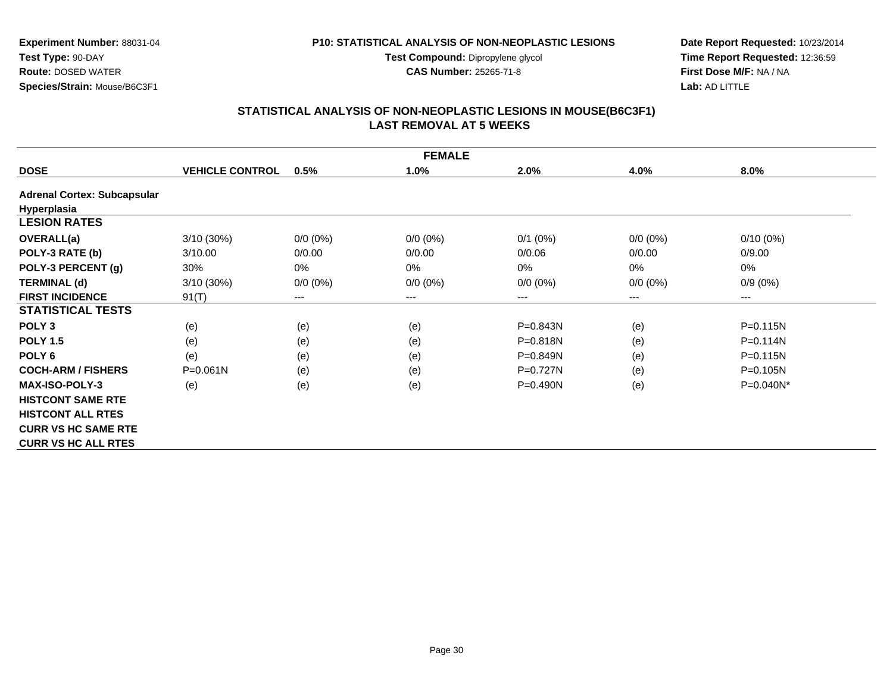**Test Compound:** Dipropylene glycol

**CAS Number:** 25265-71-8

**Date Report Requested:** 10/23/2014**Time Report Requested:** 12:36:59**First Dose M/F:** NA / NA**Lab:** AD LITTLE

# **STATISTICAL ANALYSIS OF NON-NEOPLASTIC LESIONS IN MOUSE(B6C3F1) LAST REMOVAL AT 5 WEEKS**

|                                    |                        |                        | <b>FEMALE</b> |              |                            |              |
|------------------------------------|------------------------|------------------------|---------------|--------------|----------------------------|--------------|
| <b>DOSE</b>                        | <b>VEHICLE CONTROL</b> | 0.5%                   | 1.0%          | 2.0%         | 4.0%                       | 8.0%         |
| <b>Adrenal Cortex: Subcapsular</b> |                        |                        |               |              |                            |              |
| Hyperplasia                        |                        |                        |               |              |                            |              |
| <b>LESION RATES</b>                |                        |                        |               |              |                            |              |
| OVERALL(a)                         | 3/10 (30%)             | $0/0 (0\%)$            | $0/0 (0\%)$   | $0/1$ $(0%)$ | $0/0(0\%)$                 | $0/10(0\%)$  |
| POLY-3 RATE (b)                    | 3/10.00                | 0/0.00                 | 0/0.00        | 0/0.06       | 0/0.00                     | 0/9.00       |
| POLY-3 PERCENT (g)                 | 30%                    | 0%                     | 0%            | $0\%$        | 0%                         | 0%           |
| <b>TERMINAL (d)</b>                | 3/10(30%)              | $0/0 (0\%)$            | $0/0 (0\%)$   | $0/0 (0\%)$  | $0/0 (0\%)$                | $0/9(0\%)$   |
| <b>FIRST INCIDENCE</b>             | 91(T)                  | $\qquad \qquad \cdots$ | ---           | ---          | $\qquad \qquad - \qquad -$ | $---$        |
| <b>STATISTICAL TESTS</b>           |                        |                        |               |              |                            |              |
| POLY <sub>3</sub>                  | (e)                    | (e)                    | (e)           | P=0.843N     | (e)                        | $P = 0.115N$ |
| <b>POLY 1.5</b>                    | (e)                    | (e)                    | (e)           | $P = 0.818N$ | (e)                        | $P = 0.114N$ |
| POLY <sub>6</sub>                  | (e)                    | (e)                    | (e)           | $P = 0.849N$ | (e)                        | $P = 0.115N$ |
| <b>COCH-ARM / FISHERS</b>          | $P = 0.061N$           | (e)                    | (e)           | $P=0.727N$   | (e)                        | P=0.105N     |
| <b>MAX-ISO-POLY-3</b>              | (e)                    | (e)                    | (e)           | $P = 0.490N$ | (e)                        | P=0.040N*    |
| <b>HISTCONT SAME RTE</b>           |                        |                        |               |              |                            |              |
| <b>HISTCONT ALL RTES</b>           |                        |                        |               |              |                            |              |
| <b>CURR VS HC SAME RTE</b>         |                        |                        |               |              |                            |              |
| <b>CURR VS HC ALL RTES</b>         |                        |                        |               |              |                            |              |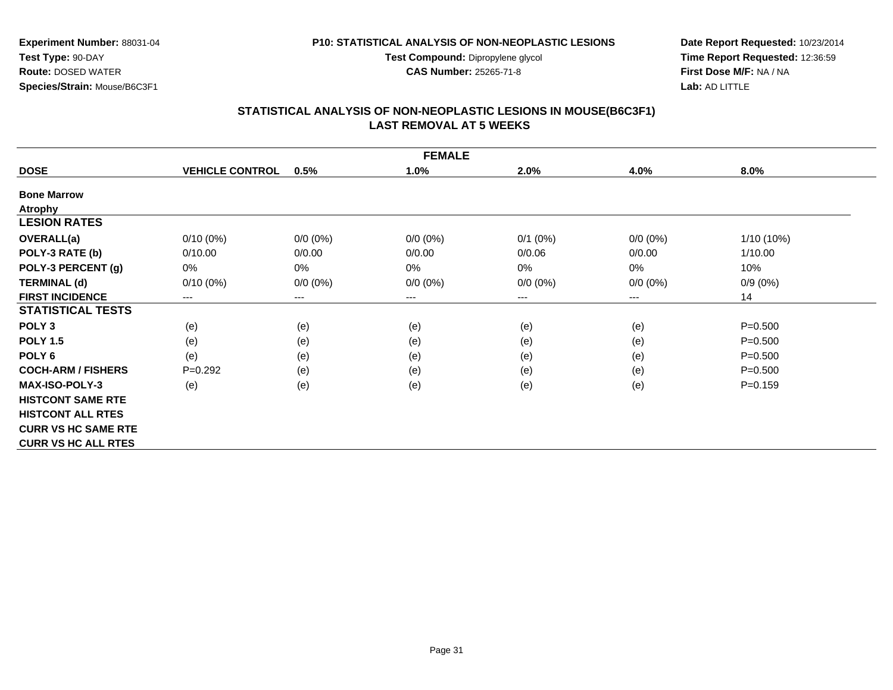**Test Compound:** Dipropylene glycol **CAS Number:** 25265-71-8

**Date Report Requested:** 10/23/2014**Time Report Requested:** 12:36:59**First Dose M/F:** NA / NA**Lab:** AD LITTLE

#### **STATISTICAL ANALYSIS OF NON-NEOPLASTIC LESIONS IN MOUSE(B6C3F1) LAST REMOVAL AT 5 WEEKS**

|                            |                        |             | <b>FEMALE</b> |              |             |              |
|----------------------------|------------------------|-------------|---------------|--------------|-------------|--------------|
| <b>DOSE</b>                | <b>VEHICLE CONTROL</b> | 0.5%        | 1.0%          | 2.0%         | 4.0%        | 8.0%         |
| <b>Bone Marrow</b>         |                        |             |               |              |             |              |
| <b>Atrophy</b>             |                        |             |               |              |             |              |
| <b>LESION RATES</b>        |                        |             |               |              |             |              |
| <b>OVERALL(a)</b>          | $0/10(0\%)$            | $0/0 (0\%)$ | $0/0 (0\%)$   | $0/1$ $(0%)$ | $0/0 (0\%)$ | $1/10(10\%)$ |
| POLY-3 RATE (b)            | 0/10.00                | 0/0.00      | 0/0.00        | 0/0.06       | 0/0.00      | 1/10.00      |
| POLY-3 PERCENT (g)         | 0%                     | 0%          | 0%            | 0%           | 0%          | 10%          |
| <b>TERMINAL (d)</b>        | $0/10(0\%)$            | $0/0 (0\%)$ | $0/0 (0\%)$   | $0/0 (0\%)$  | $0/0 (0\%)$ | $0/9(0\%)$   |
| <b>FIRST INCIDENCE</b>     | ---                    | ---         | $--$          | ---          | ---         | 14           |
| <b>STATISTICAL TESTS</b>   |                        |             |               |              |             |              |
| POLY <sub>3</sub>          | (e)                    | (e)         | (e)           | (e)          | (e)         | $P = 0.500$  |
| <b>POLY 1.5</b>            | (e)                    | (e)         | (e)           | (e)          | (e)         | $P = 0.500$  |
| POLY <sub>6</sub>          | (e)                    | (e)         | (e)           | (e)          | (e)         | $P = 0.500$  |
| <b>COCH-ARM / FISHERS</b>  | $P=0.292$              | (e)         | (e)           | (e)          | (e)         | $P = 0.500$  |
| <b>MAX-ISO-POLY-3</b>      | (e)                    | (e)         | (e)           | (e)          | (e)         | $P = 0.159$  |
| <b>HISTCONT SAME RTE</b>   |                        |             |               |              |             |              |
| <b>HISTCONT ALL RTES</b>   |                        |             |               |              |             |              |
| <b>CURR VS HC SAME RTE</b> |                        |             |               |              |             |              |
| <b>CURR VS HC ALL RTES</b> |                        |             |               |              |             |              |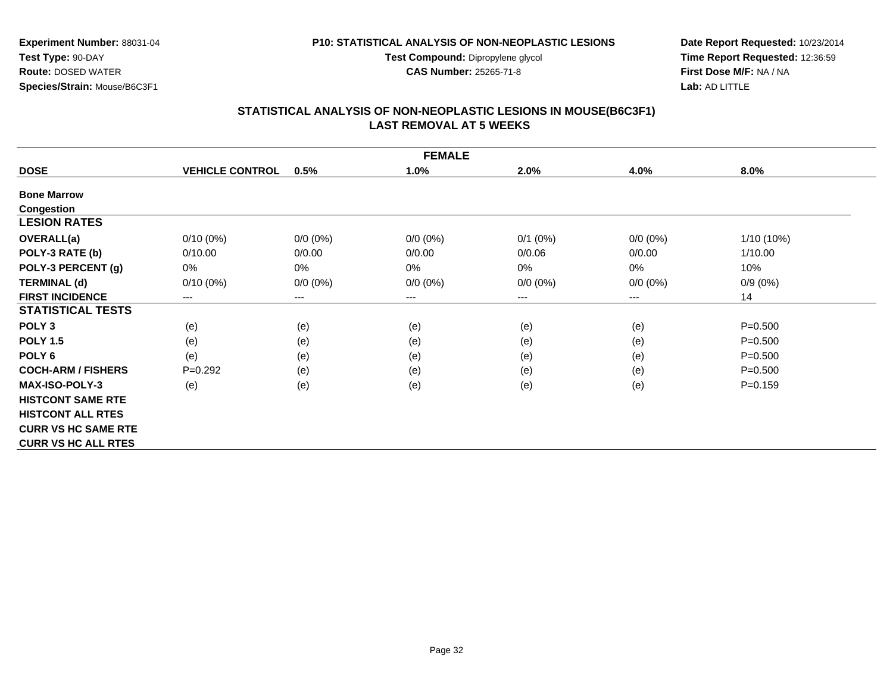**Test Compound:** Dipropylene glycol

**CAS Number:** 25265-71-8

**Date Report Requested:** 10/23/2014**Time Report Requested:** 12:36:59**First Dose M/F:** NA / NA**Lab:** AD LITTLE

#### **STATISTICAL ANALYSIS OF NON-NEOPLASTIC LESIONS IN MOUSE(B6C3F1) LAST REMOVAL AT 5 WEEKS**

| <b>FEMALE</b>              |                        |             |             |             |             |             |  |  |
|----------------------------|------------------------|-------------|-------------|-------------|-------------|-------------|--|--|
| <b>DOSE</b>                | <b>VEHICLE CONTROL</b> | 0.5%        | 1.0%        | 2.0%        | 4.0%        | 8.0%        |  |  |
| <b>Bone Marrow</b>         |                        |             |             |             |             |             |  |  |
| Congestion                 |                        |             |             |             |             |             |  |  |
| <b>LESION RATES</b>        |                        |             |             |             |             |             |  |  |
| <b>OVERALL(a)</b>          | $0/10(0\%)$            | $0/0 (0\%)$ | $0/0 (0\%)$ | $0/1$ (0%)  | $0/0 (0\%)$ | 1/10 (10%)  |  |  |
| POLY-3 RATE (b)            | 0/10.00                | 0/0.00      | 0/0.00      | 0/0.06      | 0/0.00      | 1/10.00     |  |  |
| POLY-3 PERCENT (g)         | $0\%$                  | 0%          | 0%          | 0%          | 0%          | 10%         |  |  |
| <b>TERMINAL (d)</b>        | $0/10(0\%)$            | $0/0 (0\%)$ | $0/0 (0\%)$ | $0/0 (0\%)$ | $0/0 (0\%)$ | $0/9(0\%)$  |  |  |
| <b>FIRST INCIDENCE</b>     | ---                    | ---         | $---$       | ---         | ---         | 14          |  |  |
| <b>STATISTICAL TESTS</b>   |                        |             |             |             |             |             |  |  |
| POLY <sub>3</sub>          | (e)                    | (e)         | (e)         | (e)         | (e)         | $P = 0.500$ |  |  |
| <b>POLY 1.5</b>            | (e)                    | (e)         | (e)         | (e)         | (e)         | $P = 0.500$ |  |  |
| POLY <sub>6</sub>          | (e)                    | (e)         | (e)         | (e)         | (e)         | $P = 0.500$ |  |  |
| <b>COCH-ARM / FISHERS</b>  | $P=0.292$              | (e)         | (e)         | (e)         | (e)         | $P = 0.500$ |  |  |
| <b>MAX-ISO-POLY-3</b>      | (e)                    | (e)         | (e)         | (e)         | (e)         | $P = 0.159$ |  |  |
| <b>HISTCONT SAME RTE</b>   |                        |             |             |             |             |             |  |  |
| <b>HISTCONT ALL RTES</b>   |                        |             |             |             |             |             |  |  |
| <b>CURR VS HC SAME RTE</b> |                        |             |             |             |             |             |  |  |
| <b>CURR VS HC ALL RTES</b> |                        |             |             |             |             |             |  |  |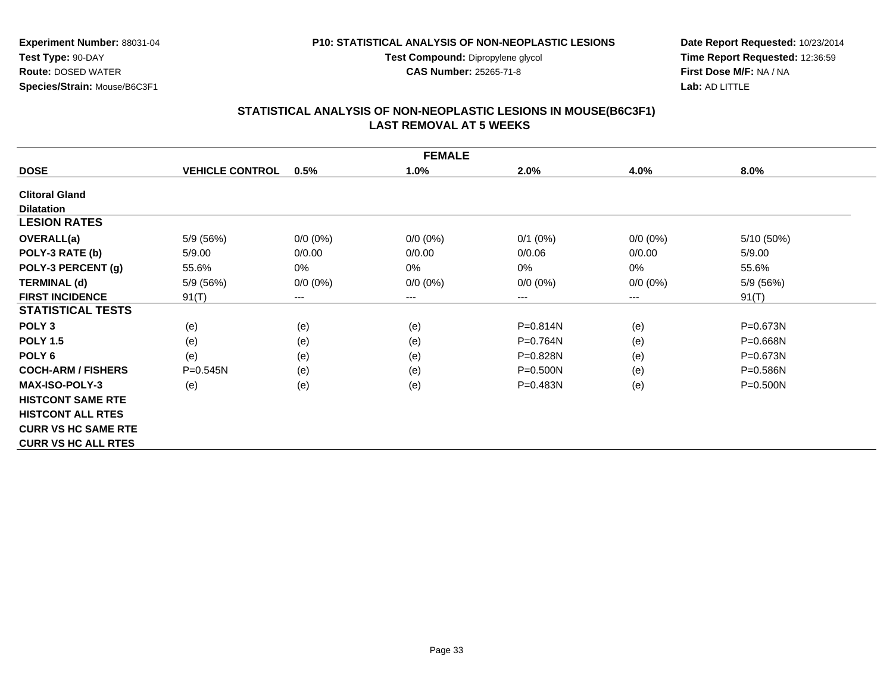**Test Compound:** Dipropylene glycol

**CAS Number:** 25265-71-8

**Date Report Requested:** 10/23/2014**Time Report Requested:** 12:36:59**First Dose M/F:** NA / NA**Lab:** AD LITTLE

#### **STATISTICAL ANALYSIS OF NON-NEOPLASTIC LESIONS IN MOUSE(B6C3F1) LAST REMOVAL AT 5 WEEKS**

|                            | <b>FEMALE</b>          |             |             |              |             |              |  |  |  |
|----------------------------|------------------------|-------------|-------------|--------------|-------------|--------------|--|--|--|
| <b>DOSE</b>                | <b>VEHICLE CONTROL</b> | 0.5%        | 1.0%        | 2.0%         | 4.0%        | 8.0%         |  |  |  |
| <b>Clitoral Gland</b>      |                        |             |             |              |             |              |  |  |  |
| <b>Dilatation</b>          |                        |             |             |              |             |              |  |  |  |
| <b>LESION RATES</b>        |                        |             |             |              |             |              |  |  |  |
| OVERALL(a)                 | 5/9 (56%)              | $0/0 (0\%)$ | $0/0 (0\%)$ | $0/1$ (0%)   | $0/0 (0\%)$ | 5/10 (50%)   |  |  |  |
| POLY-3 RATE (b)            | 5/9.00                 | 0/0.00      | 0/0.00      | 0/0.06       | 0/0.00      | 5/9.00       |  |  |  |
| POLY-3 PERCENT (g)         | 55.6%                  | 0%          | $0\%$       | 0%           | 0%          | 55.6%        |  |  |  |
| <b>TERMINAL (d)</b>        | 5/9 (56%)              | $0/0 (0\%)$ | $0/0 (0\%)$ | $0/0 (0\%)$  | $0/0 (0\%)$ | 5/9 (56%)    |  |  |  |
| <b>FIRST INCIDENCE</b>     | 91(T)                  | ---         | ---         | ---          | ---         | 91(T)        |  |  |  |
| <b>STATISTICAL TESTS</b>   |                        |             |             |              |             |              |  |  |  |
| POLY <sub>3</sub>          | (e)                    | (e)         | (e)         | P=0.814N     | (e)         | P=0.673N     |  |  |  |
| <b>POLY 1.5</b>            | (e)                    | (e)         | (e)         | $P = 0.764N$ | (e)         | $P = 0.668N$ |  |  |  |
| POLY <sub>6</sub>          | (e)                    | (e)         | (e)         | $P = 0.828N$ | (e)         | P=0.673N     |  |  |  |
| <b>COCH-ARM / FISHERS</b>  | $P = 0.545N$           | (e)         | (e)         | $P = 0.500N$ | (e)         | $P = 0.586N$ |  |  |  |
| <b>MAX-ISO-POLY-3</b>      | (e)                    | (e)         | (e)         | P=0.483N     | (e)         | $P = 0.500N$ |  |  |  |
| <b>HISTCONT SAME RTE</b>   |                        |             |             |              |             |              |  |  |  |
| <b>HISTCONT ALL RTES</b>   |                        |             |             |              |             |              |  |  |  |
| <b>CURR VS HC SAME RTE</b> |                        |             |             |              |             |              |  |  |  |
| <b>CURR VS HC ALL RTES</b> |                        |             |             |              |             |              |  |  |  |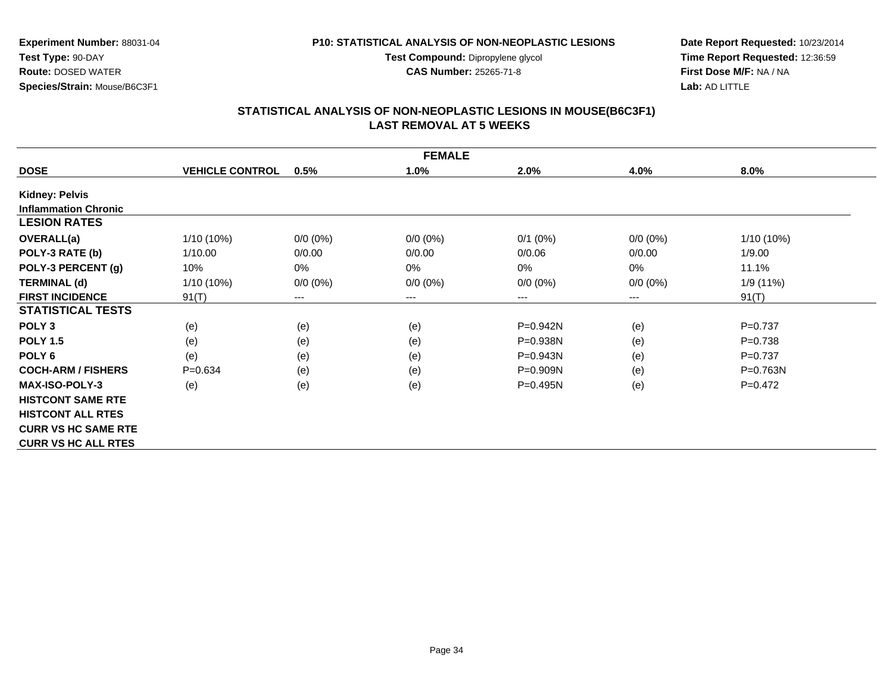**Test Compound:** Dipropylene glycol

**CAS Number:** 25265-71-8

**Date Report Requested:** 10/23/2014**Time Report Requested:** 12:36:59**First Dose M/F:** NA / NA**Lab:** AD LITTLE

# **STATISTICAL ANALYSIS OF NON-NEOPLASTIC LESIONS IN MOUSE(B6C3F1) LAST REMOVAL AT 5 WEEKS**

|                             |                        |                            | <b>FEMALE</b> |              |                        |              |
|-----------------------------|------------------------|----------------------------|---------------|--------------|------------------------|--------------|
| <b>DOSE</b>                 | <b>VEHICLE CONTROL</b> | 0.5%                       | 1.0%          | 2.0%         | 4.0%                   | 8.0%         |
| <b>Kidney: Pelvis</b>       |                        |                            |               |              |                        |              |
| <b>Inflammation Chronic</b> |                        |                            |               |              |                        |              |
| <b>LESION RATES</b>         |                        |                            |               |              |                        |              |
| OVERALL(a)                  | 1/10 (10%)             | $0/0 (0\%)$                | $0/0 (0\%)$   | $0/1$ (0%)   | $0/0(0\%)$             | 1/10 (10%)   |
| POLY-3 RATE (b)             | 1/10.00                | 0/0.00                     | 0/0.00        | 0/0.06       | 0/0.00                 | 1/9.00       |
| POLY-3 PERCENT (g)          | 10%                    | 0%                         | 0%            | $0\%$        | 0%                     | 11.1%        |
| <b>TERMINAL (d)</b>         | $1/10(10\%)$           | $0/0 (0\%)$                | $0/0 (0\%)$   | $0/0 (0\%)$  | $0/0 (0\%)$            | 1/9(11%)     |
| <b>FIRST INCIDENCE</b>      | 91(T)                  | $\qquad \qquad - \qquad -$ | ---           | ---          | $\qquad \qquad \cdots$ | 91(T)        |
| <b>STATISTICAL TESTS</b>    |                        |                            |               |              |                        |              |
| POLY <sub>3</sub>           | (e)                    | (e)                        | (e)           | $P=0.942N$   | (e)                    | $P = 0.737$  |
| <b>POLY 1.5</b>             | (e)                    | (e)                        | (e)           | P=0.938N     | (e)                    | $P = 0.738$  |
| POLY <sub>6</sub>           | (e)                    | (e)                        | (e)           | $P = 0.943N$ | (e)                    | $P=0.737$    |
| <b>COCH-ARM / FISHERS</b>   | $P = 0.634$            | (e)                        | (e)           | $P = 0.909N$ | (e)                    | $P = 0.763N$ |
| <b>MAX-ISO-POLY-3</b>       | (e)                    | (e)                        | (e)           | $P = 0.495N$ | (e)                    | $P=0.472$    |
| <b>HISTCONT SAME RTE</b>    |                        |                            |               |              |                        |              |
| <b>HISTCONT ALL RTES</b>    |                        |                            |               |              |                        |              |
| <b>CURR VS HC SAME RTE</b>  |                        |                            |               |              |                        |              |
| <b>CURR VS HC ALL RTES</b>  |                        |                            |               |              |                        |              |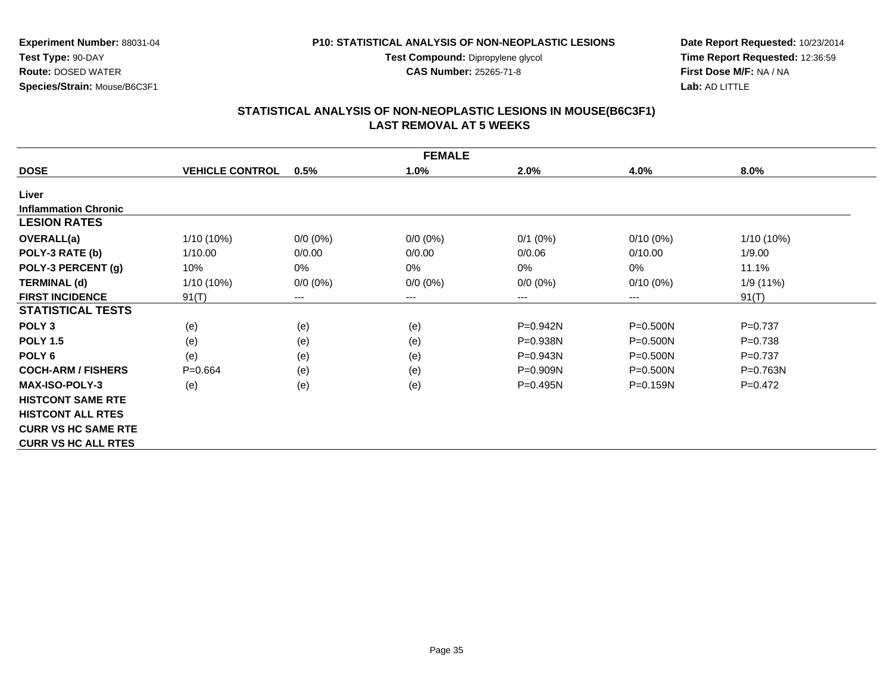**Test Compound:** Dipropylene glycol

**CAS Number:** 25265-71-8

**Date Report Requested:** 10/23/2014**Time Report Requested:** 12:36:59**First Dose M/F:** NA / NA**Lab:** AD LITTLE

#### **STATISTICAL ANALYSIS OF NON-NEOPLASTIC LESIONS IN MOUSE(B6C3F1) LAST REMOVAL AT 5 WEEKS**

|                             | <b>FEMALE</b>          |                            |             |             |              |              |  |  |  |
|-----------------------------|------------------------|----------------------------|-------------|-------------|--------------|--------------|--|--|--|
| <b>DOSE</b>                 | <b>VEHICLE CONTROL</b> | 0.5%                       | 1.0%        | 2.0%        | 4.0%         | 8.0%         |  |  |  |
| Liver                       |                        |                            |             |             |              |              |  |  |  |
| <b>Inflammation Chronic</b> |                        |                            |             |             |              |              |  |  |  |
| <b>LESION RATES</b>         |                        |                            |             |             |              |              |  |  |  |
| OVERALL(a)                  | 1/10 (10%)             | $0/0 (0\%)$                | $0/0 (0\%)$ | $0/1$ (0%)  | $0/10(0\%)$  | 1/10 (10%)   |  |  |  |
| POLY-3 RATE (b)             | 1/10.00                | 0/0.00                     | 0/0.00      | 0/0.06      | 0/10.00      | 1/9.00       |  |  |  |
| POLY-3 PERCENT (g)          | 10%                    | 0%                         | 0%          | 0%          | 0%           | 11.1%        |  |  |  |
| <b>TERMINAL (d)</b>         | 1/10 (10%)             | $0/0 (0\%)$                | $0/0 (0\%)$ | $0/0 (0\%)$ | $0/10(0\%)$  | 1/9 (11%)    |  |  |  |
| <b>FIRST INCIDENCE</b>      | 91(T)                  | $\qquad \qquad - \qquad -$ | $--$        | ---         | ---          | 91(T)        |  |  |  |
| <b>STATISTICAL TESTS</b>    |                        |                            |             |             |              |              |  |  |  |
| POLY <sub>3</sub>           | (e)                    | (e)                        | (e)         | P=0.942N    | $P = 0.500N$ | $P=0.737$    |  |  |  |
| <b>POLY 1.5</b>             | (e)                    | (e)                        | (e)         | P=0.938N    | P=0.500N     | $P = 0.738$  |  |  |  |
| POLY 6                      | (e)                    | (e)                        | (e)         | P=0.943N    | $P = 0.500N$ | $P=0.737$    |  |  |  |
| <b>COCH-ARM / FISHERS</b>   | $P = 0.664$            | (e)                        | (e)         | $P=0.909N$  | $P = 0.500N$ | $P = 0.763N$ |  |  |  |
| <b>MAX-ISO-POLY-3</b>       | (e)                    | (e)                        | (e)         | P=0.495N    | $P = 0.159N$ | $P=0.472$    |  |  |  |
| <b>HISTCONT SAME RTE</b>    |                        |                            |             |             |              |              |  |  |  |
| <b>HISTCONT ALL RTES</b>    |                        |                            |             |             |              |              |  |  |  |
| <b>CURR VS HC SAME RTE</b>  |                        |                            |             |             |              |              |  |  |  |
| <b>CURR VS HC ALL RTES</b>  |                        |                            |             |             |              |              |  |  |  |

 **Route:** DOSED WATER**Species/Strain:** Mouse/B6C3F1

**Test Type:** 90-DAY

**Experiment Number:** 88031-04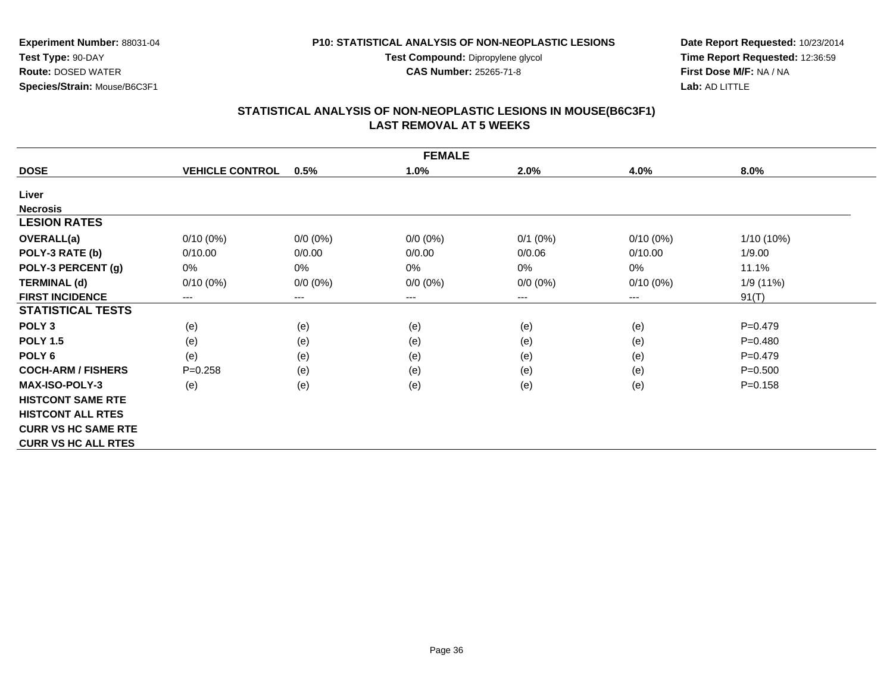**Test Compound:** Dipropylene glycol

**CAS Number:** 25265-71-8

**Date Report Requested:** 10/23/2014**Time Report Requested:** 12:36:59**First Dose M/F:** NA / NA**Lab:** AD LITTLE

# **STATISTICAL ANALYSIS OF NON-NEOPLASTIC LESIONS IN MOUSE(B6C3F1) LAST REMOVAL AT 5 WEEKS**

|                            | <b>FEMALE</b>          |                        |                     |             |             |              |  |  |  |
|----------------------------|------------------------|------------------------|---------------------|-------------|-------------|--------------|--|--|--|
| <b>DOSE</b>                | <b>VEHICLE CONTROL</b> | 0.5%                   | 1.0%                | 2.0%        | 4.0%        | 8.0%         |  |  |  |
| Liver                      |                        |                        |                     |             |             |              |  |  |  |
| <b>Necrosis</b>            |                        |                        |                     |             |             |              |  |  |  |
| <b>LESION RATES</b>        |                        |                        |                     |             |             |              |  |  |  |
| <b>OVERALL(a)</b>          | $0/10(0\%)$            | $0/0 (0\%)$            | $0/0 (0\%)$         | $0/1$ (0%)  | $0/10(0\%)$ | $1/10(10\%)$ |  |  |  |
| POLY-3 RATE (b)            | 0/10.00                | 0/0.00                 | 0/0.00              | 0/0.06      | 0/10.00     | 1/9.00       |  |  |  |
| POLY-3 PERCENT (g)         | 0%                     | 0%                     | $0\%$               | 0%          | 0%          | 11.1%        |  |  |  |
| <b>TERMINAL (d)</b>        | $0/10(0\%)$            | $0/0 (0\%)$            | $0/0 (0\%)$         | $0/0 (0\%)$ | $0/10(0\%)$ | 1/9 (11%)    |  |  |  |
| <b>FIRST INCIDENCE</b>     | ---                    | $\qquad \qquad \cdots$ | $\qquad \qquad - -$ | ---         | ---         | 91(T)        |  |  |  |
| <b>STATISTICAL TESTS</b>   |                        |                        |                     |             |             |              |  |  |  |
| POLY <sub>3</sub>          | (e)                    | (e)                    | (e)                 | (e)         | (e)         | $P = 0.479$  |  |  |  |
| <b>POLY 1.5</b>            | (e)                    | (e)                    | (e)                 | (e)         | (e)         | $P = 0.480$  |  |  |  |
| POLY <sub>6</sub>          | (e)                    | (e)                    | (e)                 | (e)         | (e)         | $P = 0.479$  |  |  |  |
| <b>COCH-ARM / FISHERS</b>  | $P = 0.258$            | (e)                    | (e)                 | (e)         | (e)         | $P = 0.500$  |  |  |  |
| <b>MAX-ISO-POLY-3</b>      | (e)                    | (e)                    | (e)                 | (e)         | (e)         | $P = 0.158$  |  |  |  |
| <b>HISTCONT SAME RTE</b>   |                        |                        |                     |             |             |              |  |  |  |
| <b>HISTCONT ALL RTES</b>   |                        |                        |                     |             |             |              |  |  |  |
| <b>CURR VS HC SAME RTE</b> |                        |                        |                     |             |             |              |  |  |  |
| <b>CURR VS HC ALL RTES</b> |                        |                        |                     |             |             |              |  |  |  |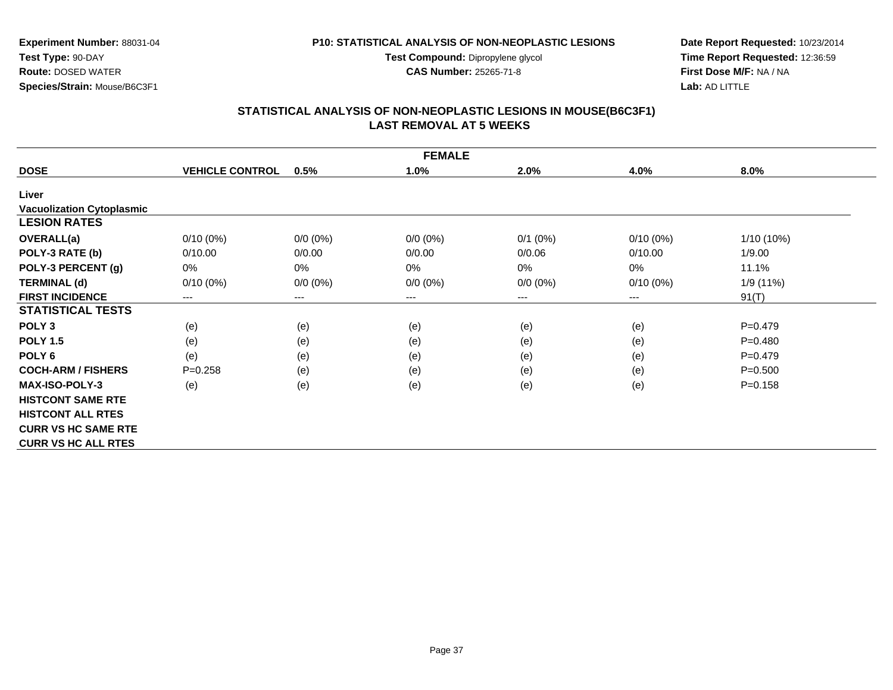**Test Compound:** Dipropylene glycol

**CAS Number:** 25265-71-8

**Date Report Requested:** 10/23/2014**Time Report Requested:** 12:36:59**First Dose M/F:** NA / NA**Lab:** AD LITTLE

# **STATISTICAL ANALYSIS OF NON-NEOPLASTIC LESIONS IN MOUSE(B6C3F1) LAST REMOVAL AT 5 WEEKS**

|                                  |                        |                        | <b>FEMALE</b> |             |             |             |
|----------------------------------|------------------------|------------------------|---------------|-------------|-------------|-------------|
| <b>DOSE</b>                      | <b>VEHICLE CONTROL</b> | 0.5%                   | 1.0%          | 2.0%        | 4.0%        | 8.0%        |
| Liver                            |                        |                        |               |             |             |             |
| <b>Vacuolization Cytoplasmic</b> |                        |                        |               |             |             |             |
| <b>LESION RATES</b>              |                        |                        |               |             |             |             |
| OVERALL(a)                       | $0/10(0\%)$            | $0/0 (0\%)$            | $0/0 (0\%)$   | $0/1$ (0%)  | $0/10(0\%)$ | 1/10 (10%)  |
| POLY-3 RATE (b)                  | 0/10.00                | 0/0.00                 | 0/0.00        | 0/0.06      | 0/10.00     | 1/9.00      |
| POLY-3 PERCENT (g)               | $0\%$                  | 0%                     | 0%            | 0%          | 0%          | 11.1%       |
| <b>TERMINAL (d)</b>              | $0/10(0\%)$            | $0/0 (0\%)$            | $0/0 (0\%)$   | $0/0 (0\%)$ | $0/10(0\%)$ | 1/9 (11%)   |
| <b>FIRST INCIDENCE</b>           | $---$                  | $\qquad \qquad \cdots$ | $---$         | ---         | $---$       | 91(T)       |
| <b>STATISTICAL TESTS</b>         |                        |                        |               |             |             |             |
| POLY <sub>3</sub>                | (e)                    | (e)                    | (e)           | (e)         | (e)         | $P=0.479$   |
| <b>POLY 1.5</b>                  | (e)                    | (e)                    | (e)           | (e)         | (e)         | $P = 0.480$ |
| POLY 6                           | (e)                    | (e)                    | (e)           | (e)         | (e)         | $P=0.479$   |
| <b>COCH-ARM / FISHERS</b>        | $P = 0.258$            | (e)                    | (e)           | (e)         | (e)         | $P = 0.500$ |
| <b>MAX-ISO-POLY-3</b>            | (e)                    | (e)                    | (e)           | (e)         | (e)         | $P = 0.158$ |
| <b>HISTCONT SAME RTE</b>         |                        |                        |               |             |             |             |
| <b>HISTCONT ALL RTES</b>         |                        |                        |               |             |             |             |
| <b>CURR VS HC SAME RTE</b>       |                        |                        |               |             |             |             |
| <b>CURR VS HC ALL RTES</b>       |                        |                        |               |             |             |             |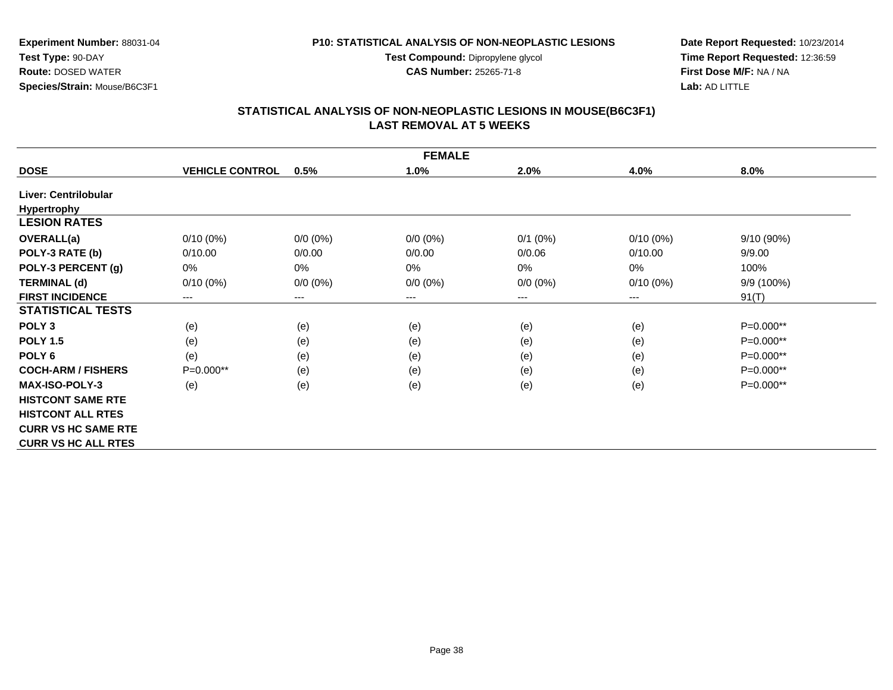**Test Compound:** Dipropylene glycol

**CAS Number:** 25265-71-8

**Date Report Requested:** 10/23/2014**Time Report Requested:** 12:36:59**First Dose M/F:** NA / NA**Lab:** AD LITTLE

# **STATISTICAL ANALYSIS OF NON-NEOPLASTIC LESIONS IN MOUSE(B6C3F1) LAST REMOVAL AT 5 WEEKS**

|                            | <b>FEMALE</b>          |             |                        |             |             |              |  |  |  |
|----------------------------|------------------------|-------------|------------------------|-------------|-------------|--------------|--|--|--|
| <b>DOSE</b>                | <b>VEHICLE CONTROL</b> | 0.5%        | 1.0%                   | 2.0%        | 4.0%        | 8.0%         |  |  |  |
| Liver: Centrilobular       |                        |             |                        |             |             |              |  |  |  |
| <b>Hypertrophy</b>         |                        |             |                        |             |             |              |  |  |  |
| <b>LESION RATES</b>        |                        |             |                        |             |             |              |  |  |  |
| OVERALL(a)                 | $0/10(0\%)$            | $0/0 (0\%)$ | $0/0 (0\%)$            | $0/1$ (0%)  | $0/10(0\%)$ | $9/10(90\%)$ |  |  |  |
| POLY-3 RATE (b)            | 0/10.00                | 0/0.00      | 0/0.00                 | 0/0.06      | 0/10.00     | 9/9.00       |  |  |  |
| POLY-3 PERCENT (g)         | $0\%$                  | 0%          | 0%                     | 0%          | $0\%$       | 100%         |  |  |  |
| <b>TERMINAL (d)</b>        | $0/10(0\%)$            | $0/0 (0\%)$ | $0/0 (0\%)$            | $0/0 (0\%)$ | $0/10(0\%)$ | 9/9 (100%)   |  |  |  |
| <b>FIRST INCIDENCE</b>     | ---                    | ---         | $\qquad \qquad \cdots$ | ---         | ---         | 91(T)        |  |  |  |
| <b>STATISTICAL TESTS</b>   |                        |             |                        |             |             |              |  |  |  |
| POLY <sub>3</sub>          | (e)                    | (e)         | (e)                    | (e)         | (e)         | $P=0.000**$  |  |  |  |
| <b>POLY 1.5</b>            | (e)                    | (e)         | (e)                    | (e)         | (e)         | $P=0.000**$  |  |  |  |
| POLY <sub>6</sub>          | (e)                    | (e)         | (e)                    | (e)         | (e)         | $P=0.000**$  |  |  |  |
| <b>COCH-ARM / FISHERS</b>  | $P=0.000**$            | (e)         | (e)                    | (e)         | (e)         | $P=0.000**$  |  |  |  |
| <b>MAX-ISO-POLY-3</b>      | (e)                    | (e)         | (e)                    | (e)         | (e)         | $P=0.000**$  |  |  |  |
| <b>HISTCONT SAME RTE</b>   |                        |             |                        |             |             |              |  |  |  |
| <b>HISTCONT ALL RTES</b>   |                        |             |                        |             |             |              |  |  |  |
| <b>CURR VS HC SAME RTE</b> |                        |             |                        |             |             |              |  |  |  |
| <b>CURR VS HC ALL RTES</b> |                        |             |                        |             |             |              |  |  |  |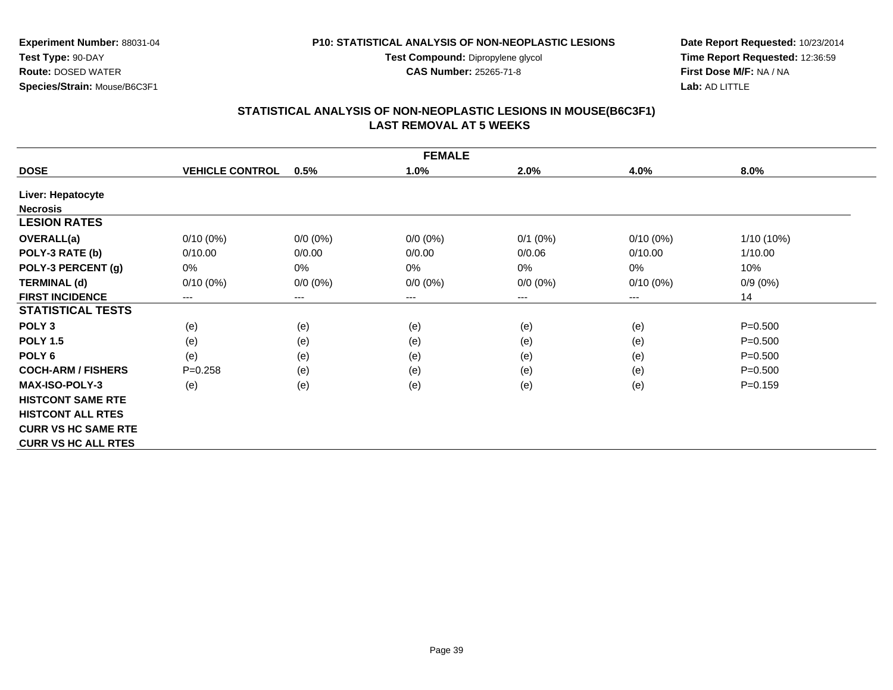**Test Compound:** Dipropylene glycol

**CAS Number:** 25265-71-8

**Date Report Requested:** 10/23/2014**Time Report Requested:** 12:36:59**First Dose M/F:** NA / NA**Lab:** AD LITTLE

#### **STATISTICAL ANALYSIS OF NON-NEOPLASTIC LESIONS IN MOUSE(B6C3F1) LAST REMOVAL AT 5 WEEKS**

|                            | <b>FEMALE</b>          |             |             |              |             |             |  |  |  |
|----------------------------|------------------------|-------------|-------------|--------------|-------------|-------------|--|--|--|
| <b>DOSE</b>                | <b>VEHICLE CONTROL</b> | 0.5%        | 1.0%        | 2.0%         | 4.0%        | 8.0%        |  |  |  |
| Liver: Hepatocyte          |                        |             |             |              |             |             |  |  |  |
| <b>Necrosis</b>            |                        |             |             |              |             |             |  |  |  |
| <b>LESION RATES</b>        |                        |             |             |              |             |             |  |  |  |
| <b>OVERALL(a)</b>          | $0/10(0\%)$            | $0/0 (0\%)$ | $0/0 (0\%)$ | $0/1$ $(0%)$ | $0/10(0\%)$ | 1/10 (10%)  |  |  |  |
| POLY-3 RATE (b)            | 0/10.00                | 0/0.00      | 0/0.00      | 0/0.06       | 0/10.00     | 1/10.00     |  |  |  |
| POLY-3 PERCENT (g)         | 0%                     | 0%          | 0%          | 0%           | $0\%$       | 10%         |  |  |  |
| <b>TERMINAL (d)</b>        | $0/10(0\%)$            | $0/0 (0\%)$ | $0/0 (0\%)$ | $0/0 (0\%)$  | $0/10(0\%)$ | $0/9(0\%)$  |  |  |  |
| <b>FIRST INCIDENCE</b>     | ---                    | ---         | $--$        | ---          | ---         | 14          |  |  |  |
| <b>STATISTICAL TESTS</b>   |                        |             |             |              |             |             |  |  |  |
| POLY <sub>3</sub>          | (e)                    | (e)         | (e)         | (e)          | (e)         | $P = 0.500$ |  |  |  |
| <b>POLY 1.5</b>            | (e)                    | (e)         | (e)         | (e)          | (e)         | $P = 0.500$ |  |  |  |
| POLY <sub>6</sub>          | (e)                    | (e)         | (e)         | (e)          | (e)         | $P = 0.500$ |  |  |  |
| <b>COCH-ARM / FISHERS</b>  | $P = 0.258$            | (e)         | (e)         | (e)          | (e)         | $P = 0.500$ |  |  |  |
| <b>MAX-ISO-POLY-3</b>      | (e)                    | (e)         | (e)         | (e)          | (e)         | $P = 0.159$ |  |  |  |
| <b>HISTCONT SAME RTE</b>   |                        |             |             |              |             |             |  |  |  |
| <b>HISTCONT ALL RTES</b>   |                        |             |             |              |             |             |  |  |  |
| <b>CURR VS HC SAME RTE</b> |                        |             |             |              |             |             |  |  |  |
| <b>CURR VS HC ALL RTES</b> |                        |             |             |              |             |             |  |  |  |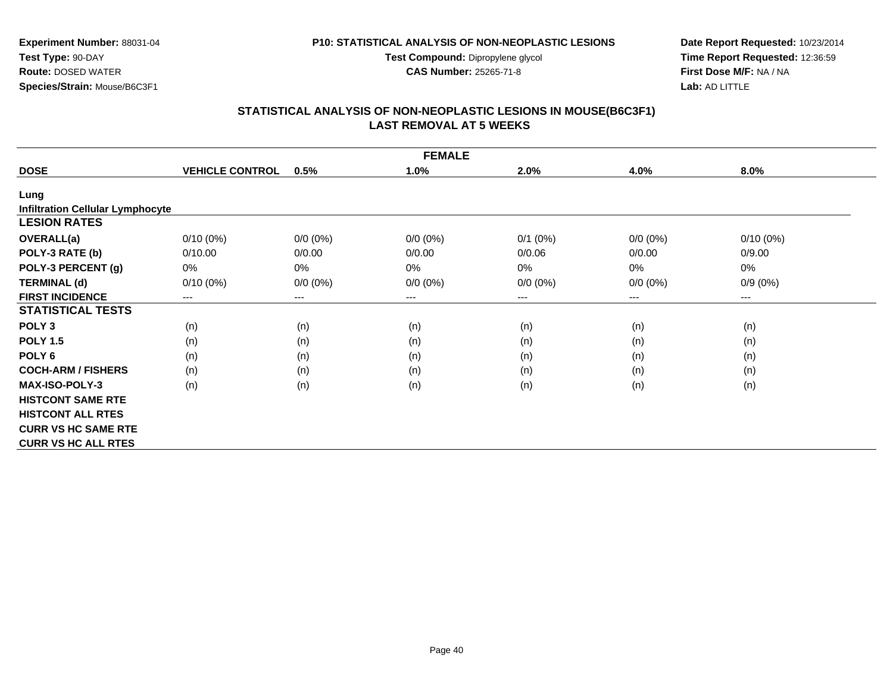**Test Compound:** Dipropylene glycol

**CAS Number:** 25265-71-8

**Date Report Requested:** 10/23/2014**Time Report Requested:** 12:36:59**First Dose M/F:** NA / NA**Lab:** AD LITTLE

## **STATISTICAL ANALYSIS OF NON-NEOPLASTIC LESIONS IN MOUSE(B6C3F1) LAST REMOVAL AT 5 WEEKS**

|                                         | <b>FEMALE</b>              |                        |             |                        |             |                        |  |  |  |
|-----------------------------------------|----------------------------|------------------------|-------------|------------------------|-------------|------------------------|--|--|--|
| <b>DOSE</b>                             | <b>VEHICLE CONTROL</b>     | 0.5%                   | 1.0%        | 2.0%                   | 4.0%        | 8.0%                   |  |  |  |
| Lung                                    |                            |                        |             |                        |             |                        |  |  |  |
| <b>Infiltration Cellular Lymphocyte</b> |                            |                        |             |                        |             |                        |  |  |  |
| <b>LESION RATES</b>                     |                            |                        |             |                        |             |                        |  |  |  |
| <b>OVERALL(a)</b>                       | $0/10(0\%)$                | $0/0 (0\%)$            | $0/0 (0\%)$ | $0/1$ (0%)             | $0/0 (0\%)$ | $0/10(0\%)$            |  |  |  |
| POLY-3 RATE (b)                         | 0/10.00                    | 0/0.00                 | 0/0.00      | 0/0.06                 | 0/0.00      | 0/9.00                 |  |  |  |
| POLY-3 PERCENT (g)                      | 0%                         | 0%                     | 0%          | $0\%$                  | $0\%$       | 0%                     |  |  |  |
| <b>TERMINAL (d)</b>                     | $0/10(0\%)$                | $0/0 (0\%)$            | $0/0 (0\%)$ | $0/0 (0\%)$            | $0/0(0\%)$  | $0/9(0\%)$             |  |  |  |
| <b>FIRST INCIDENCE</b>                  | $\qquad \qquad - \qquad -$ | $\qquad \qquad \cdots$ | $--$        | $\qquad \qquad \cdots$ | $---$       | $\qquad \qquad \cdots$ |  |  |  |
| <b>STATISTICAL TESTS</b>                |                            |                        |             |                        |             |                        |  |  |  |
| POLY <sub>3</sub>                       | (n)                        | (n)                    | (n)         | (n)                    | (n)         | (n)                    |  |  |  |
| <b>POLY 1.5</b>                         | (n)                        | (n)                    | (n)         | (n)                    | (n)         | (n)                    |  |  |  |
| POLY <sub>6</sub>                       | (n)                        | (n)                    | (n)         | (n)                    | (n)         | (n)                    |  |  |  |
| <b>COCH-ARM / FISHERS</b>               | (n)                        | (n)                    | (n)         | (n)                    | (n)         | (n)                    |  |  |  |
| <b>MAX-ISO-POLY-3</b>                   | (n)                        | (n)                    | (n)         | (n)                    | (n)         | (n)                    |  |  |  |
| <b>HISTCONT SAME RTE</b>                |                            |                        |             |                        |             |                        |  |  |  |
| <b>HISTCONT ALL RTES</b>                |                            |                        |             |                        |             |                        |  |  |  |
| <b>CURR VS HC SAME RTE</b>              |                            |                        |             |                        |             |                        |  |  |  |
| <b>CURR VS HC ALL RTES</b>              |                            |                        |             |                        |             |                        |  |  |  |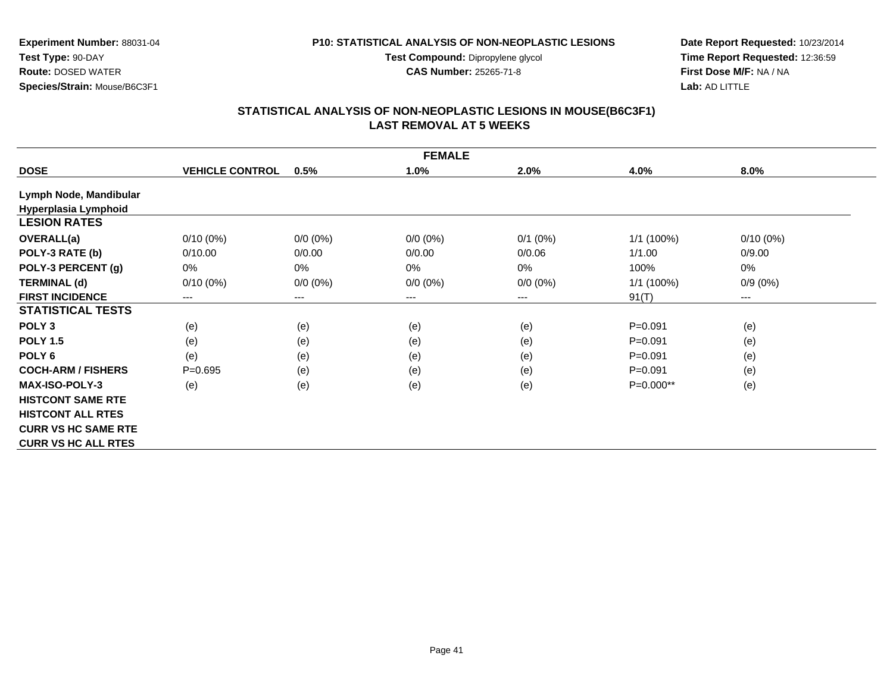**Test Compound:** Dipropylene glycol

**CAS Number:** 25265-71-8

**Date Report Requested:** 10/23/2014**Time Report Requested:** 12:36:59**First Dose M/F:** NA / NA**Lab:** AD LITTLE

# **STATISTICAL ANALYSIS OF NON-NEOPLASTIC LESIONS IN MOUSE(B6C3F1) LAST REMOVAL AT 5 WEEKS**

|                            |                        |             | <b>FEMALE</b>              |             |              |             |
|----------------------------|------------------------|-------------|----------------------------|-------------|--------------|-------------|
| <b>DOSE</b>                | <b>VEHICLE CONTROL</b> | 0.5%        | 1.0%                       | 2.0%        | 4.0%         | $8.0\%$     |
| Lymph Node, Mandibular     |                        |             |                            |             |              |             |
| Hyperplasia Lymphoid       |                        |             |                            |             |              |             |
| <b>LESION RATES</b>        |                        |             |                            |             |              |             |
| <b>OVERALL(a)</b>          | $0/10(0\%)$            | $0/0 (0\%)$ | $0/0 (0\%)$                | $0/1$ (0%)  | $1/1(100\%)$ | $0/10(0\%)$ |
| POLY-3 RATE (b)            | 0/10.00                | 0/0.00      | 0/0.00                     | 0/0.06      | 1/1.00       | 0/9.00      |
| POLY-3 PERCENT (g)         | $0\%$                  | 0%          | 0%                         | 0%          | 100%         | 0%          |
| <b>TERMINAL (d)</b>        | $0/10(0\%)$            | $0/0 (0\%)$ | $0/0 (0\%)$                | $0/0 (0\%)$ | $1/1$ (100%) | $0/9(0\%)$  |
| <b>FIRST INCIDENCE</b>     | ---                    | ---         | $\qquad \qquad - \qquad -$ | ---         | 91(T)        | $---$       |
| <b>STATISTICAL TESTS</b>   |                        |             |                            |             |              |             |
| POLY <sub>3</sub>          | (e)                    | (e)         | (e)                        | (e)         | $P = 0.091$  | (e)         |
| <b>POLY 1.5</b>            | (e)                    | (e)         | (e)                        | (e)         | $P = 0.091$  | (e)         |
| POLY <sub>6</sub>          | (e)                    | (e)         | (e)                        | (e)         | $P = 0.091$  | (e)         |
| <b>COCH-ARM / FISHERS</b>  | $P = 0.695$            | (e)         | (e)                        | (e)         | $P = 0.091$  | (e)         |
| <b>MAX-ISO-POLY-3</b>      | (e)                    | (e)         | (e)                        | (e)         | $P=0.000**$  | (e)         |
| <b>HISTCONT SAME RTE</b>   |                        |             |                            |             |              |             |
| <b>HISTCONT ALL RTES</b>   |                        |             |                            |             |              |             |
| <b>CURR VS HC SAME RTE</b> |                        |             |                            |             |              |             |
| <b>CURR VS HC ALL RTES</b> |                        |             |                            |             |              |             |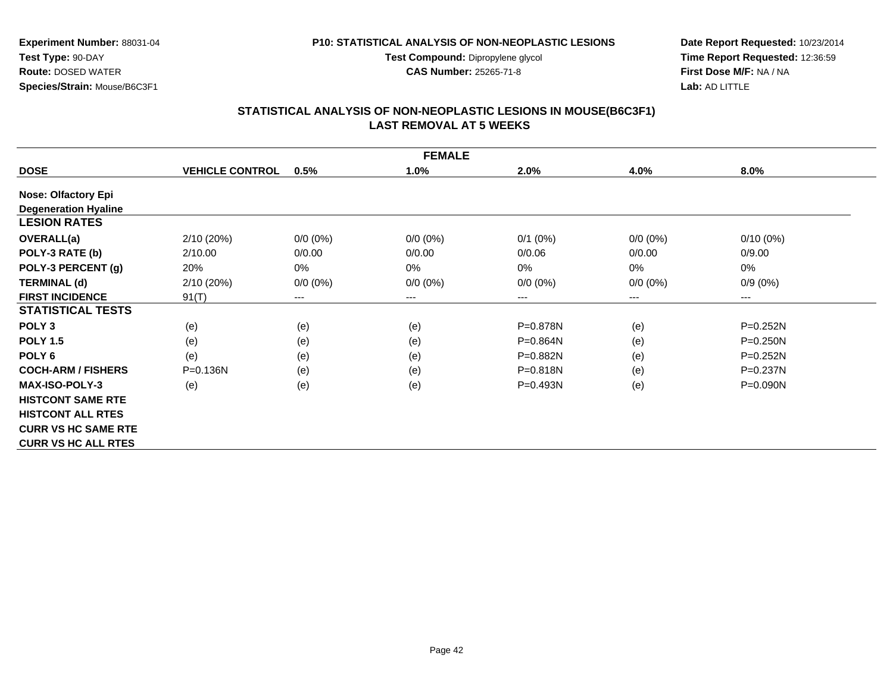**Test Compound:** Dipropylene glycol

**CAS Number:** 25265-71-8

**Date Report Requested:** 10/23/2014**Time Report Requested:** 12:36:59**First Dose M/F:** NA / NA**Lab:** AD LITTLE

#### **STATISTICAL ANALYSIS OF NON-NEOPLASTIC LESIONS IN MOUSE(B6C3F1) LAST REMOVAL AT 5 WEEKS**

|                             |                        |             | <b>FEMALE</b> |              |             |              |
|-----------------------------|------------------------|-------------|---------------|--------------|-------------|--------------|
| <b>DOSE</b>                 | <b>VEHICLE CONTROL</b> | 0.5%        | 1.0%          | 2.0%         | 4.0%        | 8.0%         |
| <b>Nose: Olfactory Epi</b>  |                        |             |               |              |             |              |
| <b>Degeneration Hyaline</b> |                        |             |               |              |             |              |
| <b>LESION RATES</b>         |                        |             |               |              |             |              |
| <b>OVERALL(a)</b>           | 2/10(20%)              | $0/0 (0\%)$ | $0/0 (0\%)$   | $0/1$ (0%)   | $0/0(0\%)$  | $0/10(0\%)$  |
| POLY-3 RATE (b)             | 2/10.00                | 0/0.00      | 0/0.00        | 0/0.06       | 0/0.00      | 0/9.00       |
| POLY-3 PERCENT (g)          | 20%                    | 0%          | $0\%$         | 0%           | 0%          | 0%           |
| <b>TERMINAL (d)</b>         | 2/10(20%)              | $0/0 (0\%)$ | $0/0 (0\%)$   | $0/0 (0\%)$  | $0/0 (0\%)$ | $0/9(0\%)$   |
| <b>FIRST INCIDENCE</b>      | 91(T)                  | ---         | ---           | ---          | $---$       | $---$        |
| <b>STATISTICAL TESTS</b>    |                        |             |               |              |             |              |
| POLY <sub>3</sub>           | (e)                    | (e)         | (e)           | $P = 0.878N$ | (e)         | $P = 0.252N$ |
| <b>POLY 1.5</b>             | (e)                    | (e)         | (e)           | P=0.864N     | (e)         | $P = 0.250N$ |
| POLY <sub>6</sub>           | (e)                    | (e)         | (e)           | P=0.882N     | (e)         | $P = 0.252N$ |
| <b>COCH-ARM / FISHERS</b>   | $P = 0.136N$           | (e)         | (e)           | $P = 0.818N$ | (e)         | $P = 0.237N$ |
| <b>MAX-ISO-POLY-3</b>       | (e)                    | (e)         | (e)           | $P = 0.493N$ | (e)         | $P = 0.090N$ |
| <b>HISTCONT SAME RTE</b>    |                        |             |               |              |             |              |
| <b>HISTCONT ALL RTES</b>    |                        |             |               |              |             |              |
| <b>CURR VS HC SAME RTE</b>  |                        |             |               |              |             |              |
| <b>CURR VS HC ALL RTES</b>  |                        |             |               |              |             |              |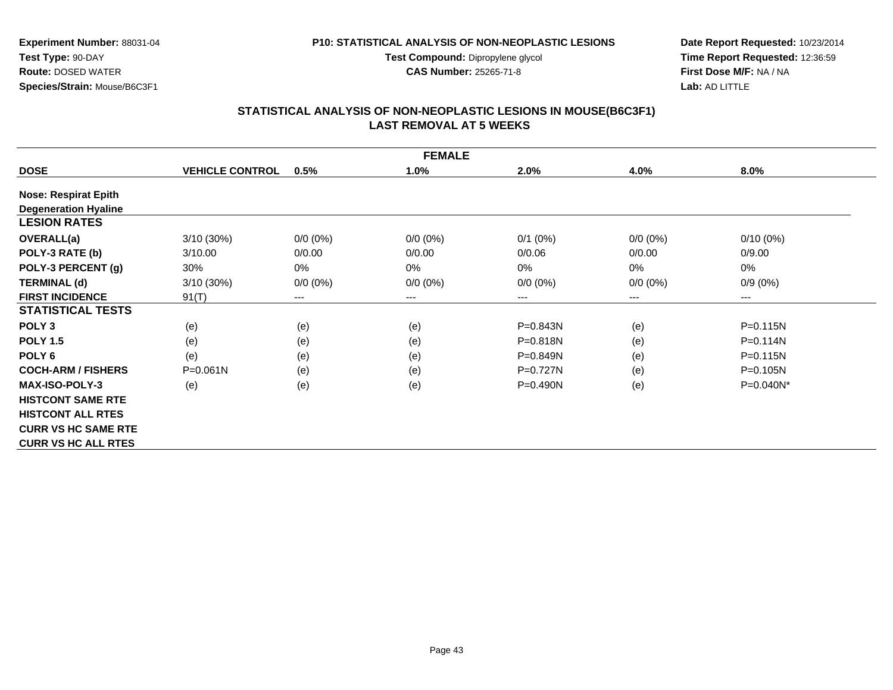**Test Compound:** Dipropylene glycol

**CAS Number:** 25265-71-8

**Date Report Requested:** 10/23/2014**Time Report Requested:** 12:36:59**First Dose M/F:** NA / NA**Lab:** AD LITTLE

#### **STATISTICAL ANALYSIS OF NON-NEOPLASTIC LESIONS IN MOUSE(B6C3F1) LAST REMOVAL AT 5 WEEKS**

|                             |                        |             | <b>FEMALE</b> |              |             |              |
|-----------------------------|------------------------|-------------|---------------|--------------|-------------|--------------|
| <b>DOSE</b>                 | <b>VEHICLE CONTROL</b> | 0.5%        | 1.0%          | 2.0%         | 4.0%        | 8.0%         |
| <b>Nose: Respirat Epith</b> |                        |             |               |              |             |              |
| <b>Degeneration Hyaline</b> |                        |             |               |              |             |              |
| <b>LESION RATES</b>         |                        |             |               |              |             |              |
| <b>OVERALL(a)</b>           | $3/10(30\%)$           | $0/0 (0\%)$ | $0/0 (0\%)$   | $0/1$ (0%)   | $0/0 (0\%)$ | $0/10(0\%)$  |
| POLY-3 RATE (b)             | 3/10.00                | 0/0.00      | 0/0.00        | 0/0.06       | 0/0.00      | 0/9.00       |
| POLY-3 PERCENT (g)          | 30%                    | 0%          | 0%            | 0%           | 0%          | 0%           |
| <b>TERMINAL (d)</b>         | $3/10(30\%)$           | $0/0 (0\%)$ | $0/0 (0\%)$   | $0/0 (0\%)$  | $0/0 (0\%)$ | $0/9(0\%)$   |
| <b>FIRST INCIDENCE</b>      | 91(T)                  | $---$       | $---$         | ---          | ---         | $--$         |
| <b>STATISTICAL TESTS</b>    |                        |             |               |              |             |              |
| POLY <sub>3</sub>           | (e)                    | (e)         | (e)           | P=0.843N     | (e)         | $P = 0.115N$ |
| <b>POLY 1.5</b>             | (e)                    | (e)         | (e)           | $P = 0.818N$ | (e)         | $P = 0.114N$ |
| POLY <sub>6</sub>           | (e)                    | (e)         | (e)           | P=0.849N     | (e)         | $P = 0.115N$ |
| <b>COCH-ARM / FISHERS</b>   | $P = 0.061N$           | (e)         | (e)           | $P=0.727N$   | (e)         | P=0.105N     |
| <b>MAX-ISO-POLY-3</b>       | (e)                    | (e)         | (e)           | $P = 0.490N$ | (e)         | $P=0.040N^*$ |
| <b>HISTCONT SAME RTE</b>    |                        |             |               |              |             |              |
| <b>HISTCONT ALL RTES</b>    |                        |             |               |              |             |              |
| <b>CURR VS HC SAME RTE</b>  |                        |             |               |              |             |              |
| <b>CURR VS HC ALL RTES</b>  |                        |             |               |              |             |              |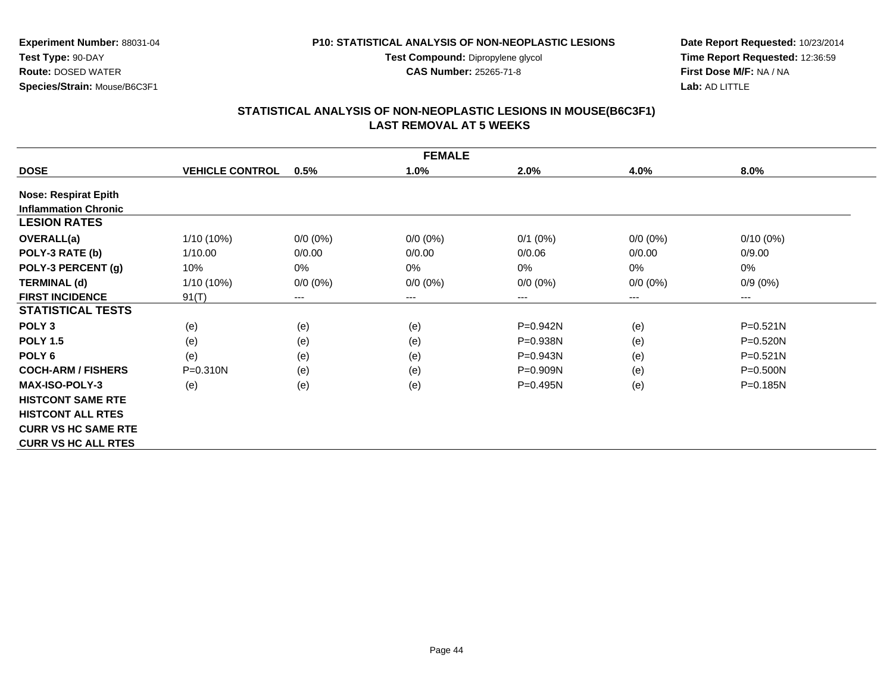**Test Compound:** Dipropylene glycol

**CAS Number:** 25265-71-8

**Date Report Requested:** 10/23/2014**Time Report Requested:** 12:36:59**First Dose M/F:** NA / NA**Lab:** AD LITTLE

#### **STATISTICAL ANALYSIS OF NON-NEOPLASTIC LESIONS IN MOUSE(B6C3F1) LAST REMOVAL AT 5 WEEKS**

|                             |                        |             | <b>FEMALE</b>          |              |             |                        |
|-----------------------------|------------------------|-------------|------------------------|--------------|-------------|------------------------|
| <b>DOSE</b>                 | <b>VEHICLE CONTROL</b> | 0.5%        | 1.0%                   | 2.0%         | 4.0%        | $8.0\%$                |
| <b>Nose: Respirat Epith</b> |                        |             |                        |              |             |                        |
| <b>Inflammation Chronic</b> |                        |             |                        |              |             |                        |
| <b>LESION RATES</b>         |                        |             |                        |              |             |                        |
| <b>OVERALL(a)</b>           | 1/10 (10%)             | $0/0 (0\%)$ | $0/0 (0\%)$            | $0/1$ (0%)   | $0/0(0\%)$  | $0/10(0\%)$            |
| POLY-3 RATE (b)             | 1/10.00                | 0/0.00      | 0/0.00                 | 0/0.06       | 0/0.00      | 0/9.00                 |
| POLY-3 PERCENT (g)          | 10%                    | 0%          | $0\%$                  | 0%           | $0\%$       | 0%                     |
| <b>TERMINAL (d)</b>         | $1/10(10\%)$           | $0/0 (0\%)$ | $0/0 (0\%)$            | $0/0 (0\%)$  | $0/0 (0\%)$ | $0/9(0\%)$             |
| <b>FIRST INCIDENCE</b>      | 91(T)                  | $---$       | $\qquad \qquad \cdots$ | ---          | ---         | $\qquad \qquad \cdots$ |
| <b>STATISTICAL TESTS</b>    |                        |             |                        |              |             |                        |
| POLY <sub>3</sub>           | (e)                    | (e)         | (e)                    | P=0.942N     | (e)         | $P = 0.521N$           |
| <b>POLY 1.5</b>             | (e)                    | (e)         | (e)                    | $P = 0.938N$ | (e)         | $P = 0.520N$           |
| POLY <sub>6</sub>           | (e)                    | (e)         | (e)                    | $P = 0.943N$ | (e)         | $P = 0.521N$           |
| <b>COCH-ARM / FISHERS</b>   | P=0.310N               | (e)         | (e)                    | $P=0.909N$   | (e)         | $P = 0.500N$           |
| <b>MAX-ISO-POLY-3</b>       | (e)                    | (e)         | (e)                    | $P=0.495N$   | (e)         | P=0.185N               |
| <b>HISTCONT SAME RTE</b>    |                        |             |                        |              |             |                        |
| <b>HISTCONT ALL RTES</b>    |                        |             |                        |              |             |                        |
| <b>CURR VS HC SAME RTE</b>  |                        |             |                        |              |             |                        |
| <b>CURR VS HC ALL RTES</b>  |                        |             |                        |              |             |                        |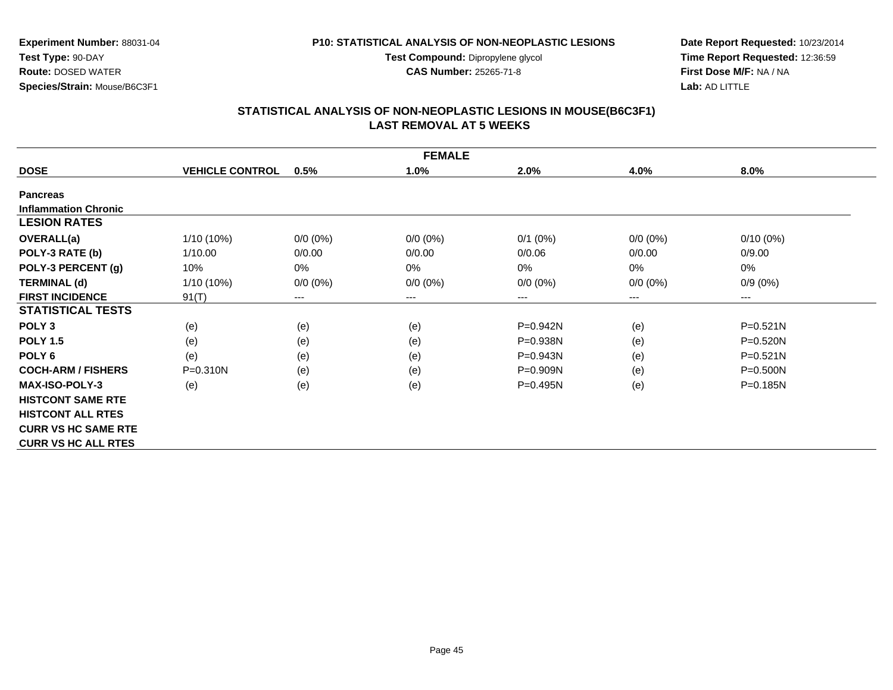**Test Compound:** Dipropylene glycol

**CAS Number:** 25265-71-8

**Date Report Requested:** 10/23/2014**Time Report Requested:** 12:36:59**First Dose M/F:** NA / NA**Lab:** AD LITTLE

# **STATISTICAL ANALYSIS OF NON-NEOPLASTIC LESIONS IN MOUSE(B6C3F1) LAST REMOVAL AT 5 WEEKS**

|                             |                        |             | <b>FEMALE</b> |              |             |              |
|-----------------------------|------------------------|-------------|---------------|--------------|-------------|--------------|
| <b>DOSE</b>                 | <b>VEHICLE CONTROL</b> | 0.5%        | 1.0%          | 2.0%         | 4.0%        | 8.0%         |
| <b>Pancreas</b>             |                        |             |               |              |             |              |
| <b>Inflammation Chronic</b> |                        |             |               |              |             |              |
| <b>LESION RATES</b>         |                        |             |               |              |             |              |
| <b>OVERALL(a)</b>           | 1/10 (10%)             | $0/0 (0\%)$ | $0/0 (0\%)$   | $0/1$ (0%)   | $0/0 (0\%)$ | $0/10(0\%)$  |
| POLY-3 RATE (b)             | 1/10.00                | 0/0.00      | 0/0.00        | 0/0.06       | 0/0.00      | 0/9.00       |
| POLY-3 PERCENT (g)          | 10%                    | 0%          | 0%            | 0%           | 0%          | 0%           |
| <b>TERMINAL (d)</b>         | $1/10(10\%)$           | $0/0 (0\%)$ | $0/0 (0\%)$   | $0/0 (0\%)$  | $0/0 (0\%)$ | $0/9(0\%)$   |
| <b>FIRST INCIDENCE</b>      | 91(T)                  | $---$       | $--$          | ---          | ---         | $--$         |
| <b>STATISTICAL TESTS</b>    |                        |             |               |              |             |              |
| POLY <sub>3</sub>           | (e)                    | (e)         | (e)           | P=0.942N     | (e)         | $P = 0.521N$ |
| <b>POLY 1.5</b>             | (e)                    | (e)         | (e)           | $P = 0.938N$ | (e)         | $P = 0.520N$ |
| POLY <sub>6</sub>           | (e)                    | (e)         | (e)           | P=0.943N     | (e)         | $P = 0.521N$ |
| <b>COCH-ARM / FISHERS</b>   | P=0.310N               | (e)         | (e)           | $P=0.909N$   | (e)         | $P = 0.500N$ |
| <b>MAX-ISO-POLY-3</b>       | (e)                    | (e)         | (e)           | P=0.495N     | (e)         | $P = 0.185N$ |
| <b>HISTCONT SAME RTE</b>    |                        |             |               |              |             |              |
| <b>HISTCONT ALL RTES</b>    |                        |             |               |              |             |              |
| <b>CURR VS HC SAME RTE</b>  |                        |             |               |              |             |              |
| <b>CURR VS HC ALL RTES</b>  |                        |             |               |              |             |              |

**Experiment Number:** 88031-04

**Species/Strain:** Mouse/B6C3F1

**Test Type:** 90-DAY**Route:** DOSED WATER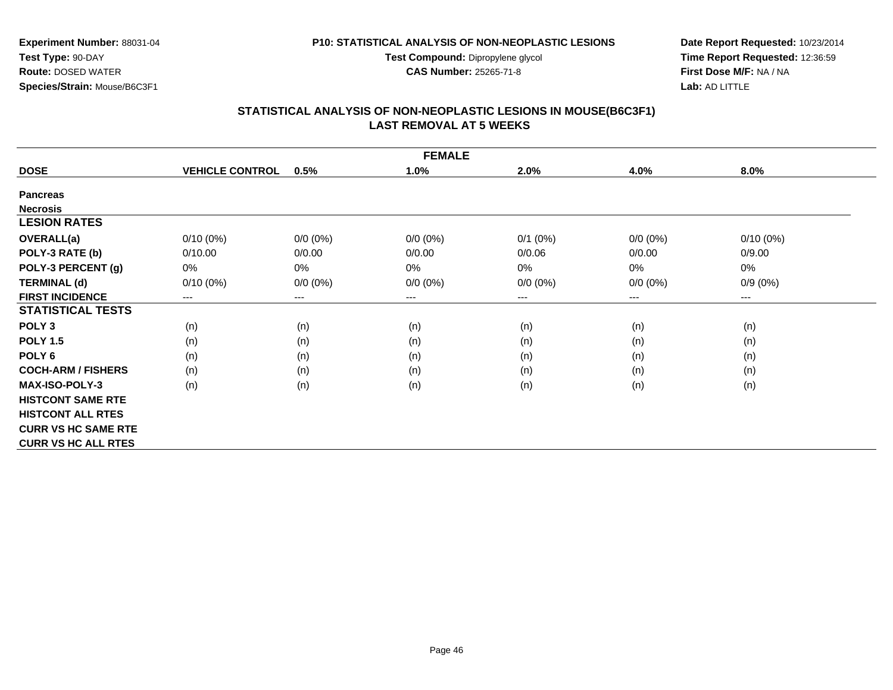**Test Compound:** Dipropylene glycol

**CAS Number:** 25265-71-8

**Date Report Requested:** 10/23/2014**Time Report Requested:** 12:36:59**First Dose M/F:** NA / NA**Lab:** AD LITTLE

# **STATISTICAL ANALYSIS OF NON-NEOPLASTIC LESIONS IN MOUSE(B6C3F1) LAST REMOVAL AT 5 WEEKS**

| <b>FEMALE</b>              |                        |             |             |             |             |                        |  |  |
|----------------------------|------------------------|-------------|-------------|-------------|-------------|------------------------|--|--|
| <b>DOSE</b>                | <b>VEHICLE CONTROL</b> | 0.5%        | 1.0%        | 2.0%        | 4.0%        | 8.0%                   |  |  |
| <b>Pancreas</b>            |                        |             |             |             |             |                        |  |  |
| <b>Necrosis</b>            |                        |             |             |             |             |                        |  |  |
| <b>LESION RATES</b>        |                        |             |             |             |             |                        |  |  |
| OVERALL(a)                 | $0/10(0\%)$            | $0/0 (0\%)$ | $0/0 (0\%)$ | $0/1$ (0%)  | $0/0 (0\%)$ | $0/10(0\%)$            |  |  |
| POLY-3 RATE (b)            | 0/10.00                | 0/0.00      | 0/0.00      | 0/0.06      | 0/0.00      | 0/9.00                 |  |  |
| POLY-3 PERCENT (g)         | 0%                     | 0%          | 0%          | 0%          | 0%          | 0%                     |  |  |
| <b>TERMINAL (d)</b>        | $0/10(0\%)$            | $0/0 (0\%)$ | $0/0 (0\%)$ | $0/0 (0\%)$ | $0/0 (0\%)$ | $0/9(0\%)$             |  |  |
| <b>FIRST INCIDENCE</b>     | $---$                  | $---$       | $---$       | ---         | ---         | $\qquad \qquad \cdots$ |  |  |
| <b>STATISTICAL TESTS</b>   |                        |             |             |             |             |                        |  |  |
| POLY <sub>3</sub>          | (n)                    | (n)         | (n)         | (n)         | (n)         | (n)                    |  |  |
| <b>POLY 1.5</b>            | (n)                    | (n)         | (n)         | (n)         | (n)         | (n)                    |  |  |
| POLY <sub>6</sub>          | (n)                    | (n)         | (n)         | (n)         | (n)         | (n)                    |  |  |
| <b>COCH-ARM / FISHERS</b>  | (n)                    | (n)         | (n)         | (n)         | (n)         | (n)                    |  |  |
| <b>MAX-ISO-POLY-3</b>      | (n)                    | (n)         | (n)         | (n)         | (n)         | (n)                    |  |  |
| <b>HISTCONT SAME RTE</b>   |                        |             |             |             |             |                        |  |  |
| <b>HISTCONT ALL RTES</b>   |                        |             |             |             |             |                        |  |  |
| <b>CURR VS HC SAME RTE</b> |                        |             |             |             |             |                        |  |  |
| <b>CURR VS HC ALL RTES</b> |                        |             |             |             |             |                        |  |  |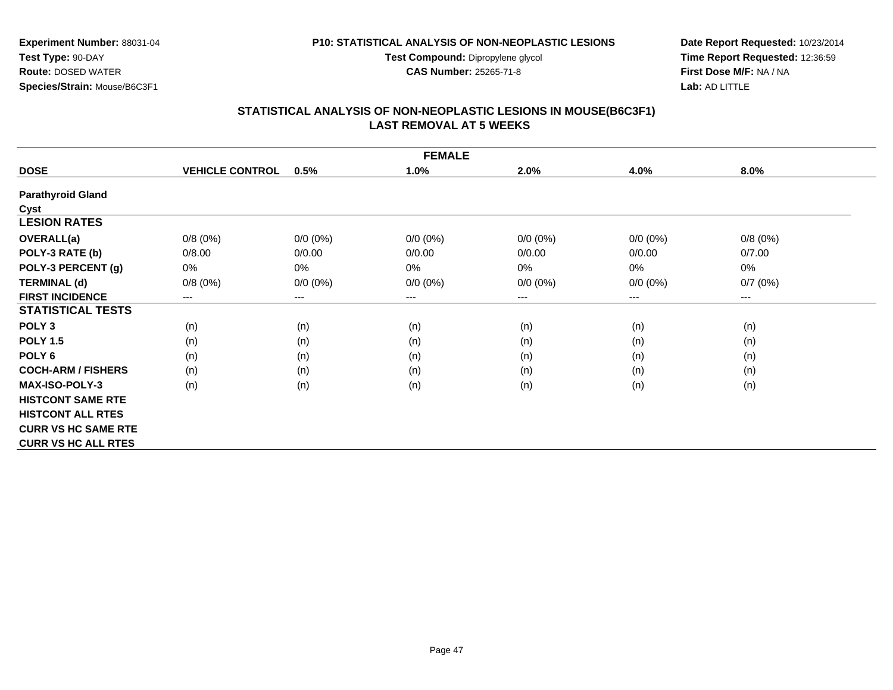**Test Compound:** Dipropylene glycol

**CAS Number:** 25265-71-8

**Date Report Requested:** 10/23/2014**Time Report Requested:** 12:36:59**First Dose M/F:** NA / NA**Lab:** AD LITTLE

#### **STATISTICAL ANALYSIS OF NON-NEOPLASTIC LESIONS IN MOUSE(B6C3F1) LAST REMOVAL AT 5 WEEKS**

|                            | <b>FEMALE</b>          |                        |             |             |             |         |  |  |  |
|----------------------------|------------------------|------------------------|-------------|-------------|-------------|---------|--|--|--|
| <b>DOSE</b>                | <b>VEHICLE CONTROL</b> | 0.5%                   | 1.0%        | 2.0%        | 4.0%        | 8.0%    |  |  |  |
| <b>Parathyroid Gland</b>   |                        |                        |             |             |             |         |  |  |  |
| Cyst                       |                        |                        |             |             |             |         |  |  |  |
| <b>LESION RATES</b>        |                        |                        |             |             |             |         |  |  |  |
| <b>OVERALL(a)</b>          | 0/8(0%)                | $0/0 (0\%)$            | $0/0 (0\%)$ | $0/0 (0\%)$ | $0/0(0\%)$  | 0/8(0%) |  |  |  |
| POLY-3 RATE (b)            | 0/8.00                 | 0/0.00                 | 0/0.00      | 0/0.00      | 0/0.00      | 0/7.00  |  |  |  |
| POLY-3 PERCENT (g)         | 0%                     | 0%                     | $0\%$       | 0%          | 0%          | 0%      |  |  |  |
| <b>TERMINAL (d)</b>        | 0/8(0%)                | $0/0 (0\%)$            | $0/0 (0\%)$ | $0/0 (0\%)$ | $0/0 (0\%)$ | 0/7(0%) |  |  |  |
| <b>FIRST INCIDENCE</b>     | ---                    | $\qquad \qquad \cdots$ | ---         | ---         | $---$       | ---     |  |  |  |
| <b>STATISTICAL TESTS</b>   |                        |                        |             |             |             |         |  |  |  |
| POLY <sub>3</sub>          | (n)                    | (n)                    | (n)         | (n)         | (n)         | (n)     |  |  |  |
| <b>POLY 1.5</b>            | (n)                    | (n)                    | (n)         | (n)         | (n)         | (n)     |  |  |  |
| POLY <sub>6</sub>          | (n)                    | (n)                    | (n)         | (n)         | (n)         | (n)     |  |  |  |
| <b>COCH-ARM / FISHERS</b>  | (n)                    | (n)                    | (n)         | (n)         | (n)         | (n)     |  |  |  |
| <b>MAX-ISO-POLY-3</b>      | (n)                    | (n)                    | (n)         | (n)         | (n)         | (n)     |  |  |  |
| <b>HISTCONT SAME RTE</b>   |                        |                        |             |             |             |         |  |  |  |
| <b>HISTCONT ALL RTES</b>   |                        |                        |             |             |             |         |  |  |  |
| <b>CURR VS HC SAME RTE</b> |                        |                        |             |             |             |         |  |  |  |
| <b>CURR VS HC ALL RTES</b> |                        |                        |             |             |             |         |  |  |  |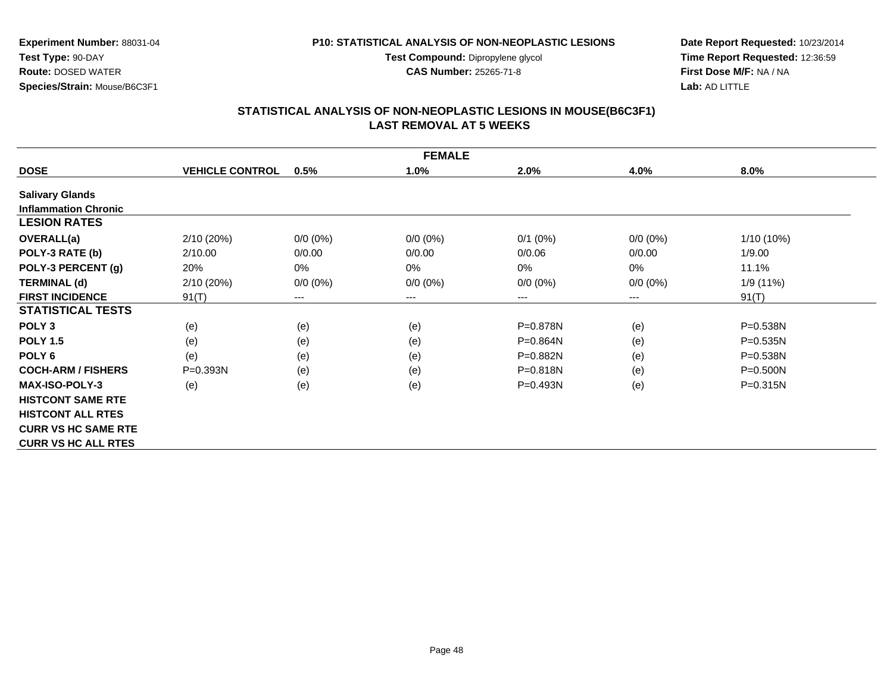**Test Compound:** Dipropylene glycol

**CAS Number:** 25265-71-8

**Date Report Requested:** 10/23/2014**Time Report Requested:** 12:36:59**First Dose M/F:** NA / NA**Lab:** AD LITTLE

# **STATISTICAL ANALYSIS OF NON-NEOPLASTIC LESIONS IN MOUSE(B6C3F1) LAST REMOVAL AT 5 WEEKS**

|                             |                        |             | <b>FEMALE</b> |              |                            |              |
|-----------------------------|------------------------|-------------|---------------|--------------|----------------------------|--------------|
| <b>DOSE</b>                 | <b>VEHICLE CONTROL</b> | 0.5%        | 1.0%          | 2.0%         | 4.0%                       | 8.0%         |
| <b>Salivary Glands</b>      |                        |             |               |              |                            |              |
| <b>Inflammation Chronic</b> |                        |             |               |              |                            |              |
| <b>LESION RATES</b>         |                        |             |               |              |                            |              |
| OVERALL(a)                  | 2/10(20%)              | $0/0 (0\%)$ | $0/0 (0\%)$   | $0/1$ (0%)   | $0/0(0\%)$                 | 1/10 (10%)   |
| POLY-3 RATE (b)             | 2/10.00                | 0/0.00      | 0/0.00        | 0/0.06       | 0/0.00                     | 1/9.00       |
| POLY-3 PERCENT (g)          | 20%                    | 0%          | 0%            | $0\%$        | 0%                         | 11.1%        |
| <b>TERMINAL (d)</b>         | 2/10 (20%)             | $0/0 (0\%)$ | $0/0 (0\%)$   | $0/0 (0\%)$  | $0/0 (0\%)$                | 1/9 (11%)    |
| <b>FIRST INCIDENCE</b>      | 91(T)                  | $\cdots$    | ---           | ---          | $\qquad \qquad - \qquad -$ | 91(T)        |
| <b>STATISTICAL TESTS</b>    |                        |             |               |              |                            |              |
| POLY <sub>3</sub>           | (e)                    | (e)         | (e)           | P=0.878N     | (e)                        | P=0.538N     |
| <b>POLY 1.5</b>             | (e)                    | (e)         | (e)           | $P = 0.864N$ | (e)                        | $P = 0.535N$ |
| POLY <sub>6</sub>           | (e)                    | (e)         | (e)           | P=0.882N     | (e)                        | P=0.538N     |
| <b>COCH-ARM / FISHERS</b>   | $P = 0.393N$           | (e)         | (e)           | $P = 0.818N$ | (e)                        | $P = 0.500N$ |
| <b>MAX-ISO-POLY-3</b>       | (e)                    | (e)         | (e)           | $P = 0.493N$ | (e)                        | $P = 0.315N$ |
| <b>HISTCONT SAME RTE</b>    |                        |             |               |              |                            |              |
| <b>HISTCONT ALL RTES</b>    |                        |             |               |              |                            |              |
| <b>CURR VS HC SAME RTE</b>  |                        |             |               |              |                            |              |
| <b>CURR VS HC ALL RTES</b>  |                        |             |               |              |                            |              |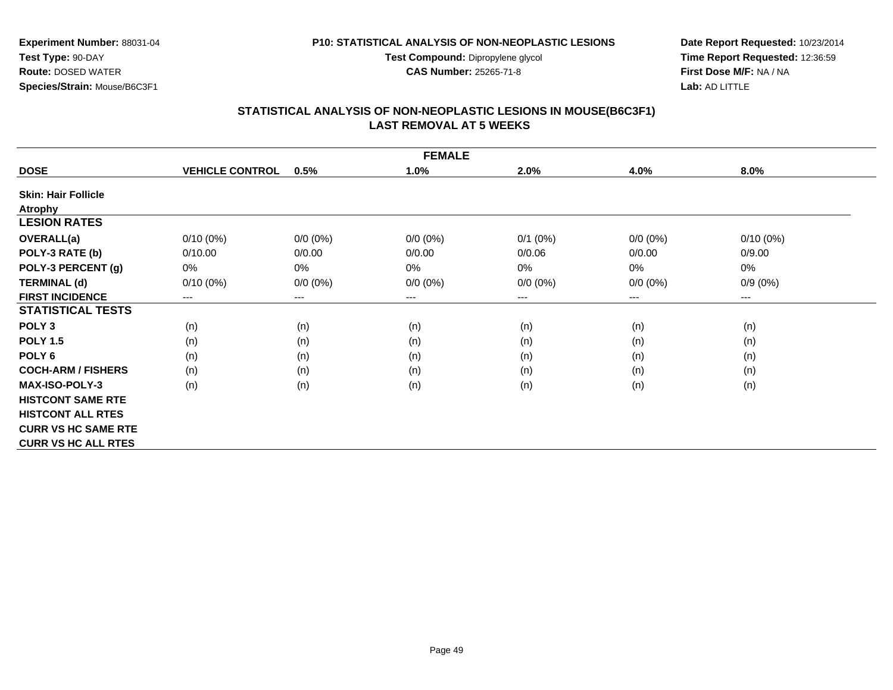**Test Compound:** Dipropylene glycol

**CAS Number:** 25265-71-8

**Date Report Requested:** 10/23/2014**Time Report Requested:** 12:36:59**First Dose M/F:** NA / NA**Lab:** AD LITTLE

# **STATISTICAL ANALYSIS OF NON-NEOPLASTIC LESIONS IN MOUSE(B6C3F1) LAST REMOVAL AT 5 WEEKS**

|                            |                        |             | <b>FEMALE</b> |             |             |             |
|----------------------------|------------------------|-------------|---------------|-------------|-------------|-------------|
| <b>DOSE</b>                | <b>VEHICLE CONTROL</b> | 0.5%        | 1.0%          | 2.0%        | 4.0%        | 8.0%        |
| <b>Skin: Hair Follicle</b> |                        |             |               |             |             |             |
| <b>Atrophy</b>             |                        |             |               |             |             |             |
| <b>LESION RATES</b>        |                        |             |               |             |             |             |
| OVERALL(a)                 | $0/10(0\%)$            | $0/0 (0\%)$ | $0/0 (0\%)$   | $0/1$ (0%)  | $0/0 (0\%)$ | $0/10(0\%)$ |
| POLY-3 RATE (b)            | 0/10.00                | 0/0.00      | 0/0.00        | 0/0.06      | 0/0.00      | 0/9.00      |
| POLY-3 PERCENT (g)         | 0%                     | $0\%$       | $0\%$         | 0%          | 0%          | 0%          |
| <b>TERMINAL (d)</b>        | $0/10(0\%)$            | $0/0 (0\%)$ | $0/0 (0\%)$   | $0/0 (0\%)$ | $0/0 (0\%)$ | $0/9(0\%)$  |
| <b>FIRST INCIDENCE</b>     | $---$                  | $---$       | ---           | ---         | ---         | $---$       |
| <b>STATISTICAL TESTS</b>   |                        |             |               |             |             |             |
| POLY <sub>3</sub>          | (n)                    | (n)         | (n)           | (n)         | (n)         | (n)         |
| <b>POLY 1.5</b>            | (n)                    | (n)         | (n)           | (n)         | (n)         | (n)         |
| POLY <sub>6</sub>          | (n)                    | (n)         | (n)           | (n)         | (n)         | (n)         |
| <b>COCH-ARM / FISHERS</b>  | (n)                    | (n)         | (n)           | (n)         | (n)         | (n)         |
| <b>MAX-ISO-POLY-3</b>      | (n)                    | (n)         | (n)           | (n)         | (n)         | (n)         |
| <b>HISTCONT SAME RTE</b>   |                        |             |               |             |             |             |
| <b>HISTCONT ALL RTES</b>   |                        |             |               |             |             |             |
| <b>CURR VS HC SAME RTE</b> |                        |             |               |             |             |             |
| <b>CURR VS HC ALL RTES</b> |                        |             |               |             |             |             |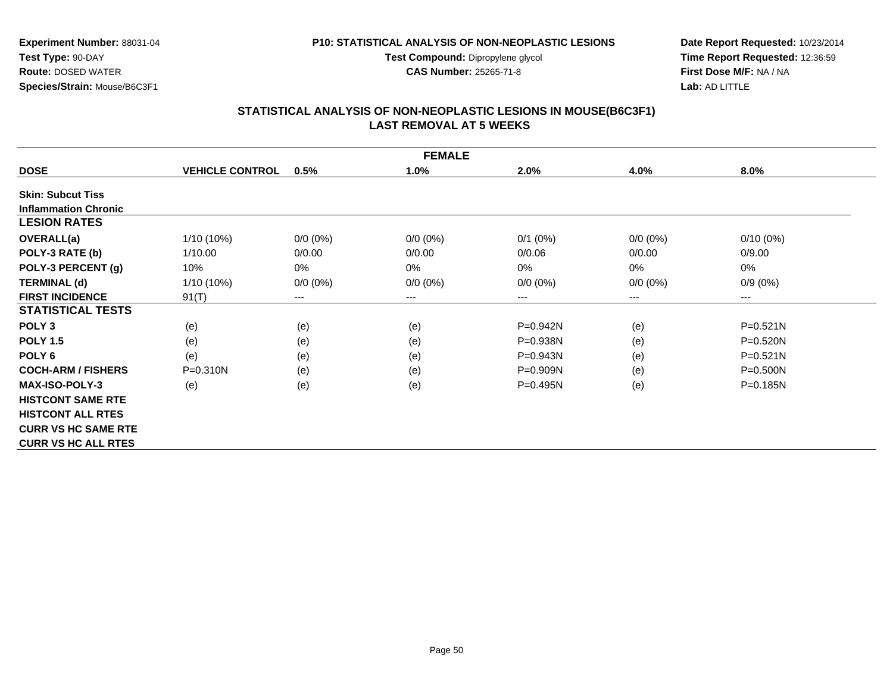**Test Compound:** Dipropylene glycol

**CAS Number:** 25265-71-8

**Date Report Requested:** 10/23/2014**Time Report Requested:** 12:36:59**First Dose M/F:** NA / NA**Lab:** AD LITTLE

#### **STATISTICAL ANALYSIS OF NON-NEOPLASTIC LESIONS IN MOUSE(B6C3F1) LAST REMOVAL AT 5 WEEKS**

| <b>FEMALE</b>               |                        |             |                        |              |             |                        |
|-----------------------------|------------------------|-------------|------------------------|--------------|-------------|------------------------|
| <b>DOSE</b>                 | <b>VEHICLE CONTROL</b> | 0.5%        | 1.0%                   | 2.0%         | 4.0%        | 8.0%                   |
| <b>Skin: Subcut Tiss</b>    |                        |             |                        |              |             |                        |
| <b>Inflammation Chronic</b> |                        |             |                        |              |             |                        |
| <b>LESION RATES</b>         |                        |             |                        |              |             |                        |
| <b>OVERALL(a)</b>           | $1/10(10\%)$           | $0/0 (0\%)$ | $0/0 (0\%)$            | $0/1$ (0%)   | $0/0(0\%)$  | $0/10(0\%)$            |
| POLY-3 RATE (b)             | 1/10.00                | 0/0.00      | 0/0.00                 | 0/0.06       | 0/0.00      | 0/9.00                 |
| POLY-3 PERCENT (g)          | 10%                    | 0%          | 0%                     | 0%           | $0\%$       | 0%                     |
| <b>TERMINAL (d)</b>         | 1/10 (10%)             | $0/0 (0\%)$ | $0/0 (0\%)$            | $0/0 (0\%)$  | $0/0 (0\%)$ | $0/9(0\%)$             |
| <b>FIRST INCIDENCE</b>      | 91(T)                  | ---         | $\qquad \qquad \cdots$ | ---          | $---$       | $\qquad \qquad \cdots$ |
| <b>STATISTICAL TESTS</b>    |                        |             |                        |              |             |                        |
| POLY <sub>3</sub>           | (e)                    | (e)         | (e)                    | $P=0.942N$   | (e)         | $P = 0.521N$           |
| <b>POLY 1.5</b>             | (e)                    | (e)         | (e)                    | P=0.938N     | (e)         | $P = 0.520N$           |
| POLY <sub>6</sub>           | (e)                    | (e)         | (e)                    | P=0.943N     | (e)         | $P = 0.521N$           |
| <b>COCH-ARM / FISHERS</b>   | $P = 0.310N$           | (e)         | (e)                    | $P = 0.909N$ | (e)         | $P = 0.500N$           |
| <b>MAX-ISO-POLY-3</b>       | (e)                    | (e)         | (e)                    | $P = 0.495N$ | (e)         | $P = 0.185N$           |
| <b>HISTCONT SAME RTE</b>    |                        |             |                        |              |             |                        |
| <b>HISTCONT ALL RTES</b>    |                        |             |                        |              |             |                        |
| <b>CURR VS HC SAME RTE</b>  |                        |             |                        |              |             |                        |
| <b>CURR VS HC ALL RTES</b>  |                        |             |                        |              |             |                        |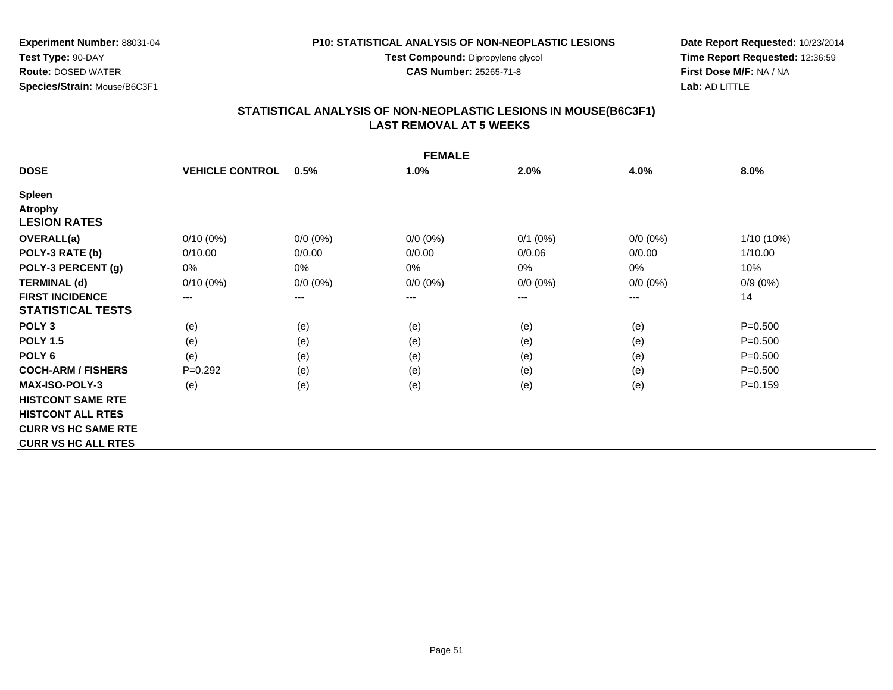**Test Compound:** Dipropylene glycol

**CAS Number:** 25265-71-8

**Experiment Number:** 88031-04**Test Type:** 90-DAY **Route:** DOSED WATER**Species/Strain:** Mouse/B6C3F1

**Date Report Requested:** 10/23/2014**Time Report Requested:** 12:36:59**First Dose M/F:** NA / NA**Lab:** AD LITTLE

#### **STATISTICAL ANALYSIS OF NON-NEOPLASTIC LESIONS IN MOUSE(B6C3F1) LAST REMOVAL AT 5 WEEKS**

| <b>FEMALE</b>              |                        |             |             |              |             |              |
|----------------------------|------------------------|-------------|-------------|--------------|-------------|--------------|
| <b>DOSE</b>                | <b>VEHICLE CONTROL</b> | 0.5%        | 1.0%        | 2.0%         | 4.0%        | 8.0%         |
| <b>Spleen</b>              |                        |             |             |              |             |              |
| <b>Atrophy</b>             |                        |             |             |              |             |              |
| <b>LESION RATES</b>        |                        |             |             |              |             |              |
| <b>OVERALL(a)</b>          | $0/10(0\%)$            | $0/0 (0\%)$ | $0/0 (0\%)$ | $0/1$ $(0%)$ | $0/0 (0\%)$ | $1/10(10\%)$ |
| POLY-3 RATE (b)            | 0/10.00                | 0/0.00      | 0/0.00      | 0/0.06       | 0/0.00      | 1/10.00      |
| POLY-3 PERCENT (g)         | 0%                     | 0%          | 0%          | 0%           | 0%          | 10%          |
| <b>TERMINAL (d)</b>        | $0/10(0\%)$            | $0/0 (0\%)$ | $0/0 (0\%)$ | $0/0 (0\%)$  | $0/0 (0\%)$ | $0/9(0\%)$   |
| <b>FIRST INCIDENCE</b>     | $\qquad \qquad \cdots$ | ---         | $--$        | ---          | ---         | 14           |
| <b>STATISTICAL TESTS</b>   |                        |             |             |              |             |              |
| POLY <sub>3</sub>          | (e)                    | (e)         | (e)         | (e)          | (e)         | $P = 0.500$  |
| <b>POLY 1.5</b>            | (e)                    | (e)         | (e)         | (e)          | (e)         | $P = 0.500$  |
| POLY <sub>6</sub>          | (e)                    | (e)         | (e)         | (e)          | (e)         | $P = 0.500$  |
| <b>COCH-ARM / FISHERS</b>  | $P=0.292$              | (e)         | (e)         | (e)          | (e)         | $P = 0.500$  |
| <b>MAX-ISO-POLY-3</b>      | (e)                    | (e)         | (e)         | (e)          | (e)         | $P = 0.159$  |
| <b>HISTCONT SAME RTE</b>   |                        |             |             |              |             |              |
| <b>HISTCONT ALL RTES</b>   |                        |             |             |              |             |              |
| <b>CURR VS HC SAME RTE</b> |                        |             |             |              |             |              |
| <b>CURR VS HC ALL RTES</b> |                        |             |             |              |             |              |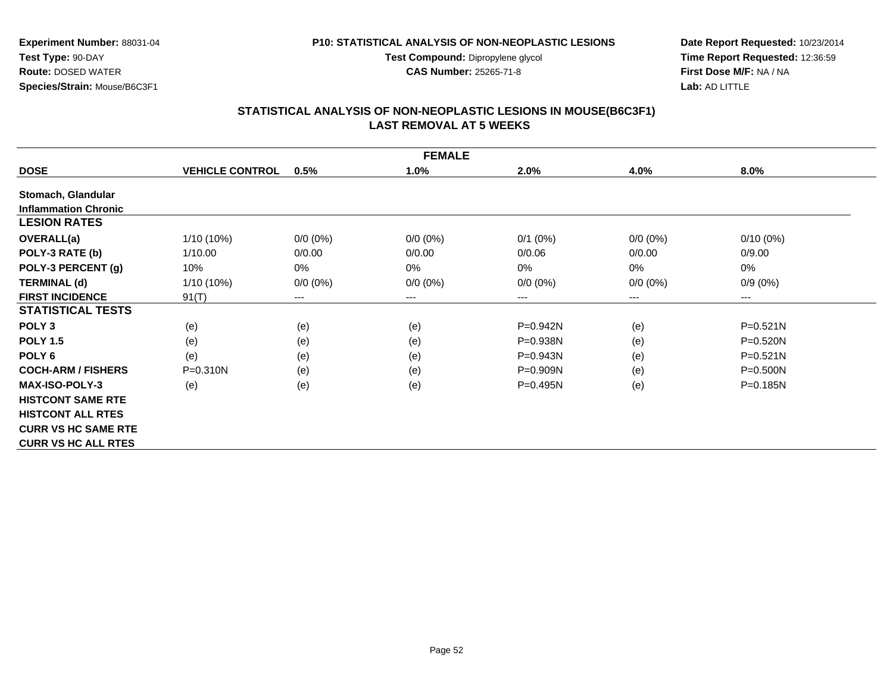**Test Compound:** Dipropylene glycol

**CAS Number:** 25265-71-8

**Date Report Requested:** 10/23/2014**Time Report Requested:** 12:36:59**First Dose M/F:** NA / NA**Lab:** AD LITTLE

#### **STATISTICAL ANALYSIS OF NON-NEOPLASTIC LESIONS IN MOUSE(B6C3F1) LAST REMOVAL AT 5 WEEKS**

| <b>FEMALE</b>               |                        |             |                        |              |             |              |
|-----------------------------|------------------------|-------------|------------------------|--------------|-------------|--------------|
| <b>DOSE</b>                 | <b>VEHICLE CONTROL</b> | 0.5%        | 1.0%                   | 2.0%         | 4.0%        | 8.0%         |
| Stomach, Glandular          |                        |             |                        |              |             |              |
| <b>Inflammation Chronic</b> |                        |             |                        |              |             |              |
| <b>LESION RATES</b>         |                        |             |                        |              |             |              |
| OVERALL(a)                  | 1/10 (10%)             | $0/0 (0\%)$ | $0/0 (0\%)$            | $0/1$ (0%)   | $0/0(0\%)$  | $0/10(0\%)$  |
| POLY-3 RATE (b)             | 1/10.00                | 0/0.00      | 0/0.00                 | 0/0.06       | 0/0.00      | 0/9.00       |
| POLY-3 PERCENT (g)          | 10%                    | 0%          | 0%                     | 0%           | 0%          | 0%           |
| <b>TERMINAL (d)</b>         | $1/10(10\%)$           | $0/0 (0\%)$ | $0/0 (0\%)$            | $0/0 (0\%)$  | $0/0 (0\%)$ | $0/9(0\%)$   |
| <b>FIRST INCIDENCE</b>      | 91(T)                  | $---$       | $\qquad \qquad \cdots$ | ---          | $---$       | $\cdots$     |
| <b>STATISTICAL TESTS</b>    |                        |             |                        |              |             |              |
| POLY <sub>3</sub>           | (e)                    | (e)         | (e)                    | $P=0.942N$   | (e)         | $P = 0.521N$ |
| <b>POLY 1.5</b>             | (e)                    | (e)         | (e)                    | P=0.938N     | (e)         | $P = 0.520N$ |
| POLY 6                      | (e)                    | (e)         | (e)                    | P=0.943N     | (e)         | $P = 0.521N$ |
| <b>COCH-ARM / FISHERS</b>   | $P = 0.310N$           | (e)         | (e)                    | $P=0.909N$   | (e)         | $P = 0.500N$ |
| <b>MAX-ISO-POLY-3</b>       | (e)                    | (e)         | (e)                    | $P = 0.495N$ | (e)         | P=0.185N     |
| <b>HISTCONT SAME RTE</b>    |                        |             |                        |              |             |              |
| <b>HISTCONT ALL RTES</b>    |                        |             |                        |              |             |              |
| <b>CURR VS HC SAME RTE</b>  |                        |             |                        |              |             |              |
| <b>CURR VS HC ALL RTES</b>  |                        |             |                        |              |             |              |

Page 52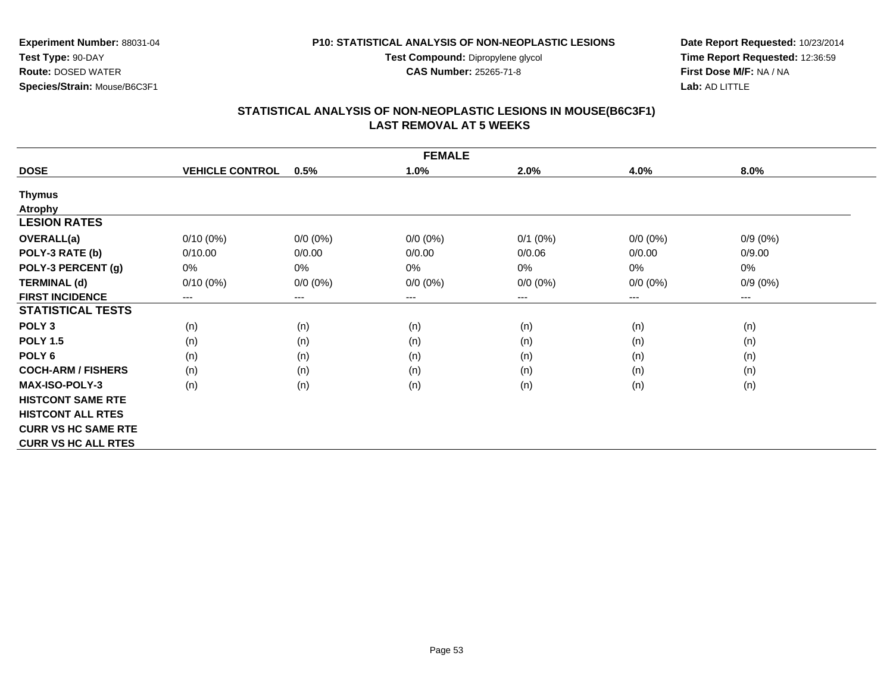**Test Compound:** Dipropylene glycol

**CAS Number:** 25265-71-8

**Experiment Number:** 88031-04**Test Type:** 90-DAY **Route:** DOSED WATER**Species/Strain:** Mouse/B6C3F1

**Date Report Requested:** 10/23/2014**Time Report Requested:** 12:36:59**First Dose M/F:** NA / NA**Lab:** AD LITTLE

#### **STATISTICAL ANALYSIS OF NON-NEOPLASTIC LESIONS IN MOUSE(B6C3F1) LAST REMOVAL AT 5 WEEKS**

|                            | <b>FEMALE</b>          |             |             |             |             |            |  |
|----------------------------|------------------------|-------------|-------------|-------------|-------------|------------|--|
| <b>DOSE</b>                | <b>VEHICLE CONTROL</b> | 0.5%        | 1.0%        | 2.0%        | 4.0%        | $8.0\%$    |  |
| <b>Thymus</b>              |                        |             |             |             |             |            |  |
| <b>Atrophy</b>             |                        |             |             |             |             |            |  |
| <b>LESION RATES</b>        |                        |             |             |             |             |            |  |
| <b>OVERALL(a)</b>          | $0/10(0\%)$            | $0/0 (0\%)$ | $0/0 (0\%)$ | $0/1$ (0%)  | $0/0 (0\%)$ | $0/9(0\%)$ |  |
| POLY-3 RATE (b)            | 0/10.00                | 0/0.00      | 0/0.00      | 0/0.06      | 0/0.00      | 0/9.00     |  |
| POLY-3 PERCENT (g)         | 0%                     | $0\%$       | 0%          | 0%          | 0%          | 0%         |  |
| <b>TERMINAL (d)</b>        | $0/10(0\%)$            | $0/0 (0\%)$ | $0/0 (0\%)$ | $0/0 (0\%)$ | $0/0 (0\%)$ | $0/9(0\%)$ |  |
| <b>FIRST INCIDENCE</b>     | $--$                   | $---$       | ---         | $--$        | ---         | ---        |  |
| <b>STATISTICAL TESTS</b>   |                        |             |             |             |             |            |  |
| POLY <sub>3</sub>          | (n)                    | (n)         | (n)         | (n)         | (n)         | (n)        |  |
| <b>POLY 1.5</b>            | (n)                    | (n)         | (n)         | (n)         | (n)         | (n)        |  |
| POLY <sub>6</sub>          | (n)                    | (n)         | (n)         | (n)         | (n)         | (n)        |  |
| <b>COCH-ARM / FISHERS</b>  | (n)                    | (n)         | (n)         | (n)         | (n)         | (n)        |  |
| <b>MAX-ISO-POLY-3</b>      | (n)                    | (n)         | (n)         | (n)         | (n)         | (n)        |  |
| <b>HISTCONT SAME RTE</b>   |                        |             |             |             |             |            |  |
| <b>HISTCONT ALL RTES</b>   |                        |             |             |             |             |            |  |
| <b>CURR VS HC SAME RTE</b> |                        |             |             |             |             |            |  |
| <b>CURR VS HC ALL RTES</b> |                        |             |             |             |             |            |  |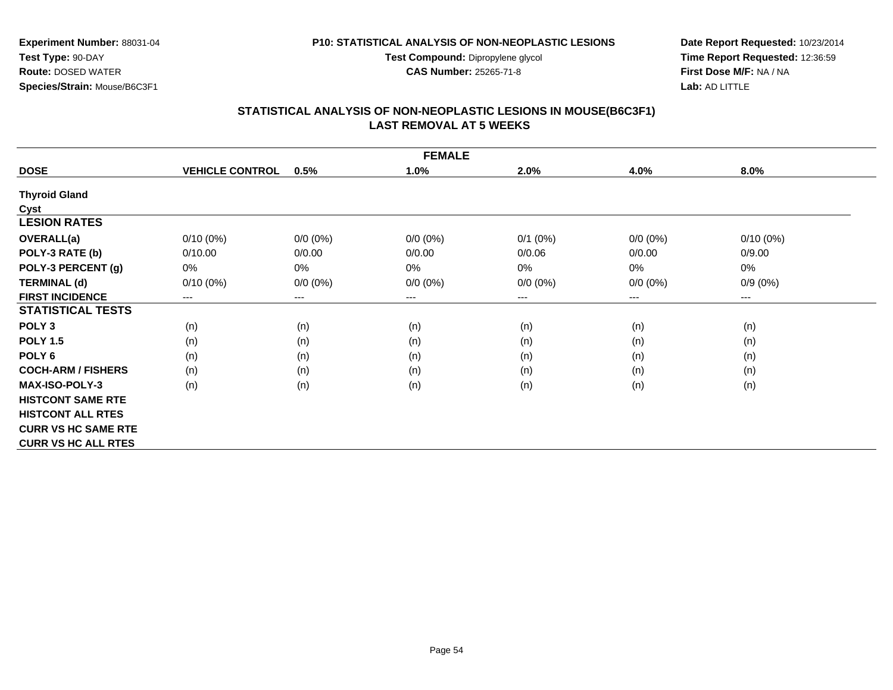**Test Compound:** Dipropylene glycol

**CAS Number:** 25265-71-8

**Date Report Requested:** 10/23/2014**Time Report Requested:** 12:36:59**First Dose M/F:** NA / NA**Lab:** AD LITTLE

## **STATISTICAL ANALYSIS OF NON-NEOPLASTIC LESIONS IN MOUSE(B6C3F1) LAST REMOVAL AT 5 WEEKS**

| <b>FEMALE</b>              |                        |                        |                        |              |             |                              |
|----------------------------|------------------------|------------------------|------------------------|--------------|-------------|------------------------------|
| <b>DOSE</b>                | <b>VEHICLE CONTROL</b> | 0.5%                   | 1.0%                   | 2.0%         | 4.0%        | 8.0%                         |
| <b>Thyroid Gland</b>       |                        |                        |                        |              |             |                              |
| Cyst                       |                        |                        |                        |              |             |                              |
| <b>LESION RATES</b>        |                        |                        |                        |              |             |                              |
| <b>OVERALL(a)</b>          | $0/10(0\%)$            | $0/0 (0\%)$            | $0/0 (0\%)$            | $0/1$ $(0%)$ | $0/0 (0\%)$ | 0/10(0%)                     |
| POLY-3 RATE (b)            | 0/10.00                | 0/0.00                 | 0/0.00                 | 0/0.06       | 0/0.00      | 0/9.00                       |
| POLY-3 PERCENT (g)         | 0%                     | 0%                     | 0%                     | 0%           | 0%          | 0%                           |
| <b>TERMINAL (d)</b>        | $0/10(0\%)$            | $0/0 (0\%)$            | $0/0 (0\%)$            | $0/0 (0\%)$  | $0/0 (0\%)$ | $0/9(0\%)$                   |
| <b>FIRST INCIDENCE</b>     | ---                    | $\qquad \qquad \cdots$ | $\qquad \qquad \cdots$ | ---          | ---         | $\qquad \qquad \textbf{---}$ |
| <b>STATISTICAL TESTS</b>   |                        |                        |                        |              |             |                              |
| POLY <sub>3</sub>          | (n)                    | (n)                    | (n)                    | (n)          | (n)         | (n)                          |
| <b>POLY 1.5</b>            | (n)                    | (n)                    | (n)                    | (n)          | (n)         | (n)                          |
| POLY <sub>6</sub>          | (n)                    | (n)                    | (n)                    | (n)          | (n)         | (n)                          |
| <b>COCH-ARM / FISHERS</b>  | (n)                    | (n)                    | (n)                    | (n)          | (n)         | (n)                          |
| <b>MAX-ISO-POLY-3</b>      | (n)                    | (n)                    | (n)                    | (n)          | (n)         | (n)                          |
| <b>HISTCONT SAME RTE</b>   |                        |                        |                        |              |             |                              |
| <b>HISTCONT ALL RTES</b>   |                        |                        |                        |              |             |                              |
| <b>CURR VS HC SAME RTE</b> |                        |                        |                        |              |             |                              |
| <b>CURR VS HC ALL RTES</b> |                        |                        |                        |              |             |                              |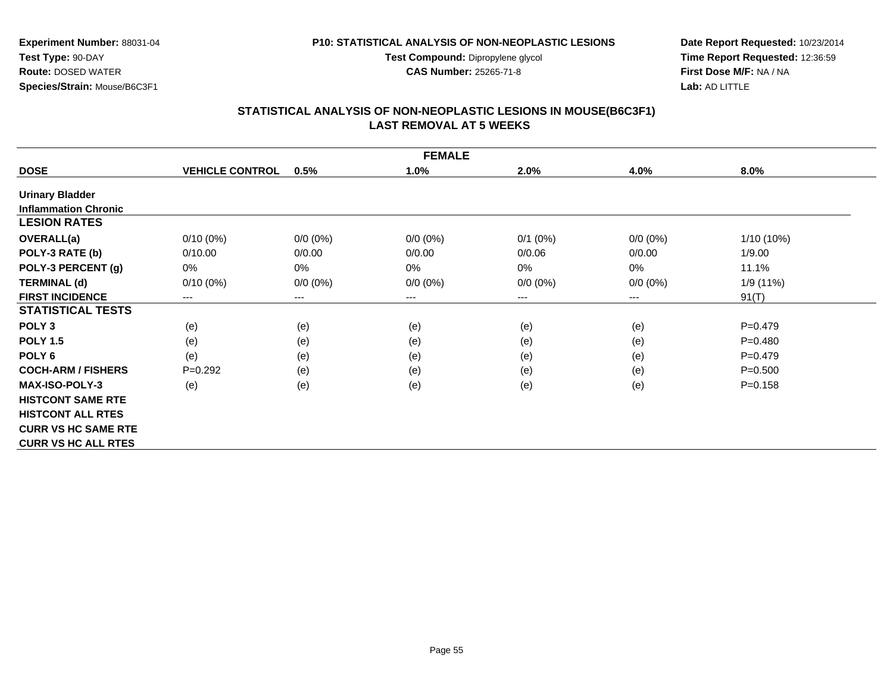**Test Compound:** Dipropylene glycol

**CAS Number:** 25265-71-8

**Date Report Requested:** 10/23/2014**Time Report Requested:** 12:36:59**First Dose M/F:** NA / NA**Lab:** AD LITTLE

# **STATISTICAL ANALYSIS OF NON-NEOPLASTIC LESIONS IN MOUSE(B6C3F1) LAST REMOVAL AT 5 WEEKS**

| <b>FEMALE</b>               |                        |             |             |              |             |              |
|-----------------------------|------------------------|-------------|-------------|--------------|-------------|--------------|
| <b>DOSE</b>                 | <b>VEHICLE CONTROL</b> | 0.5%        | 1.0%        | 2.0%         | 4.0%        | 8.0%         |
| <b>Urinary Bladder</b>      |                        |             |             |              |             |              |
| <b>Inflammation Chronic</b> |                        |             |             |              |             |              |
| <b>LESION RATES</b>         |                        |             |             |              |             |              |
| <b>OVERALL(a)</b>           | $0/10(0\%)$            | $0/0 (0\%)$ | $0/0 (0\%)$ | $0/1$ $(0%)$ | $0/0 (0\%)$ | $1/10(10\%)$ |
| POLY-3 RATE (b)             | 0/10.00                | 0/0.00      | 0/0.00      | 0/0.06       | 0/0.00      | 1/9.00       |
| POLY-3 PERCENT (g)          | 0%                     | 0%          | 0%          | 0%           | $0\%$       | 11.1%        |
| <b>TERMINAL (d)</b>         | $0/10(0\%)$            | $0/0 (0\%)$ | $0/0 (0\%)$ | $0/0 (0\%)$  | $0/0 (0\%)$ | 1/9 (11%)    |
| <b>FIRST INCIDENCE</b>      | ---                    | ---         | $--$        | ---          | ---         | 91(T)        |
| <b>STATISTICAL TESTS</b>    |                        |             |             |              |             |              |
| POLY <sub>3</sub>           | (e)                    | (e)         | (e)         | (e)          | (e)         | $P=0.479$    |
| <b>POLY 1.5</b>             | (e)                    | (e)         | (e)         | (e)          | (e)         | $P = 0.480$  |
| POLY <sub>6</sub>           | (e)                    | (e)         | (e)         | (e)          | (e)         | $P=0.479$    |
| <b>COCH-ARM / FISHERS</b>   | $P=0.292$              | (e)         | (e)         | (e)          | (e)         | $P = 0.500$  |
| <b>MAX-ISO-POLY-3</b>       | (e)                    | (e)         | (e)         | (e)          | (e)         | $P = 0.158$  |
| <b>HISTCONT SAME RTE</b>    |                        |             |             |              |             |              |
| <b>HISTCONT ALL RTES</b>    |                        |             |             |              |             |              |
| <b>CURR VS HC SAME RTE</b>  |                        |             |             |              |             |              |
| <b>CURR VS HC ALL RTES</b>  |                        |             |             |              |             |              |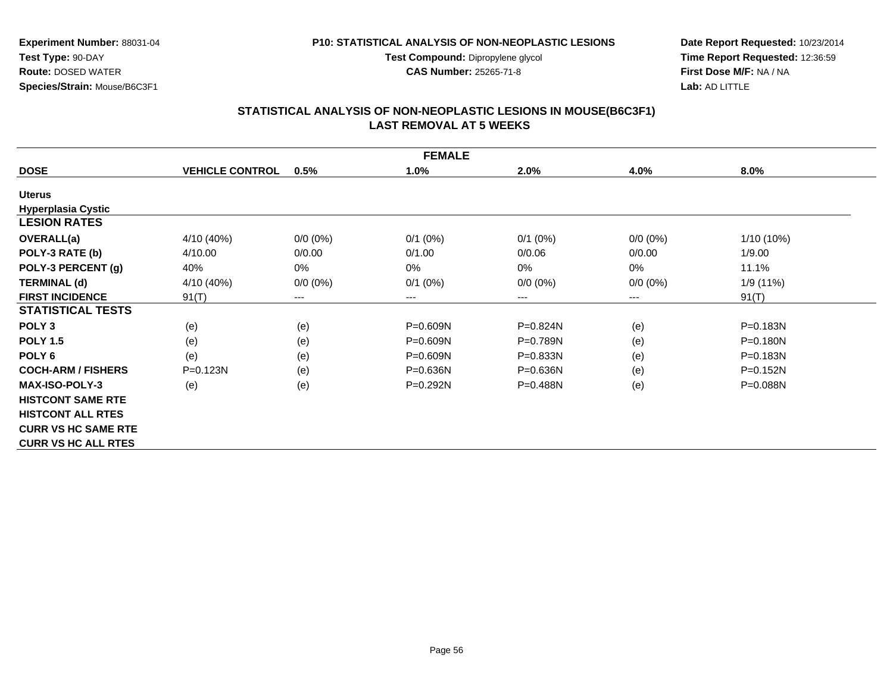**Test Compound:** Dipropylene glycol

**CAS Number:** 25265-71-8

**Date Report Requested:** 10/23/2014**Time Report Requested:** 12:36:59**First Dose M/F:** NA / NA**Lab:** AD LITTLE

#### **STATISTICAL ANALYSIS OF NON-NEOPLASTIC LESIONS IN MOUSE(B6C3F1) LAST REMOVAL AT 5 WEEKS**

| <b>FEMALE</b>              |                        |             |              |              |             |              |
|----------------------------|------------------------|-------------|--------------|--------------|-------------|--------------|
| <b>DOSE</b>                | <b>VEHICLE CONTROL</b> | 0.5%        | 1.0%         | 2.0%         | 4.0%        | 8.0%         |
| <b>Uterus</b>              |                        |             |              |              |             |              |
| <b>Hyperplasia Cystic</b>  |                        |             |              |              |             |              |
| <b>LESION RATES</b>        |                        |             |              |              |             |              |
| <b>OVERALL(a)</b>          | 4/10 (40%)             | $0/0 (0\%)$ | $0/1$ $(0%)$ | $0/1$ (0%)   | $0/0 (0\%)$ | 1/10 (10%)   |
| POLY-3 RATE (b)            | 4/10.00                | 0/0.00      | 0/1.00       | 0/0.06       | 0/0.00      | 1/9.00       |
| POLY-3 PERCENT (g)         | 40%                    | 0%          | 0%           | 0%           | $0\%$       | 11.1%        |
| <b>TERMINAL (d)</b>        | 4/10 (40%)             | $0/0 (0\%)$ | $0/1$ $(0%)$ | $0/0 (0\%)$  | $0/0 (0\%)$ | 1/9 (11%)    |
| <b>FIRST INCIDENCE</b>     | 91(T)                  | ---         | $---$        | ---          | ---         | 91(T)        |
| <b>STATISTICAL TESTS</b>   |                        |             |              |              |             |              |
| POLY <sub>3</sub>          | (e)                    | (e)         | P=0.609N     | $P=0.824N$   | (e)         | $P = 0.183N$ |
| <b>POLY 1.5</b>            | (e)                    | (e)         | P=0.609N     | P=0.789N     | (e)         | $P = 0.180N$ |
| POLY <sub>6</sub>          | (e)                    | (e)         | P=0.609N     | P=0.833N     | (e)         | P=0.183N     |
| <b>COCH-ARM / FISHERS</b>  | $P = 0.123N$           | (e)         | $P = 0.636N$ | $P = 0.636N$ | (e)         | $P = 0.152N$ |
| <b>MAX-ISO-POLY-3</b>      | (e)                    | (e)         | $P = 0.292N$ | P=0.488N     | (e)         | $P = 0.088N$ |
| <b>HISTCONT SAME RTE</b>   |                        |             |              |              |             |              |
| <b>HISTCONT ALL RTES</b>   |                        |             |              |              |             |              |
| <b>CURR VS HC SAME RTE</b> |                        |             |              |              |             |              |
| <b>CURR VS HC ALL RTES</b> |                        |             |              |              |             |              |

**Experiment Number:** 88031-04

**Species/Strain:** Mouse/B6C3F1

**Test Type:** 90-DAY**Route:** DOSED WATER